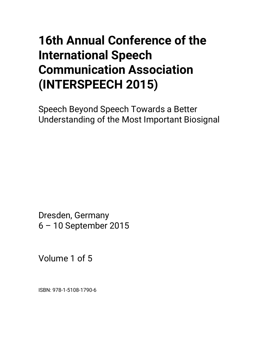# **16th Annual Conference of the International Speech Communication Association (INTERSPEECH 2015)**

Speech Beyond Speech Towards a Better Understanding of the Most Important Biosignal

Dresden, Germany 6 – 10 September 2015

Volume 1 of 5

ISBN: 978-1-5108-1790-6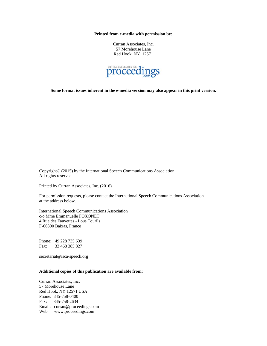**Printed from e-media with permission by:** 

Curran Associates, Inc. 57 Morehouse Lane Red Hook, NY 12571



**Some format issues inherent in the e-media version may also appear in this print version.** 

Copyright© (2015) by the International Speech Communications Association All rights reserved.

Printed by Curran Associates, Inc. (2016)

For permission requests, please contact the International Speech Communications Association at the address below.

International Speech Communications Association c/o Mme Emmanuelle FOXONET 4 Rue des Fauvettes - Lous Tourils F-66390 Baixas, France

Phone: 49 228 735 639 Fax: 33 468 385 827

secretariat@isca-speech.org

#### **Additional copies of this publication are available from:**

Curran Associates, Inc. 57 Morehouse Lane Red Hook, NY 12571 USA Phone: 845-758-0400 Fax: 845-758-2634 Email: curran@proceedings.com Web: www.proceedings.com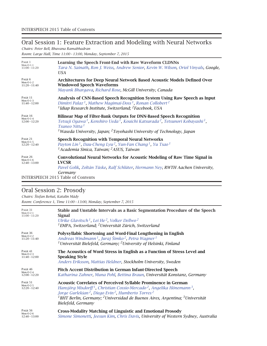# Oral Session 1: Feature Extraction and Modeling with Neural Networks

*Chairs: Peter Bell, Bhuvana Ramabhadran*

*Room: Large Hall, Time 11:00 – 13:00, Monday, September 7, 2015*

| PAGE 1                                           | Learning the Speech Front-End with Raw Waveform CLDNNs                                                                                                                                                                                                                                                                              |
|--------------------------------------------------|-------------------------------------------------------------------------------------------------------------------------------------------------------------------------------------------------------------------------------------------------------------------------------------------------------------------------------------|
| $Mon-O-1-1$                                      | Tara N. Sainath, Ron J. Weiss, Andrew Senior, Kevin W. Wilson, Oriol Vinyals, Google,                                                                                                                                                                                                                                               |
| $11:00 - 11:20$                                  | USA.                                                                                                                                                                                                                                                                                                                                |
| PAGE 6                                           | Architectures for Deep Neural Network Based Acoustic Models Defined Over                                                                                                                                                                                                                                                            |
| $Mon-O-1-2$                                      | <b>Windowed Speech Waveforms</b>                                                                                                                                                                                                                                                                                                    |
| $11:20 - 11:40$                                  | Mayank Bhargava, Richard Rose, McGill University, Canada                                                                                                                                                                                                                                                                            |
| PAGE 11                                          | Analysis of CNN-Based Speech Recognition System Using Raw Speech as Input                                                                                                                                                                                                                                                           |
| $Mon-O-1-3$                                      | Dimitri Palaz <sup>1</sup> , Mathew Magimai-Doss <sup>1</sup> , Ronan Collobert <sup>2</sup>                                                                                                                                                                                                                                        |
| $11:40 - 12:00$                                  | <sup>1</sup> Idiap Research Institute, Switzerland; <sup>2</sup> Facebook, USA                                                                                                                                                                                                                                                      |
| PAGE 16<br>$Mon-O-1-4$<br>$12:00 - 12:20$        | Bilinear Map of Filter-Bank Outputs for DNN-Based Speech Recognition<br>Tetsuji Ogawa <sup>1</sup> , Kenshiro Ueda <sup>1</sup> , Kouichi Katsurada <sup>2</sup> , Tetsunori Kobayashi <sup>1</sup> ,<br>Tsuneo Nitta <sup>1</sup><br><sup>1</sup> Waseda University, Japan; <sup>2</sup> Toyohashi University of Technology, Japan |
| PAGE 21                                          | Speech Recognition with Temporal Neural Networks                                                                                                                                                                                                                                                                                    |
| $Mon-O-1-5$                                      | Payton Lin <sup>1</sup> , Dau-Cheng Lyu <sup>2</sup> , Yun-Fan Chang <sup>1</sup> , Yu Tsao <sup>1</sup>                                                                                                                                                                                                                            |
| $12:20 - 12:40$                                  | <sup>1</sup> Academia Sinica, Taiwan; <sup>2</sup> ASUS, Taiwan                                                                                                                                                                                                                                                                     |
| <b>PAGE 26</b><br>$Mon-O-1-6$<br>$12:40 - 13:00$ | <b>Convolutional Neural Networks for Acoustic Modeling of Raw Time Signal in</b><br><b>LVCSR</b><br>Pavel Golik, Zoltán Tüske, Ralf Schlüter, Hermann Ney, RWTH Aachen University,<br>Germany                                                                                                                                       |
|                                                  | <b>ERSPEECH 2015 Table of Contents</b>                                                                                                                                                                                                                                                                                              |

### Oral Session 2: Prosody

*Chairs: Štefan Beˇnuš, Katalin Mády Room: Conference 1, Time 11:00 – 13:00, Monday, September 7, 2015*

| PAGE 31<br>$Mon-O-2-1$<br>$11:00 - 11:20$  | Stable and Unstable Intervals as a Basic Segmentation Procedure of the Speech<br>Signal<br>Ulrike Glavitsch <sup>1</sup> , Lei He <sup>2</sup> , Volker Dellwo <sup>2</sup><br><sup>1</sup> EMPA, Switzerland; <sup>2</sup> Universität Zürich, Switzerland                                                                                                                                                          |
|--------------------------------------------|----------------------------------------------------------------------------------------------------------------------------------------------------------------------------------------------------------------------------------------------------------------------------------------------------------------------------------------------------------------------------------------------------------------------|
| PAGE 36<br>Mon-O-2- $2$<br>$11:20 - 11:40$ | Polysyllabic Shortening and Word-Final Lengthening in English<br>Andreas Windmann <sup>1</sup> , Juraj Šimko <sup>2</sup> , Petra Wagner <sup>1</sup><br><sup>1</sup> Universität Bielefeld, Germany; <sup>2</sup> University of Helsinki, Finland                                                                                                                                                                   |
| PAGE 41<br>$Mon-O-2-3$<br>$11:40 - 12:00$  | The Acoustics of Word Stress in English as a Function of Stress Level and<br><b>Speaking Style</b><br>Anders Eriksson, Mattias Heldner, Stockholm University, Sweden                                                                                                                                                                                                                                                 |
| PAGE 46<br>$Mon-O-2-4$<br>$12:00 - 12:20$  | Pitch Accent Distribution in German Infant-Directed Speech<br>Katharina Zahner, Muna Pohl, Bettina Braun, Universität Konstanz, Germany                                                                                                                                                                                                                                                                              |
| PAGE 51<br>$Mon-O-2-5$<br>$12:20 - 12:40$  | <b>Acoustic Correlates of Perceived Syllable Prominence in German</b><br>Hansjörg Mixdorff <sup>1</sup> , Christian Cossio-Mercado <sup>2</sup> , Angelika Hönemann <sup>3</sup> ,<br>Jorge Gurlekian <sup>2</sup> , Diego Evin <sup>2</sup> , Humberto Torres <sup>2</sup><br><sup>1</sup> BHT Berlin, Germany; <sup>2</sup> Universidad de Buenos Aires, Argentina; <sup>3</sup> Universität<br>Bielefeld, Germany |
| PAGE 56<br>Mon-O-2- $6$<br>$12:40 - 13:00$ | <b>Cross-Modality Matching of Linguistic and Emotional Prosody</b><br>Simone Simonetti, Jeesun Kim, Chris Davis, University of Western Sydney, Australia                                                                                                                                                                                                                                                             |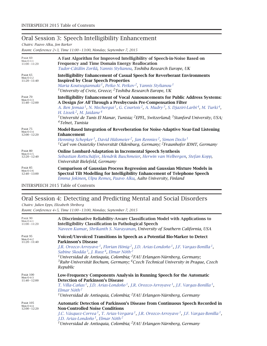# Oral Session 3: Speech Intelligibility Enhancement

*Chairs: Paavo Alku, Jon Barker*

*Room: Conference 2+3, Time 11:00 – 13:00, Monday, September 7, 2015*

| PAGE 60                                   | A Fast Algorithm for Improved Intelligibility of Speech-in-Noise Based on                                                                                                                                                                                                                                                                                                                                                                                                                                                                       |
|-------------------------------------------|-------------------------------------------------------------------------------------------------------------------------------------------------------------------------------------------------------------------------------------------------------------------------------------------------------------------------------------------------------------------------------------------------------------------------------------------------------------------------------------------------------------------------------------------------|
| $Mon-O-3-1$                               | <b>Frequency and Time Domain Energy Reallocation</b>                                                                                                                                                                                                                                                                                                                                                                                                                                                                                            |
| $11:00 - 11:20$                           | Tudor-Cătălin Zorilă, Yannis Stylianou, Toshiba Research Europe, UK                                                                                                                                                                                                                                                                                                                                                                                                                                                                             |
| PAGE 65<br>$Mon-O-3-2$<br>$11:20 - 11:40$ | <b>Intelligibility Enhancement of Casual Speech for Reverberant Environments</b><br><b>Inspired by Clear Speech Properties</b><br>Maria Koutsogiannaki <sup>1</sup> , Petko N. Petkov <sup>2</sup> , Yannis Stylianou <sup>1</sup><br><sup>1</sup> University of Crete, Greece; <sup>2</sup> Toshiba Research Europe, UK                                                                                                                                                                                                                        |
| PAGE 70<br>$Mon-O-3-3$<br>$11:40 - 12:00$ | <b>Intelligibility Enhancement of Vocal Announcements for Public Address Systems:</b><br>A Design for All Through a Presbycusis Pre-Compensation Filter<br>A. Ben Jemaa <sup>1</sup> , N. Mecherqui <sup>1</sup> , G. Courtois <sup>2</sup> , A. Mudry <sup>3</sup> , S. Djaziri-Larbi <sup>4</sup> , M. Turki <sup>4</sup> ,<br>H. Lissek <sup>2</sup> , M. Jaidane <sup>4</sup><br><sup>1</sup> Université de Tunis El Manar, Tunisia; <sup>2</sup> EPFL, Switzerland; <sup>3</sup> Stanford University, USA;<br><sup>4</sup> Telnet, Tunisia |
| PAGE 75<br>$Mon-O-3-4$<br>$12:00 - 12:20$ | Model-Based Integration of Reverberation for Noise-Adaptive Near-End Listening<br><b>Enhancement</b><br>Henning Schepker <sup>1</sup> , David Hülsmeier <sup>2</sup> , Jan Rennies <sup>2</sup> , Simon Doclo <sup>1</sup><br><sup>1</sup> Carl von Ossietzky Universität Oldenburg, Germany; <sup>2</sup> Fraunhofer IDMT, Germany                                                                                                                                                                                                             |
| PAGE 80                                   | <b>Online Lombard-Adaptation in Incremental Speech Synthesis</b>                                                                                                                                                                                                                                                                                                                                                                                                                                                                                |
| $Mon-O-3-5$                               | Sebastian Rottschäfer, Hendrik Buschmeier, Herwin van Welbergen, Stefan Kopp,                                                                                                                                                                                                                                                                                                                                                                                                                                                                   |
| $12:20 - 12:40$                           | Universität Bielefeld, Germany                                                                                                                                                                                                                                                                                                                                                                                                                                                                                                                  |
| PAGE 85                                   | <b>Comparison of Gaussian Process Regression and Gaussian Mixture Models in</b>                                                                                                                                                                                                                                                                                                                                                                                                                                                                 |
| $Mon-O-3-6$                               | Spectral Tilt Modelling for Intelligibility Enhancement of Telephone Speech                                                                                                                                                                                                                                                                                                                                                                                                                                                                     |
| $12:40 - 13:00$                           | Emma Jokinen, Ulpu Remes, Paavo Alku, Aalto University, Finland                                                                                                                                                                                                                                                                                                                                                                                                                                                                                 |

INTERSPEECH 2015 Table of Contents

# Oral Session 4: Detecting and Predicting Mental and Social Disorders

*Chairs: Julien Epps, Elizabeth Shriberg*

*Room: Conference 4+5, Time 11:00 – 13:00, Monday, September 7, 2015*

| PAGE 90<br>$Mon-O-4-1$<br>$11:00 - 11:20$         | A Discriminative Reliability-Aware Classification Model with Applications to<br><b>Intelligibility Classification in Pathological Speech</b><br>Naveen Kumar, Shrikanth S. Narayanan, University of Southern California, USA                                                                                                                                                                                                                                                                                                                    |
|---------------------------------------------------|-------------------------------------------------------------------------------------------------------------------------------------------------------------------------------------------------------------------------------------------------------------------------------------------------------------------------------------------------------------------------------------------------------------------------------------------------------------------------------------------------------------------------------------------------|
| PAGE 95<br>$Mon-O-4-2$<br>$11:20 - 11:40$         | Voiced/Unvoiced Transitions in Speech as a Potential Bio-Marker to Detect<br><b>Parkinson's Disease</b><br>J.R. Orozco-Arroyave <sup>1</sup> , Florian Hönig <sup>2</sup> , J.D. Arias-Londoño <sup>1</sup> , J.F. Vargas-Bonilla <sup>1</sup> ,<br>Sabine Skodda <sup>3</sup> , J. Rusz <sup>4</sup> , Elmar Nöth <sup>2</sup><br><sup>1</sup> Universidad de Antioquia, Colombia; <sup>2</sup> FAU Erlangen-Nürnberg, Germany;<br>${}^{3}$ Ruhr-Universität Bochum, Germany; ${}^{4}$ Czech Technical University in Prague, Czech<br>Republic |
| PAGE 100<br>$Mon-O-4-3$<br>$11:40 - 12:00$        | Low-Frequency Components Analysis in Running Speech for the Automatic<br><b>Detection of Parkinson's Disease</b><br>T. Villa-Cañas <sup>1</sup> , J.D. Arias-Londoño <sup>1</sup> , J.R. Orozco-Arroyave <sup>1</sup> , J.F. Vargas-Bonilla <sup>1</sup> ,<br>Elmar Nöth <sup>2</sup><br><sup>1</sup> Universidad de Antioquia, Colombia; <sup>2</sup> FAU Erlangen-Nürnberg, Germany                                                                                                                                                           |
| <b>PAGE 105</b><br>$Mon-O-4-4$<br>$12:00 - 12:20$ | Automatic Detection of Parkinson's Disease from Continuous Speech Recorded in<br><b>Non-Controlled Noise Conditions</b><br>J.C. Vásquez-Correa <sup>1</sup> , T. Arias-Vergara <sup>1</sup> , J.R. Orozco-Arroyave <sup>1</sup> , J.F. Vargas-Bonilla <sup>1</sup> ,<br>J.D. Arias-Londoño <sup>1</sup> , Elmar Nöth <sup>2</sup><br><sup>1</sup> Universidad de Antioquia, Colombia; <sup>2</sup> FAU Erlangen-Nürnberg, Germany                                                                                                               |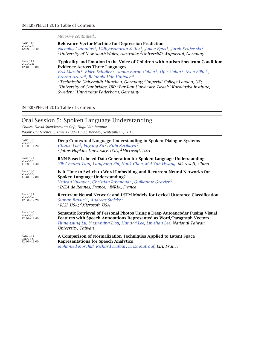*Mon-O-4 continued…*

| <b>PAGE 110</b>                                   | <b>Relevance Vector Machine for Depression Prediction</b>                                                                                                                                                                                                                                                                                                                                                                                                                                                                                                                                                                      |
|---------------------------------------------------|--------------------------------------------------------------------------------------------------------------------------------------------------------------------------------------------------------------------------------------------------------------------------------------------------------------------------------------------------------------------------------------------------------------------------------------------------------------------------------------------------------------------------------------------------------------------------------------------------------------------------------|
| $Mon-O-4-5$                                       | Nicholas Cummins <sup>1</sup> , Vidhyasaharan Sethu <sup>1</sup> , Julien Epps <sup>1</sup> , Jarek Krajewski <sup>2</sup>                                                                                                                                                                                                                                                                                                                                                                                                                                                                                                     |
| $12:20 - 12:40$                                   | <sup>1</sup> University of New South Wales, Australia; <sup>2</sup> Universität Wuppertal, Germany                                                                                                                                                                                                                                                                                                                                                                                                                                                                                                                             |
| <b>PAGE 115</b><br>$Mon-O-4-6$<br>$12:40 - 13:00$ | Typicality and Emotion in the Voice of Children with Autism Spectrum Condition:<br><b>Evidence Across Three Languages</b><br>Erik Marchi <sup>1</sup> , Björn Schuller <sup>2</sup> , Simon Baron-Cohen <sup>3</sup> , Ofer Golan <sup>4</sup> , Sven Bölte <sup>5</sup> ,<br>Prerna Arora <sup>6</sup> , Reinhold Häb-Umbach <sup>6</sup><br><sup>1</sup> Technische Universität München, Germany; <sup>2</sup> Imperial College London, UK;<br><sup>3</sup> University of Cambridge, UK; <sup>4</sup> Bar-Ilan University, Israel; <sup>5</sup> Karolinska Institute,<br>Sweden; <sup>6</sup> Universität Paderborn, Germany |

INTERSPEECH 2015 Table of Contents

| Oral Session 5: Spoken Language Understanding<br>Chairs: David Suendermann-Oeft, Hugo Van hamme<br>Room: Conference 6, Time 11:00 - 13:00, Monday, September 7, 2015 |                                                                                                                                                                                                                                                                                |
|----------------------------------------------------------------------------------------------------------------------------------------------------------------------|--------------------------------------------------------------------------------------------------------------------------------------------------------------------------------------------------------------------------------------------------------------------------------|
| <b>PAGE 120</b><br>$Mon-O-5-1$<br>$11:00 - 11:20$                                                                                                                    | Deep Contextual Language Understanding in Spoken Dialogue Systems<br>Chunxi Liu <sup>1</sup> , Puyang Xu <sup>2</sup> , Ruhi Sarikaya <sup>2</sup><br>$\rm ^1$ Johns Hopkins University, USA; $\rm ^2$ Microsoft, USA                                                          |
| PAGE 125<br>$Mon-O-5-2$<br>$11:20 - 11:40$                                                                                                                           | RNN-Based Labeled Data Generation for Spoken Language Understanding<br>Yik-Cheung Tam, Yangyang Shi, Hunk Chen, Mei-Yuh Hwang, Microsoft, China                                                                                                                                |
| <b>PAGE 130</b><br>$Mon-O-5-3$<br>$11:40 - 12:00$                                                                                                                    | Is it Time to Switch to Word Embedding and Recurrent Neural Networks for<br>Spoken Language Understanding?<br>Vedran Vukotic <sup>1</sup> , Christian Raymond <sup>1</sup> , Guillaume Gravier <sup>2</sup><br><sup>1</sup> INSA de Rennes, France; <sup>2</sup> INRIA, France |
| PAGE 135<br>$Mon-O-5-4$<br>$12:00 - 12:20$                                                                                                                           | Recurrent Neural Network and LSTM Models for Lexical Utterance Classification<br>Suman Ravuri <sup>1</sup> , Andreas Stolcke <sup>2</sup><br><sup>1</sup> ICSI, USA; <sup>2</sup> Microsoft, USA                                                                               |
| <b>PAGE 140</b><br>$Mon-O-5-5$<br>$12:20 - 12:40$                                                                                                                    | Semantic Retrieval of Personal Photos Using a Deep Autoencoder Fusing Visual<br><b>Features with Speech Annotations Represented as Word/Paragraph Vectors</b><br>Hung-tsung Lu, Yuan-ming Liou, Hung-yi Lee, Lin-shan Lee, National Taiwan<br>University, Taiwan               |
| <b>PAGE 145</b><br>$Mon-O-5-6$<br>$12:40 - 13:00$                                                                                                                    | A Comparison of Normalization Techniques Applied to Latent Space<br><b>Representations for Speech Analytics</b><br>Mohamed Morchid, Richard Dufour, Driss Matrouf, LIA, France                                                                                                 |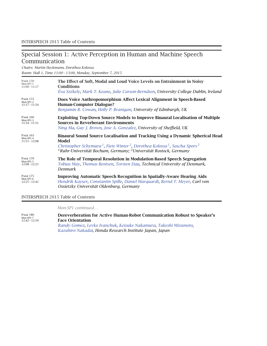### Special Session 1: Active Perception in Human and Machine Speech Communication

*Chairs: Martin Heckmann, Dorothea Kolossa Room: Hall 1, Time 11:00 – 13:00, Monday, September 7, 2015*

| <b>PAGE 150</b>                                 | The Effect of Soft, Modal and Loud Voice Levels on Entrainment in Noisy                                                                                                                                                                                                                                          |
|-------------------------------------------------|------------------------------------------------------------------------------------------------------------------------------------------------------------------------------------------------------------------------------------------------------------------------------------------------------------------|
| Mon-SP1-1                                       | <b>Conditions</b>                                                                                                                                                                                                                                                                                                |
| $11:00 - 11:17$                                 | Éva Székely, Mark T. Keane, Julie Carson-Berndsen, University College Dublin, Ireland                                                                                                                                                                                                                            |
| <b>PAGE 155</b>                                 | Does Voice Anthropomorphism Affect Lexical Alignment in Speech-Based                                                                                                                                                                                                                                             |
| Mon-SP1-2                                       | <b>Human-Computer Dialogue?</b>                                                                                                                                                                                                                                                                                  |
| $11:17 - 11:34$                                 | Benjamin R. Cowan, Holly P. Branigan, University of Edinburgh, UK                                                                                                                                                                                                                                                |
| <b>PAGE 160</b>                                 | <b>Exploiting Top-Down Source Models to Improve Binaural Localisation of Multiple</b>                                                                                                                                                                                                                            |
| Mon-SP1-3                                       | <b>Sources in Reverberant Environments</b>                                                                                                                                                                                                                                                                       |
| $11:34 - 11:51$                                 | Ning Ma, Guy J. Brown, Jose A. Gonzalez, University of Sheffield, UK                                                                                                                                                                                                                                             |
| <b>PAGE 165</b><br>Mon-SP1-4<br>$11:51 - 12:08$ | Binaural Sound Source Localisation and Tracking Using a Dynamic Spherical Head<br>Model<br>Christopher Schymura <sup>1</sup> , Fiete Winter <sup>2</sup> , Dorothea Kolossa <sup>1</sup> , Sascha Spors <sup>2</sup><br><sup>1</sup> Ruhr-Universität Bochum, Germany; <sup>2</sup> Universität Rostock, Germany |
| <b>PAGE 170</b>                                 | The Role of Temporal Resolution in Modulation-Based Speech Segregation                                                                                                                                                                                                                                           |
| Mon-SP1-5                                       | Tobias May, Thomas Bentsen, Torsten Dau, Technical University of Denmark,                                                                                                                                                                                                                                        |
| $12:08 - 12:25$                                 | Denmark                                                                                                                                                                                                                                                                                                          |
| <b>PAGE 175</b>                                 | <b>Improving Automatic Speech Recognition in Spatially-Aware Hearing Aids</b>                                                                                                                                                                                                                                    |
| Mon-SP1-6                                       | Hendrik Kayser, Constantin Spille, Daniel Marquardt, Bernd T. Meyer, Carl von                                                                                                                                                                                                                                    |
| $12:25 - 12:42$                                 | Ossietzky Universität Oldenburg, Germany                                                                                                                                                                                                                                                                         |

#### INTERSPEECH 2015 Table of Contents

*Mon-SP1 continued…*

Page <sup>180</sup> Mon-SP1-7 12:42 – 12:59 **C Dereverberation for Active Human-Robot Communication Robust to Speaker's Face Orientation** *Randy Gomez, Levko Ivanchuk, Keisuke Nakamura, Takeshi Mizumoto, Kazuhiro Nakadai, Honda Research Institute Japan, Japan*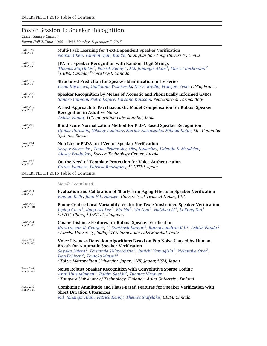# Poster Session 1: Speaker Recognition

*Chair: Sandro Cumani*

*Room: Hall 2, Time 11:00 – 13:00, Monday, September 7, 2015*

| <b>PAGE 185</b><br>$Mon-P-1-1$ | Multi-Task Learning for Text-Dependent Speaker Verification<br>Nanxin Chen, Yanmin Qian, Kai Yu, Shanghai Jiao Tong University, China                                                                                                                     |
|--------------------------------|-----------------------------------------------------------------------------------------------------------------------------------------------------------------------------------------------------------------------------------------------------------|
| <b>PAGE 190</b><br>$Mon-P-1-2$ | <b>JFA for Speaker Recognition with Random Digit Strings</b><br>Themos Stafylakis <sup>1</sup> , Patrick Kenny <sup>1</sup> , Md. Jahangir Alam <sup>1</sup> , Marcel Kockmann <sup>2</sup><br><sup>1</sup> CRIM, Canada; <sup>2</sup> VoiceTrust, Canada |
| <b>PAGE 195</b><br>$Mon-P-1-3$ | <b>Structured Prediction for Speaker Identification in TV Series</b><br>Elena Knyazeva, Guillaume Wisniewski, Hervé Bredin, François Yvon, LIMSI, France                                                                                                  |
| <b>PAGE 200</b><br>$Mon-P-1-4$ | Speaker Recognition by Means of Acoustic and Phonetically Informed GMMs<br>Sandro Cumani, Pietro Laface, Farzana Kulsoom, Politecnico di Torino, Italy                                                                                                    |
| <b>PAGE 205</b><br>$Mon-P-1-5$ | A Fast Approach to Psychoacoustic Model Compensation for Robust Speaker<br><b>Recognition in Additive Noise</b><br>Ashish Panda, TCS Innovation Labs Mumbai, India                                                                                        |
| <b>PAGE 210</b><br>$Mon-P-1-6$ | <b>Blind Score Normalization Method for PLDA Based Speaker Recognition</b><br>Danila Doroshin, Nikolay Lubimov, Marina Nastasenko, Mikhail Kotov, Stel Computer<br>Systems, Russia                                                                        |
| <b>PAGE 214</b><br>$Mon-P-1-7$ | Non-Linear PLDA for i-Vector Speaker Verification<br>Sergey Novoselov, Timur Pekhovsky, Oleg Kudashev, Valentin S. Mendelev,<br>Alexey Prudnikov, Speech Technology Center, Russia                                                                        |
| <b>PAGE 219</b><br>$Mon-P-1-8$ | On the Need of Template Protection for Voice Authentication<br>Carlos Vaquero, Patricia Rodríguez, AGNITiO, Spain                                                                                                                                         |
|                                | <b>INTERSPEECH 2015 Table of Contents</b>                                                                                                                                                                                                                 |

*Mon-P-1 continued…*

| <b>PAGE 224</b><br>$Mon-P-1-9$  | <b>Evaluation and Calibration of Short-Term Aging Effects in Speaker Verification</b><br>Finnian Kelly, John H.L. Hansen, University of Texas at Dallas, USA                                                                                                                                                                                                                                                                   |
|---------------------------------|--------------------------------------------------------------------------------------------------------------------------------------------------------------------------------------------------------------------------------------------------------------------------------------------------------------------------------------------------------------------------------------------------------------------------------|
| <b>PAGE 229</b><br>$Mon-P-1-10$ | <b>Phone-Centric Local Variability Vector for Text-Constrained Speaker Verification</b><br>Liping Chen <sup>1</sup> , Kong Aik Lee <sup>2</sup> , Bin Ma <sup>2</sup> , Wu Guo <sup>1</sup> , Haizhou Li <sup>2</sup> , Li-Rong Dai <sup>1</sup><br><sup>1</sup> USTC, China; <sup>2</sup> A*STAR, Singapore                                                                                                                   |
| <b>PAGE 234</b><br>$Mon-P-1-11$ | <b>Cosine Distance Features for Robust Speaker Verification</b><br>Kuruvachan K. George <sup>1</sup> , C. Santhosh Kumar <sup>1</sup> , Ramachandran K.I. <sup>1</sup> , Ashish Panda <sup>2</sup><br><sup>1</sup> Amrita University, India; <sup>2</sup> TCS Innovation Labs Mumbai, India                                                                                                                                    |
| <b>PAGE 239</b><br>$Mon-P-1-12$ | Voice Liveness Detection Algorithms Based on Pop Noise Caused by Human<br><b>Breath for Automatic Speaker Verification</b><br>Sayaka Shiota <sup>1</sup> , Fernando Villavicencio <sup>2</sup> , Junichi Yamaqishi <sup>2</sup> , Nobutaka Ono <sup>2</sup> ,<br>Isao Echizen <sup>2</sup> , Tomoko Matsui <sup>3</sup><br><sup>1</sup> Tokyo Metropolitan University, Japan; <sup>2</sup> NII, Japan; <sup>3</sup> ISM, Japan |
| <b>PAGE 244</b><br>$Mon-P-1-13$ | Noise Robust Speaker Recognition with Convolutive Sparse Coding<br>Antti Hurmalainen <sup>1</sup> , Rahim Saeidi <sup>2</sup> , Tuomas Virtanen <sup>1</sup><br><sup>1</sup> Tampere University of Technology, Finland; <sup>2</sup> Aalto University, Finland                                                                                                                                                                 |
| <b>PAGE 249</b><br>$Mon-P-1-14$ | <b>Combining Amplitude and Phase-Based Features for Speaker Verification with</b><br><b>Short Duration Utterances</b><br>Md. Jahangir Alam, Patrick Kenny, Themos Stafylakis, CRIM, Canada                                                                                                                                                                                                                                     |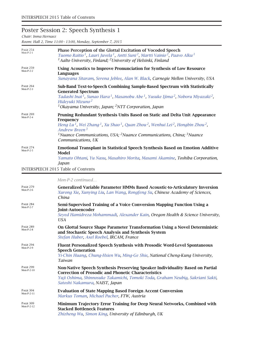# Poster Session 2: Speech Synthesis 1

*Chair: Inma Hernaez*

*Room: Hall 2, Time 11:00 – 13:00, Monday, September 7, 2015*

| <b>PAGE 254</b><br>$Mon-P-2-1$ | Phase Perception of the Glottal Excitation of Vocoded Speech<br>Tuomo Raitio <sup>1</sup> , Lauri Juvela <sup>1</sup> , Antti Suni <sup>2</sup> , Martti Vainio <sup>2</sup> , Paavo Alku <sup>1</sup><br><sup>1</sup> Aalto University, Finland; <sup>2</sup> University of Helsinki, Finland                                                                         |
|--------------------------------|------------------------------------------------------------------------------------------------------------------------------------------------------------------------------------------------------------------------------------------------------------------------------------------------------------------------------------------------------------------------|
| <b>PAGE 259</b><br>$Mon-P-2-2$ | Using Acoustics to Improve Pronunciation for Synthesis of Low Resource<br>Languages                                                                                                                                                                                                                                                                                    |
|                                | Sunayana Sitaram, Serena Jeblee, Alan W. Black, Carnegie Mellon University, USA                                                                                                                                                                                                                                                                                        |
| <b>PAGE 264</b><br>$Mon-P-2-3$ | Sub-Band Text-to-Speech Combining Sample-Based Spectrum with Statistically<br><b>Generated Spectrum</b><br>Tadashi Inai <sup>1</sup> , Sunao Hara <sup>1</sup> , Masanobu Abe <sup>1</sup> , Yusuke Ijima <sup>2</sup> , Noboru Miyazaki <sup>2</sup> ,<br>Hideyuki Mizuno <sup>2</sup><br><sup>1</sup> Okayama University, Japan; <sup>2</sup> NTT Corporation, Japan |
| <b>PAGE 269</b><br>$Mon-P-2-4$ | Pruning Redundant Synthesis Units Based on Static and Delta Unit Appearance                                                                                                                                                                                                                                                                                            |
|                                | Frequency<br>Heng Lu <sup>1</sup> , Wei Zhang <sup>1</sup> , Xu Shao <sup>1</sup> , Quan Zhou <sup>2</sup> , Wenhui Lei <sup>2</sup> , Hongbin Zhou <sup>2</sup> ,<br>Andrew Breen <sup>3</sup>                                                                                                                                                                        |
|                                | <sup>1</sup> Nuance Communications, USA; <sup>2</sup> Nuance Communications, China; <sup>3</sup> Nuance<br>Communications, UK                                                                                                                                                                                                                                          |
| <b>PAGE 274</b><br>Mon-P-2-5   | <b>Emotional Transplant in Statistical Speech Synthesis Based on Emotion Additive</b><br>Model                                                                                                                                                                                                                                                                         |
|                                | Yamato Ohtani, Yu Nasu, Masahiro Morita, Masami Akamine, Toshiba Corporation,<br>Japan                                                                                                                                                                                                                                                                                 |
|                                | <b>INTERSPEECH 2015 Table of Contents</b>                                                                                                                                                                                                                                                                                                                              |
|                                | Mon-P-2 continued                                                                                                                                                                                                                                                                                                                                                      |
| <b>PAGE 279</b><br>Mon-P-2-6   | <b>Generalized Variable Parameter HMMs Based Acoustic-to-Articulatory Inversion</b><br>Xurong Xie, Xunying Liu, Lan Wang, Rongfeng Su, Chinese Academy of Sciences,<br>China                                                                                                                                                                                           |
| <b>PAGE 284</b><br>Mon-P-2-7   | Semi-Supervised Training of a Voice Conversion Mapping Function Using a<br>Joint-Autoencoder<br>Seyed Hamidreza Mohammadi, Alexander Kain, Oregon Health & Science University,<br><b>USA</b>                                                                                                                                                                           |
| Page 289<br>$Mon-P-2-8$        | On Glottal Source Shape Parameter Transformation Using a Novel Deterministic<br>and Stochastic Speech Analysis and Synthesis System<br>Stefan Huber, Axel Roebel, IRCAM, France                                                                                                                                                                                        |
| <b>PAGE 294</b><br>Mon-P-2-9   | Fluent Personalized Speech Synthesis with Prosodic Word-Level Spontaneous<br><b>Speech Generation</b><br>Yi-Chin Huang, Chung-Hsien Wu, Ming-Ge Shie, National Cheng-Kung University,<br>Taiwan                                                                                                                                                                        |
| PAGE 299<br>Mon-P-2-10         | Non-Native Speech Synthesis Preserving Speaker Individuality Based on Partial<br><b>Correction of Prosodic and Phonetic Characteristics</b><br>Yuji Oshima, Shinnosuke Takamichi, Tomoki Toda, Graham Neubig, Sakriani Sakti,<br>Satoshi Nakamura, NAIST, Japan                                                                                                        |
| <b>PAGE 304</b><br>Mon-P-2-11  | <b>Evaluation of State Mapping Based Foreign Accent Conversion</b><br>Markus Toman, Michael Pucher, FTW, Austria                                                                                                                                                                                                                                                       |
| Page 309<br>Mon-P-2-12         | Minimum Trajectory Error Training for Deep Neural Networks, Combined with<br><b>Stacked Bottleneck Features</b><br>Zhizheng Wu, Simon King, University of Edinburgh, UK                                                                                                                                                                                                |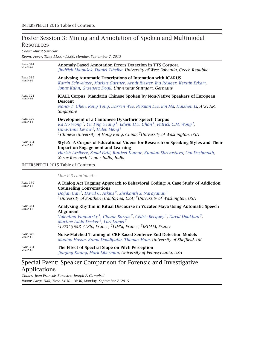### Poster Session 3: Mining and Annotation of Spoken and Multimodal Resources

*Chair: Murat Saraçlar*

|                                | Room: Foyer, Time 11:00 - 13:00, Monday, September 7, 2015                                                                                                                                                                                                                                                                                 |
|--------------------------------|--------------------------------------------------------------------------------------------------------------------------------------------------------------------------------------------------------------------------------------------------------------------------------------------------------------------------------------------|
| <b>PAGE 314</b><br>$Mon-P-3-1$ | <b>Anomaly-Based Annotation Errors Detection in TTS Corpora</b><br>Jindřich Matoušek, Daniel Tihelka, University of West Bohemia, Czech Republic                                                                                                                                                                                           |
| <b>PAGE 319</b><br>$Mon-P-3-2$ | Analysing Automatic Descriptions of Intonation with ICARUS<br>Katrin Schweitzer, Markus Gärtner, Arndt Riester, Ina Rösiger, Kerstin Eckart,<br>Jonas Kuhn, Grzegorz Dogil, Universität Stuttgart, Germany                                                                                                                                 |
| <b>PAGE 324</b><br>$Mon-P-3-3$ | iCALL Corpus: Mandarin Chinese Spoken by Non-Native Speakers of European<br><b>Descent</b><br>Nancy F. Chen, Rong Tong, Darren Wee, Peixuan Lee, Bin Ma, Haizhou Li, A*STAR,<br>Singapore                                                                                                                                                  |
| <b>PAGE 329</b><br>$Mon-P-3-4$ | Development of a Cantonese Dysarthric Speech Corpus<br>Ka Ho Wong <sup>1</sup> , Yu Ting Yeung <sup>1</sup> , Edwin H.Y. Chan <sup>1</sup> , Patrick C.M. Wong <sup>1</sup> ,<br>Gina-Anne Levow <sup>2</sup> , Helen Meng <sup>1</sup><br><sup>1</sup> Chinese University of Hong Kong, China; <sup>2</sup> University of Washington, USA |
| <b>PAGE 334</b><br>$Mon-P-3-5$ | StyleX: A Corpus of Educational Videos for Research on Speaking Styles and Their<br><b>Impact on Engagement and Learning</b><br>Harish Arsikere, Sonal Patil, Ranjeet Kumar, Kundan Shrivastava, Om Deshmukh,<br>Xerox Research Center India, India                                                                                        |
|                                | <b>INTERSPEECH 2015 Table of Contents</b>                                                                                                                                                                                                                                                                                                  |

*Mon-P-3 continued…*

| <b>PAGE 339</b><br>$Mon-P-3-6$ | A Dialog Act Tagging Approach to Behavioral Coding: A Case Study of Addiction<br><b>Counseling Conversations</b><br>Doğan Can <sup>1</sup> , David C. Atkins <sup>2</sup> , Shrikanth S. Narayanan <sup>1</sup><br><sup>1</sup> University of Southern California, USA; <sup>2</sup> University of Washington, USA                                                                          |
|--------------------------------|---------------------------------------------------------------------------------------------------------------------------------------------------------------------------------------------------------------------------------------------------------------------------------------------------------------------------------------------------------------------------------------------|
| <b>PAGE 344</b><br>$Mon-P-3-7$ | Analysing Rhythm in Ritual Discourse in Yucatec Maya Using Automatic Speech<br><b>Alignment</b><br>Valentina Vapnarsky <sup>1</sup> , Claude Barras <sup>2</sup> , Cédric Becquey <sup>1</sup> , David Doukhan <sup>3</sup> ,<br>Martine Adda-Decker <sup>2</sup> , Lori Lamel <sup>2</sup><br><sup>1</sup> LESC (UMR 7186), France; <sup>2</sup> LIMSI, France; <sup>3</sup> IRCAM, France |
| <b>PAGE 349</b>                | Noise-Matched Training of CRF Based Sentence End Detection Models                                                                                                                                                                                                                                                                                                                           |
| $Mon-P-3-8$                    | Madina Hasan, Rama Doddipatla, Thomas Hain, University of Sheffield, UK                                                                                                                                                                                                                                                                                                                     |
| <b>PAGE 354</b>                | The Effect of Spectral Slope on Pitch Perception                                                                                                                                                                                                                                                                                                                                            |
| $Mon-P-3-9$                    | Jianjing Kuang, Mark Liberman, University of Pennsylvania, USA                                                                                                                                                                                                                                                                                                                              |

# Special Event: Speaker Comparison for Forensic and Investigative Applications

*Chairs: Jean-François Bonastre, Joseph P. Campbell Room: Large Hall, Time 14:30 – 16:30, Monday, September 7, 2015*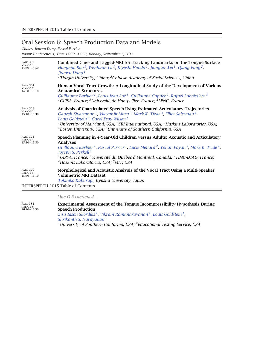### Oral Session 6: Speech Production Data and Models

*Chairs: Jianwu Dang, Pascal Perrier*

*Room: Conference 1, Time 14:30 – 16:30, Monday, September 7, 2015*

| <b>PAGE 359</b><br>$Mon-O-6-1$<br>$14:30 - 14:50$ | Combined Cine- and Tagged-MRI for Tracking Landmarks on the Tongue Surface<br>Honghao Bao <sup>1</sup> , Wenhuan Lu <sup>1</sup> , Kiyoshi Honda <sup>1</sup> , Jianguo Wei <sup>1</sup> , Qiang Fang <sup>2</sup> ,<br>Jianwu Dang <sup>1</sup><br><sup>1</sup> Tianjin University, China; <sup>2</sup> Chinese Academy of Social Sciences, China                                                                                                                                                     |
|---------------------------------------------------|--------------------------------------------------------------------------------------------------------------------------------------------------------------------------------------------------------------------------------------------------------------------------------------------------------------------------------------------------------------------------------------------------------------------------------------------------------------------------------------------------------|
| <b>PAGE 364</b><br>$Mon-O-6-2$<br>$14:50 - 15:10$ | Human Vocal Tract Growth: A Longitudinal Study of the Development of Various<br><b>Anatomical Structures</b><br>Guillaume Barbier <sup>1</sup> , Louis-Jean Boë <sup>1</sup> , Guillaume Captier <sup>2</sup> , Rafael Laboissière <sup>3</sup><br><sup>1</sup> GIPSA, France; <sup>2</sup> Université de Montpellier, France; <sup>3</sup> LPNC, France                                                                                                                                               |
| <b>PAGE 369</b><br>$Mon-O-6-3$<br>$15:10 - 15:30$ | <b>Analysis of Coarticulated Speech Using Estimated Articulatory Trajectories</b><br>Ganesh Sivaraman <sup>1</sup> , Vikramjit Mitra <sup>2</sup> , Mark K. Tiede <sup>3</sup> , Elliot Saltzman <sup>4</sup> ,<br>Louis Goldstein <sup>5</sup> , Carol Espy-Wilson <sup>1</sup><br><sup>1</sup> University of Maryland, USA; <sup>2</sup> SRI International, USA; <sup>3</sup> Haskins Laboratories, USA;<br><sup>4</sup> Boston University, USA; <sup>5</sup> University of Southern California, USA |
| <b>PAGE 374</b><br>$Mon-O-6-4$<br>$15:30 - 15:50$ | Speech Planning in 4-Year-Old Children versus Adults: Acoustic and Articulatory<br><b>Analyses</b><br>Guillaume Barbier <sup>1</sup> , Pascal Perrier <sup>1</sup> , Lucie Ménard <sup>2</sup> , Yohan Payan <sup>3</sup> , Mark K. Tiede <sup>4</sup> ,<br>Joseph S. Perkell <sup>5</sup><br><sup>1</sup> GIPSA, France; <sup>2</sup> Université du Québec à Montréal, Canada; <sup>3</sup> TIMC-IMAG, France;<br><sup>4</sup> Haskins Laboratories, USA; <sup>5</sup> MIT, USA                       |
| <b>PAGE 379</b><br>$Mon-O-6-5$<br>$15:50 - 16:10$ | Morphological and Acoustic Analysis of the Vocal Tract Using a Multi-Speaker<br><b>Volumetric MRI Dataset</b><br>Tokihiko Kaburagi, Kyushu University, Japan<br><b>INTERSPEECH 2015 Table of Contents</b>                                                                                                                                                                                                                                                                                              |

*Mon-O-6 continued…*

Page <sup>384</sup> Mon-O-6-6 16:10 – 16:30 **Experimental Assessment of the Tongue Incompressibility Hypothesis During Speech Production** *Zisis Iason Skordilis 1, Vikram Ramanarayanan 2, Louis Goldstein 1, Shrikanth S. Narayanan <sup>1</sup> 1University of Southern California, USA; 2Educational Testing Service, USA*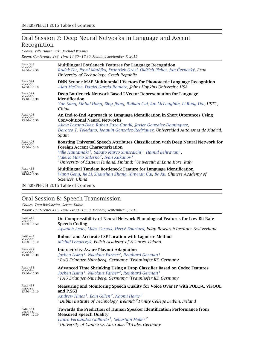# Oral Session 7: Deep Neural Networks in Language and Accent Recognition

*Chairs: Ville Hautamäki, Michael Wagner*

*Room: Conference 2+3, Time 14:30 – 16:30, Monday, September 7, 2015*

| <b>PAGE 389</b><br>$Mon-O-7-1$<br>$14:30 - 14:50$ | <b>Multilingual Bottleneck Features for Language Recognition</b><br>Radek Fér, Pavel Matějka, František Grézl, Oldřich Plchot, Jan Černocký, Brno<br>University of Technology, Czech Republic                                                                                                                                                                                                                   |
|---------------------------------------------------|-----------------------------------------------------------------------------------------------------------------------------------------------------------------------------------------------------------------------------------------------------------------------------------------------------------------------------------------------------------------------------------------------------------------|
| <b>PAGE 394</b><br>$Mon-O-7-2$<br>$14:50 - 15:10$ | <b>DNN Senone MAP Multinomial i-Vectors for Phonotactic Language Recognition</b><br>Alan McCree, Daniel Garcia-Romero, Johns Hopkins University, USA                                                                                                                                                                                                                                                            |
| <b>PAGE 398</b><br>$Mon-O-7-3$<br>$15:10 - 15:30$ | Deep Bottleneck Network Based I-Vector Representation for Language<br><b>Identification</b><br>Yan Song, Xinhai Hong, Bing Jiang, Ruilian Cui, Ian McLoughlin, Li-Rong Dai, USTC,<br>China                                                                                                                                                                                                                      |
| <b>PAGE 403</b><br>$Mon-O-7-4$<br>$15:30 - 15:50$ | An End-to-End Approach to Language Identification in Short Utterances Using<br><b>Convolutional Neural Networks</b><br>Alicia Lozano-Diez, Ruben Zazo-Candil, Javier Gonzalez-Dominguez,<br>Doroteo T. Toledano, Joaquin Gonzalez-Rodriquez, Universidad Autónoma de Madrid,<br>Spain                                                                                                                           |
| <b>PAGE 408</b><br>$Mon-O-7-5$<br>$15:50 - 16:10$ | <b>Boosting Universal Speech Attributes Classification with Deep Neural Network for</b><br><b>Foreign Accent Characterization</b><br>Ville Hautamäki <sup>1</sup> , Sabato Marco Siniscalchi <sup>2</sup> , Hamid Behravan <sup>1</sup> ,<br>Valerio Mario Salerno <sup>2</sup> , Ivan Kukanov <sup>1</sup><br><sup>1</sup> University of Eastern Finland, Finland; <sup>2</sup> Università di Enna Kore, Italy |
| <b>PAGE 413</b><br>$Mon-O-7-6$<br>$16:10 - 16:30$ | Multilingual Tandem Bottleneck Feature for Language Identification<br>Wang Geng, Jie Li, Shanshan Zhang, Xinyuan Cai, Bo Xu, Chinese Academy of<br>Sciences, China                                                                                                                                                                                                                                              |
|                                                   | INTED CDEECH $2015$ Table of Contents                                                                                                                                                                                                                                                                                                                                                                           |

INTERSPEECH 2015 Table of Contents

### Oral Session 8: Speech Transmission

*Chairs: Tom Bäckström, Gernot Kubin*

*Room: Conference 4+5, Time 14:30 – 16:30, Monday, September 7, 2015*

| PAGE 418                                          | On Compressibility of Neural Network Phonological Features for Low Bit Rate                                                                                                                                                                                                        |
|---------------------------------------------------|------------------------------------------------------------------------------------------------------------------------------------------------------------------------------------------------------------------------------------------------------------------------------------|
| $Mon-O-8-1$                                       | <b>Speech Coding</b>                                                                                                                                                                                                                                                               |
| $14:30 - 14:50$                                   | Afsaneh Asaei, Milos Cernak, Hervé Bourlard, Idiap Research Institute, Switzerland                                                                                                                                                                                                 |
| <b>PAGE 423</b><br>$Mon-O-8-2$<br>$14:50 - 15:10$ | Robust and Accurate LSF Location with Laguerre Method<br>Michał Lenarczyk, Polish Academy of Sciences, Poland                                                                                                                                                                      |
| <b>PAGE 428</b>                                   | <b>Interactivity-Aware Playout Adaptation</b>                                                                                                                                                                                                                                      |
| $Mon-O-8-3$                                       | Jochen Issing <sup>1</sup> , Nikolaus Färber <sup>2</sup> , Reinhard German <sup>1</sup>                                                                                                                                                                                           |
| $15:10 - 15:30$                                   | <sup>1</sup> FAU Erlangen-Nürnberg, Germany; <sup>2</sup> Fraunhofer IIS, Germany                                                                                                                                                                                                  |
| <b>PAGE 433</b>                                   | <b>Advanced Time Shrinking Using a Drop Classifier Based on Codec Features</b>                                                                                                                                                                                                     |
| $Mon-O-8-4$                                       | Jochen Issing <sup>1</sup> , Nikolaus Färber <sup>2</sup> , Reinhard German <sup>1</sup>                                                                                                                                                                                           |
| $15:30 - 15:50$                                   | <sup>1</sup> FAU Erlangen-Nürnberg, Germany; <sup>2</sup> Fraunhofer IIS, Germany                                                                                                                                                                                                  |
| <b>PAGE 438</b><br>$Mon-O-8-5$<br>$15:50 - 16:10$ | Measuring and Monitoring Speech Quality for Voice Over IP with POLQA, ViSQOL<br>and P.563<br>Andrew Hines <sup>1</sup> , Eoin Gillen <sup>2</sup> , Naomi Harte <sup>2</sup><br><sup>1</sup> Dublin Institute of Technology, Ireland; <sup>2</sup> Trinity College Dublin, Ireland |
| PAGE 443<br>$Mon-O-8-6$<br>$16:10 - 16:30$        | Towards the Prediction of Human Speaker Identification Performance from<br><b>Measured Speech Quality</b><br>Laura Fernández Gallardo <sup>1</sup> , Sebastian Möller <sup>2</sup><br><sup>1</sup> University of Canberra, Australia; <sup>2</sup> T-Labs, Germany                 |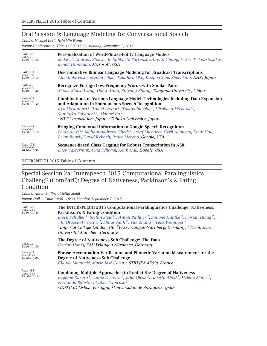### Oral Session 9: Language Modeling for Conversational Speech

*Chairs: Michael Levit, Hsin Min Wang*

*Room: Conference 6, Time 14:30 – 16:30, Monday, September 7, 2015*

| PAGE 448<br>$Mon-O-9-1$<br>$14:30 - 14:50$        | Personalization of Word-Phrase-Entity Language Models<br>M. Levit, Andreas Stolcke, R. Subba, S. Parthasarathy, S. Chang, S. Xie, T. Anastasakos,<br>Benoit Dumoulin, Microsoft, USA                                                                                                                                                                                                                       |
|---------------------------------------------------|------------------------------------------------------------------------------------------------------------------------------------------------------------------------------------------------------------------------------------------------------------------------------------------------------------------------------------------------------------------------------------------------------------|
| <b>PAGE 453</b><br>$Mon-O-9-2$<br>$14:50 - 15:10$ | Discriminative Bilinear Language Modeling for Broadcast Transcriptions<br>Akio Kobayashi, Manon Ichiki, Takahiro Oku, Kazuo Onoe, Shoei Sato, NHK, Japan                                                                                                                                                                                                                                                   |
| <b>PAGE 458</b><br>$Mon-O-9-3$<br>$15:10 - 15:30$ | <b>Recognize Foreign Low-Frequency Words with Similar Pairs</b><br>Xi Ma, Xiaoxi Wang, Dong Wang, Zhiyong Zhang, Tsinghua University, China                                                                                                                                                                                                                                                                |
| <b>PAGE 463</b><br>$Mon-O-9-4$<br>$15:30 - 15:50$ | <b>Combinations of Various Language Model Technologies Including Data Expansion</b><br>and Adaptation in Spontaneous Speech Recognition<br>Ryo Masumura <sup>1</sup> , Taichi Asami <sup>1</sup> , Takanobu Oba <sup>1</sup> , Hirokazu Masataki <sup>1</sup> ,<br>Sumitaka Sakauchi <sup>1</sup> , Akinori Ito <sup>2</sup><br><sup>1</sup> NTT Corporation, Japan; <sup>2</sup> Tohoku University, Japan |
| <b>PAGE 468</b><br>$Mon-O-9-5$<br>$15:50 - 16:10$ | <b>Bringing Contextual Information to Google Speech Recognition</b><br>Petar Aleksic, Mohammadreza Ghodsi, Assaf Michaely, Cyril Allauzen, Keith Hall,<br>Brian Roark, David Rybach, Pedro Moreno, Google, USA                                                                                                                                                                                             |
| <b>PAGE 473</b><br>$Mon-O-9-6$<br>$16:10 - 16:30$ | Sequence-Based Class Tagging for Robust Transcription in ASR<br>Lucy Vasserman, Vlad Schogol, Keith Hall, Google, USA                                                                                                                                                                                                                                                                                      |

INTERSPEECH 2015 Table of Contents

### Special Session 2a: Interspeech 2015 Computational Paralinguistics ChallengE (ComParE): Degree of Nativeness, Parkinson's & Eating Condition

*Chairs: Anton Batliner, Stefan Steidl Room: Hall 1, Time 14:30 – 16:30, Monday, September 7, 2015*

| <b>PAGE 478</b><br>Mon-SP2a-1<br>$14:30 - 14:40$ | The INTERSPEECH 2015 Computational Paralinguistics Challenge: Nativeness,<br><b>Parkinson's &amp; Eating Condition</b><br>Björn Schuller <sup>1</sup> , Stefan Steidl <sup>2</sup> , Anton Batliner <sup>2</sup> , Simone Hantke <sup>3</sup> , Florian Hönig <sup>2</sup> ,<br>J.R. Orozco-Arroyave <sup>2</sup> , Elmar Nöth <sup>2</sup> , Yue Zhang <sup>3</sup> , Felix Weninger <sup>3</sup><br><sup>1</sup> Imperial College London, UK; <sup>2</sup> FAU Erlangen-Nürnberg, Germany; <sup>3</sup> Technische<br>Universität München, Germany |
|--------------------------------------------------|------------------------------------------------------------------------------------------------------------------------------------------------------------------------------------------------------------------------------------------------------------------------------------------------------------------------------------------------------------------------------------------------------------------------------------------------------------------------------------------------------------------------------------------------------|
| Mon-SP2a-i1                                      | The Degree of Nativeness Sub-Challenge: The Data                                                                                                                                                                                                                                                                                                                                                                                                                                                                                                     |
| $14:40 - 14:50$                                  | Florian Hönig, FAU Erlangen-Nürnberg, Germany                                                                                                                                                                                                                                                                                                                                                                                                                                                                                                        |
| <b>PAGE 483</b>                                  | <b>Phrase Accentuation Verification and Phonetic Variation Measurement for the</b>                                                                                                                                                                                                                                                                                                                                                                                                                                                                   |
| Mon-SP2a-2                                       | Degree of Nativeness Sub-Challenge                                                                                                                                                                                                                                                                                                                                                                                                                                                                                                                   |
| $14:50 - 15:00$                                  | Claude Montacié, Marie-José Caraty, STIH (EA 4509), France                                                                                                                                                                                                                                                                                                                                                                                                                                                                                           |
| <b>PAGE 488</b><br>Mon-SP2a-3<br>$15:00 - 15:10$ | <b>Combining Multiple Approaches to Predict the Degree of Nativeness</b><br>Eugénio Ribeiro <sup>1</sup> , Jaime Ferreira <sup>1</sup> , Julia Olcoz <sup>2</sup> , Alberto Abad <sup>1</sup> , Helena Moniz <sup>1</sup> ,<br>Fernando Batista <sup>1</sup> , Isabel Trancoso <sup>1</sup><br><sup>1</sup> INESC-ID Lisboa, Portugal; <sup>2</sup> Universidad de Zaragoza, Spain                                                                                                                                                                   |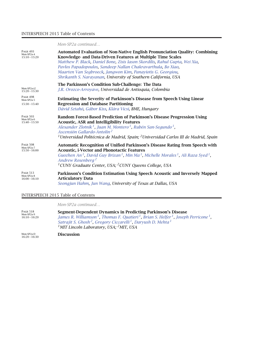#### INTERSPEECH 2015 Table of Contents

*Mon-SP2a continued…*

| <b>PAGE 493</b><br>Mon-SP2a-4<br>$15:10 - 15:20$ | <b>Automated Evaluation of Non-Native English Pronunciation Quality: Combining</b><br>Knowledge- and Data-Driven Features at Multiple Time Scales<br>Matthew P. Black, Daniel Bone, Zisis Iason Skordilis, Rahul Gupta, Wei Xia,<br>Pavlos Papadopoulos, Sandeep Nallan Chakravarthula, Bo Xiao,<br>Maarten Van Segbroeck, Jangwon Kim, Panayiotis G. Georgiou,<br>Shrikanth S. Narayanan, University of Southern California, USA |
|--------------------------------------------------|-----------------------------------------------------------------------------------------------------------------------------------------------------------------------------------------------------------------------------------------------------------------------------------------------------------------------------------------------------------------------------------------------------------------------------------|
| Mon-SP2a-i2                                      | The Parkinson's Condition Sub-Challenge: The Data                                                                                                                                                                                                                                                                                                                                                                                 |
| $15:20 - 15:30$                                  | J.R. Orozco-Arroyave, Universidad de Antioquia, Colombia                                                                                                                                                                                                                                                                                                                                                                          |
| <b>PAGE 498</b>                                  | Estimating the Severity of Parkinson's Disease from Speech Using Linear                                                                                                                                                                                                                                                                                                                                                           |
| Mon-SP2a-5                                       | <b>Regression and Database Partitioning</b>                                                                                                                                                                                                                                                                                                                                                                                       |
| $15:30 - 15:40$                                  | Dávid Sztahó, Gábor Kiss, Klára Vicsi, BME, Hungary                                                                                                                                                                                                                                                                                                                                                                               |
| <b>PAGE 503</b><br>Mon-SP2a-6<br>$15:40 - 15:50$ | Random Forest-Based Prediction of Parkinson's Disease Progression Using<br><b>Acoustic, ASR and Intelligibility Features</b><br>Alexander Zlotnik <sup>1</sup> , Juan M. Montero <sup>1</sup> , Rubén San-Segundo <sup>1</sup> ,<br>Ascensión Gallardo-Antolín <sup>2</sup><br><sup>1</sup> Universidad Politécnica de Madrid, Spain; <sup>2</sup> Universidad Carlos III de Madrid, Spain                                        |
| <b>PAGE 508</b><br>Mon-SP2a-7<br>$15:50 - 16:00$ | <b>Automatic Recognition of Unified Parkinson's Disease Rating from Speech with</b><br><b>Acoustic, i-Vector and Phonotactic Features</b><br>Guozhen An <sup>1</sup> , David Guy Brizan <sup>1</sup> , Min Ma <sup>1</sup> , Michelle Morales <sup>1</sup> , Ali Raza Syed <sup>1</sup> ,<br>Andrew Rosenberg <sup>2</sup><br><sup>1</sup> CUNY Graduate Center, USA; <sup>2</sup> CUNY Queens College, USA                       |
| <b>PAGE 513</b>                                  | Parkinson's Condition Estimation Using Speech Acoustic and Inversely Mapped                                                                                                                                                                                                                                                                                                                                                       |
| Mon-SP2a-8                                       | <b>Articulatory Data</b>                                                                                                                                                                                                                                                                                                                                                                                                          |
| $16:00 - 16:10$                                  | Seongjun Hahm, Jun Wang, University of Texas at Dallas, USA                                                                                                                                                                                                                                                                                                                                                                       |

INTERSPEECH 2015 Table of Contents

*Mon-SP2a continued…*

| <b>PAGE 518</b><br>Mon-SP2a-9<br>$16:10 - 16:20$ | Segment-Dependent Dynamics in Predicting Parkinson's Disease                                                                        |
|--------------------------------------------------|-------------------------------------------------------------------------------------------------------------------------------------|
|                                                  | James R. Williamson <sup>1</sup> , Thomas F. Quatieri <sup>1</sup> , Brian S. Helfer <sup>1</sup> , Joseph Perricone <sup>1</sup> , |
|                                                  | Satrajit S. Ghosh <sup>2</sup> , Gregory Ciccarelli <sup>1</sup> , Daryush D. Mehta <sup>1</sup>                                    |
|                                                  | <sup>1</sup> MIT Lincoln Laboratory, USA; <sup>2</sup> MIT, USA                                                                     |
| Mon-SP2a-D<br>$16:20 - 16:30$                    | <b>Discussion</b>                                                                                                                   |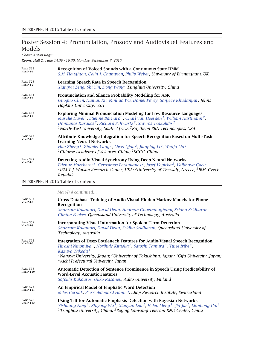# Poster Session 4: Pronunciation, Prosody and Audiovisual Features and Models

*Chair: Anton Ragni*

*Room: Hall 2, Time 14:30 – 16:30, Monday, September 7, 2015*

| <b>PAGE 523</b><br>$Mon-P-4-1$ | <b>Recognition of Voiced Sounds with a Continuous State HMM</b><br>S.M. Houghton, Colin J. Champion, Philip Weber, University of Birmingham, UK                                                                                                                                                                                                                                                                |
|--------------------------------|----------------------------------------------------------------------------------------------------------------------------------------------------------------------------------------------------------------------------------------------------------------------------------------------------------------------------------------------------------------------------------------------------------------|
| <b>PAGE 528</b><br>$Mon-P-4-2$ | <b>Learning Speech Rate in Speech Recognition</b><br>Xiangyu Zeng, Shi Yin, Dong Wang, Tsinghua University, China                                                                                                                                                                                                                                                                                              |
| <b>PAGE 533</b><br>$Mon-P-4-3$ | Pronunciation and Silence Probability Modeling for ASR<br>Guoguo Chen, Hainan Xu, Minhua Wu, Daniel Povey, Sanjeev Khudanpur, Johns<br>Hopkins University, USA                                                                                                                                                                                                                                                 |
| <b>PAGE 538</b><br>$Mon-P-4-4$ | <b>Exploring Minimal Pronunciation Modeling for Low Resource Languages</b><br>Marelie Davel <sup>1</sup> , Etienne Barnard <sup>1</sup> , Charl van Heerden <sup>1</sup> , William Hartmann <sup>2</sup> ,<br>Damianos Karakos <sup>2</sup> , Richard Schwartz <sup>2</sup> , Stavros Tsakalidis <sup>2</sup><br><sup>1</sup> North-West University, South Africa; <sup>2</sup> Raytheon BBN Technologies, USA |
| <b>PAGE 543</b><br>$Mon-P-4-5$ | <b>Attribute Knowledge Integration for Speech Recognition Based on Multi-Task</b><br><b>Learning Neural Networks</b><br>Hao Zheng <sup>1</sup> , Zhanlei Yang <sup>1</sup> , Liwei Qiao <sup>2</sup> , Jianping Li <sup>2</sup> , Wenju Liu <sup>1</sup><br><sup>1</sup> Chinese Academy of Sciences, China; <sup>2</sup> SGCC, China                                                                          |
| <b>PAGE 548</b><br>$Mon-P-4-6$ | Detecting Audio-Visual Synchrony Using Deep Neural Networks<br>Etienne Marcheret <sup>1</sup> , Gerasimos Potamianos <sup>2</sup> , Josef Vopicka <sup>3</sup> , Vaibhava Goel <sup>1</sup><br><sup>1</sup> IBM T.J. Watson Research Center, USA; <sup>2</sup> University of Thessaly, Greece; <sup>3</sup> IBM, Czech<br>Republic                                                                             |

INTERSPEECH 2015 Table of Contents

*Mon-P-4 continued…*

| <b>PAGE 553</b><br>$Mon-P-4-7$  | <b>Cross Database Training of Audio-Visual Hidden Markov Models for Phone</b><br>Recognition                                                                                                                                                                                                                                                                                                                                 |
|---------------------------------|------------------------------------------------------------------------------------------------------------------------------------------------------------------------------------------------------------------------------------------------------------------------------------------------------------------------------------------------------------------------------------------------------------------------------|
|                                 | Shahram Kalantari, David Dean, Houman Ghaemmaghami, Sridha Sridharan,<br>Clinton Fookes, Queensland University of Technology, Australia                                                                                                                                                                                                                                                                                      |
| <b>PAGE 558</b><br>$Mon-P-4-8$  | <b>Incorporating Visual Information for Spoken Term Detection</b><br>Shahram Kalantari, David Dean, Sridha Sridharan, Queensland University of<br>Technology, Australia                                                                                                                                                                                                                                                      |
| <b>PAGE 563</b><br>$Mon-P-4-9$  | <b>Integration of Deep Bottleneck Features for Audio-Visual Speech Recognition</b><br>Hiroshi Ninomiya <sup>1</sup> , Norihide Kitaoka <sup>2</sup> , Satoshi Tamura <sup>3</sup> , Yurie Iribe <sup>4</sup> ,<br>Kazuya Takeda <sup>1</sup><br><sup>1</sup> Nagoya University, Japan; <sup>2</sup> University of Tokushima, Japan; <sup>3</sup> Gifu University, Japan;<br><sup>4</sup> Aichi Prefectural University, Japan |
| <b>PAGE 568</b><br>$Mon-P-4-10$ | Automatic Detection of Sentence Prominence in Speech Using Predictability of<br><b>Word-Level Acoustic Features</b><br>Sofoklis Kakouros, Okko Räsänen, Aalto University, Finland                                                                                                                                                                                                                                            |
| <b>PAGE 573</b><br>$Mon-P-4-11$ | <b>An Empirical Model of Emphatic Word Detection</b><br>Milos Cernak, Pierre-Edouard Honnet, Idiap Research Institute, Switzerland                                                                                                                                                                                                                                                                                           |
| <b>PAGE 578</b><br>Mon-P-4-12   | Using Tilt for Automatic Emphasis Detection with Bayesian Networks<br>Yishuang Ning <sup>1</sup> , Zhiyong Wu <sup>1</sup> , Xiaoyan Lou <sup>2</sup> , Helen Meng <sup>1</sup> , Jia Jia <sup>1</sup> , Lianhong Cai <sup>1</sup><br><sup>1</sup> Tsinghua University, China; <sup>2</sup> Beijing Samsung Telecom R&D Center, China                                                                                        |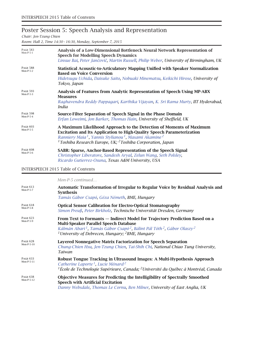# Poster Session 5: Speech Analysis and Representation

*Chair: Jen-Tzung Chien*

*Room: Hall 2, Time 14:30 – 16:30, Monday, September 7, 2015*

| <b>PAGE 583</b><br>$Mon-P-5-1$ | Analysis of a Low-Dimensional Bottleneck Neural Network Representation of<br><b>Speech for Modelling Speech Dynamics</b><br>Linxue Bai, Peter Jančovič, Martin Russell, Philip Weber, University of Birmingham, UK                                                                                                                     |
|--------------------------------|----------------------------------------------------------------------------------------------------------------------------------------------------------------------------------------------------------------------------------------------------------------------------------------------------------------------------------------|
| <b>PAGE 588</b><br>$Mon-P-5-2$ | Statistical Acoustic-to-Articulatory Mapping Unified with Speaker Normalization<br><b>Based on Voice Conversion</b><br>Hidetsugu Uchida, Daisuke Saito, Nobuaki Minematsu, Keikichi Hirose, University of<br>Tokyo, Japan                                                                                                              |
| <b>PAGE 593</b><br>$Mon-P-5-3$ | Analysis of Features from Analytic Representation of Speech Using MP-ABX<br><b>Measures</b><br>Raghavendra Reddy Pappagari, Karthika Vijayan, K. Sri Rama Murty, IIT Hyderabad,<br>India                                                                                                                                               |
| <b>PAGE 598</b><br>$Mon-P-5-4$ | Source-Filter Separation of Speech Signal in the Phase Domain<br>Erfan Loweimi, Jon Barker, Thomas Hain, University of Sheffield, UK                                                                                                                                                                                                   |
| PAGE 603<br>$Mon-P-5-5$        | A Maximum Likelihood Approach to the Detection of Moments of Maximum<br><b>Excitation and Its Application to High-Quality Speech Parameterization</b><br>Ranniery Maia <sup>1</sup> , Yannis Stylianou <sup>1</sup> , Masami Akamine <sup>2</sup><br><sup>1</sup> Toshiba Research Europe, UK; <sup>2</sup> Toshiba Corporation, Japan |
| <b>PAGE 608</b><br>$Mon-P-5-6$ | SABR: Sparse, Anchor-Based Representation of the Speech Signal<br>Christopher Liberatore, Sandesh Aryal, Zelun Wang, Seth Polsley,<br>Ricardo Gutierrez-Osuna, Texas A&M University, USA                                                                                                                                               |

#### INTERSPEECH 2015 Table of Contents

|                                 | Mon-P-5 continued                                                                                                                                                                                                                                                                                                                |
|---------------------------------|----------------------------------------------------------------------------------------------------------------------------------------------------------------------------------------------------------------------------------------------------------------------------------------------------------------------------------|
| <b>PAGE 613</b><br>$Mon-P-5-Z$  | Automatic Transformation of Irregular to Regular Voice by Residual Analysis and<br><b>Synthesis</b><br>Tamás Gábor Csapó, Géza Németh, BME, Hungary                                                                                                                                                                              |
| <b>PAGE 618</b><br>$Mon-P-5-8$  | <b>Optical Sensor Calibration for Electro-Optical Stomatography</b><br>Simon Preuß, Peter Birkholz, Technische Universität Dresden, Germany                                                                                                                                                                                      |
| <b>PAGE 623</b><br>$Mon-P-5-9$  | From Text to Formants - Indirect Model for Trajectory Prediction Based on a<br><b>Multi-Speaker Parallel Speech Database</b><br>Kálmán Abari <sup>1</sup> , Tamás Gábor Csapó <sup>2</sup> , Bálint Pál Tóth <sup>2</sup> , Gábor Olaszy <sup>2</sup><br><sup>1</sup> University of Debrecen, Hungary; <sup>2</sup> BME, Hungary |
| <b>PAGE 628</b><br>$Mon-P-5-10$ | Layered Nonnegative Matrix Factorization for Speech Separation<br>Chung-Chien Hsu, Jen-Tzung Chien, Tai-Shih Chi, National Chiao Tung University,<br>Taiwan                                                                                                                                                                      |
| <b>PAGE 633</b><br>Mon-P-5-11   | Robust Tongue Tracking in Ultrasound Images: A Multi-Hypothesis Approach<br>Catherine Laporte <sup>1</sup> , Lucie Ménard <sup>2</sup><br>${}^{1}$ École de Technologie Supérieure, Canada; <sup>2</sup> Université du Québec à Montréal, Canada                                                                                 |
| <b>PAGE 638</b><br>Mon-P-5-12   | <b>Objective Measures for Predicting the Intelligibility of Spectrally Smoothed</b><br><b>Speech with Artificial Excitation</b><br>Danny Websdale, Thomas Le Cornu, Ben Milner, University of East Anglia, UK                                                                                                                    |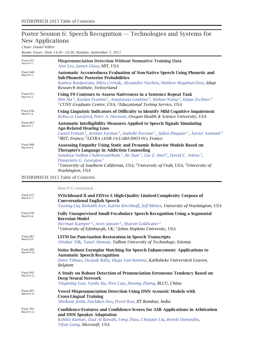# Poster Session 6: Speech Recognition — Technologies and Systems for New Applications

*Chair: Daniel Willett*

*Room: Foyer, Time 14:30 – 16:30, Monday, September 7, 2015*

| PAGE 643<br>$Mon-P-6-1$        | <b>Mispronunciation Detection Without Nonnative Training Data</b><br>Ann Lee, James Glass, MIT, USA                                                                                                                                                                                                                                                                                                                                            |
|--------------------------------|------------------------------------------------------------------------------------------------------------------------------------------------------------------------------------------------------------------------------------------------------------------------------------------------------------------------------------------------------------------------------------------------------------------------------------------------|
| PAGE 648<br>Mon- $P-6-2$       | <b>Automatic Accentedness Evaluation of Non-Native Speech Using Phonetic and</b><br><b>Sub-Phonetic Posterior Probabilities</b><br>Ramya Rasipuram, Milos Cernak, Alexandre Nachen, Mathew Magimai-Doss, Idiap<br>Research Institute, Switzerland                                                                                                                                                                                              |
| <b>PAGE 653</b><br>$Mon-P-6-3$ | Using F0 Contours to Assess Nativeness in a Sentence Repeat Task<br>Min Ma <sup>1</sup> , Keelan Evanini <sup>2</sup> , Anastassia Loukina <sup>2</sup> , Xinhao Wang <sup>2</sup> , Klaus Zechner <sup>2</sup><br><sup>1</sup> CUNY Graduate Center, USA; <sup>2</sup> Educational Testing Service, USA                                                                                                                                       |
| <b>PAGE 658</b><br>$Mon-P-6-4$ | Using Linguistic Indicators of Difficulty to Identify Mild Cognitive Impairment<br>Rebecca Lunsford, Peter A. Heeman, Oregon Health & Science University, USA                                                                                                                                                                                                                                                                                  |
| <b>PAGE 663</b><br>$Mon-P-6-5$ | <b>Automatic Intelligibility Measures Applied to Speech Signals Simulating</b><br><b>Age-Related Hearing Loss</b><br>Lionel Fontan <sup>1</sup> , Jérôme Farinas <sup>1</sup> , Isabelle Ferrané <sup>1</sup> , Julien Pinquier <sup>1</sup> , Xavier Aumont <sup>2</sup><br><sup>1</sup> IRIT, France; <sup>2</sup> LETRA (ANR-14-LAB4-0003-01), France                                                                                       |
| <b>PAGE 668</b><br>$Mon-P-6-6$ | Assessing Empathy Using Static and Dynamic Behavior Models Based on<br><b>Therapist's Language in Addiction Counseling</b><br>Sandeep Nallan Chakravarthula <sup>1</sup> , Bo Xiao <sup>1</sup> , Zac E. Imel <sup>2</sup> , David C. Atkins <sup>3</sup> ,<br>Panayiotis G. Georgiou <sup>1</sup><br><sup>1</sup> University of Southern California, USA; <sup>2</sup> University of Utah, USA; <sup>3</sup> University of<br>Washington, USA |
|                                |                                                                                                                                                                                                                                                                                                                                                                                                                                                |

INTERSPEECH 2015 Table of Contents

*Mon-P-6 continued…*

| <b>PAGE 673</b><br>$Mon-P-6-7$   | SVitchboard II and FiSVer I: High-Quality Limited-Complexity Corpora of<br><b>Conversational English Speech</b><br>Yuzong Liu, Rishabh Iyer, Katrin Kirchhoff, Jeff Bilmes, University of Washington, USA                                                                                 |
|----------------------------------|-------------------------------------------------------------------------------------------------------------------------------------------------------------------------------------------------------------------------------------------------------------------------------------------|
| <b>PAGE 678</b><br>$Mon-P-6-8$   | <b>Fully Unsupervised Small-Vocabulary Speech Recognition Using a Segmental</b><br><b>Bayesian Model</b><br>Herman Kamper <sup>1</sup> , Aren Jansen <sup>2</sup> , Sharon Goldwater <sup>1</sup><br><sup>1</sup> University of Edinburgh, UK; <sup>2</sup> Johns Hopkins University, USA |
| <b>PAGE 683</b><br>$Mon-P-6-9$   | <b>LSTM</b> for Punctuation Restoration in Speech Transcripts<br>Ottokar Tilk, Tanel Alumäe, Tallinn University of Technology, Estonia                                                                                                                                                    |
| <b>PAGE 688</b><br>$Mon-P-6-10$  | Noise Robust Exemplar Matching for Speech Enhancement: Applications to<br><b>Automatic Speech Recognition</b><br>Emre Yılmaz, Deepak Baby, Hugo Van hamme, Katholieke Universiteit Leuven,<br><b>Belgium</b>                                                                              |
| <b>PAGE 693</b><br>$Mon-P-6-11$  | A Study on Robust Detection of Pronunciation Erroneous Tendency Based on<br><b>Deep Neural Network</b><br>Yingming Gao, Yanlu Xie, Wen Cao, Jinsong Zhang, BLCU, China                                                                                                                    |
| <b>PAGE 697</b><br>Mon-P-6-12    | <b>Vowel Mispronunciation Detection Using DNN Acoustic Models with</b><br><b>Cross-Lingual Training</b><br>Shrikant Joshi, Nachiket Deo, Preeti Rao, IIT Bombay, India                                                                                                                    |
| <b>PAGE 702</b><br>Mon-P- $6-13$ | <b>Confidence-Features and Confidence-Scores for ASR Applications in Arbitration</b><br>and DNN Speaker Adaptation<br>Kshitiz Kumar, Ziad Al Bawab, Yong Zhao, Chaojun Liu, Benoit Dumoulin,<br>Yifan Gong, Microsoft, USA                                                                |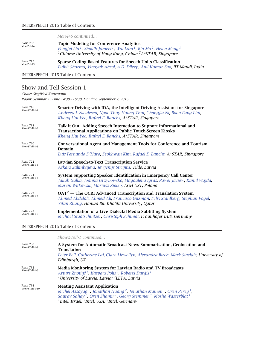*Mon-P-6 continued…*

| <b>PAGE 707</b><br>Mon-P- $6-14$ | <b>Topic Modeling for Conference Analytics</b><br>Pengfei Liu <sup>1</sup> , Shoaib Jameel <sup>1</sup> , Wai Lam <sup>1</sup> , Bin Ma <sup>2</sup> , Helen Meng <sup>1</sup><br><sup>1</sup> Chinese University of Hong Kong, China; <sup>2</sup> A*STAR, Singapore |
|----------------------------------|-----------------------------------------------------------------------------------------------------------------------------------------------------------------------------------------------------------------------------------------------------------------------|
| <b>PAGE 712</b>                  | <b>Sparse Coding Based Features for Speech Units Classification</b>                                                                                                                                                                                                   |
| $Mon-P-6-15$                     | Pulkit Sharma, Vinayak Abrol, A.D. Dileep, Anil Kumar Sao, IIT Mandi, India                                                                                                                                                                                           |

INTERSPEECH 2015 Table of Contents

## Show and Tell Session 1

*Chair: Siegfried Kunzmann*

*Room: Seminar 1, Time 14:30 – 16:30, Monday, September 7, 2015*

| <b>PAGE 716</b><br>Show&Tell-1-1 | Smarter Driving with IDA, the Intelligent Driving Assistant for Singapore<br>Andreea I. Niculescu, Ngoc Thuy Huong Thai, Chongjia Ni, Boon Pang Lim,<br>Kheng Hui Yeo, Rafael E. Banchs, A*STAR, Singapore |
|----------------------------------|------------------------------------------------------------------------------------------------------------------------------------------------------------------------------------------------------------|
| <b>PAGE 718</b><br>Show&Tell-1-2 | Talk it Out: Adding Speech Interaction to Support Informational and<br><b>Transactional Applications on Public Touch-Screen Kiosks</b><br>Kheng Hui Yeo, Rafael E. Banchs, A*STAR, Singapore               |
| <b>PAGE 720</b><br>Show&Tell-1-3 | <b>Conversational Agent and Management Tools for Conference and Tourism</b><br>Domain<br>Luis Fernando D'Haro, Seokhwan Kim, Rafael E. Banchs, A*STAR, Singapore                                           |
| <b>PAGE 722</b><br>Show&Tell-1-4 | Latvian Speech-to-Text Transcription Service<br>Askars Salimbajevs, Jevgenijs Strigins, Tilde, Latvia                                                                                                      |
| <b>PAGE 724</b><br>Show&Tell-1-5 | System Supporting Speaker Identification in Emergency Call Center<br>Jakub Gałka, Joanna Grzybowska, Magdalena Igras, Paweł Jaciów, Kamil Wajda,<br>Marcin Witkowski, Mariusz Ziółko, AGH UST, Poland      |
| <b>PAGE 726</b><br>Show&Tell-1-6 | $QAT2$ – The QCRI Advanced Transcription and Translation System<br>Ahmed Abdelali, Ahmed Ali, Francisco Guzmán, Felix Stahlberg, Stephan Vogel,<br>Yifan Zhang, Hamad Bin Khalifa University, Qatar        |
| <b>PAGE 728</b><br>Show&Tell-1-7 | <b>Implementation of a Live Dialectal Media Subtitling System</b><br>Michael Stadtschnitzer, Christoph Schmidt, Fraunhofer IAIS, Germany                                                                   |

#### INTERSPEECH 2015 Table of Contents

|                                   | Show&Tell-1 continued                                                                                                                                                                                                                                                                                                                                                |
|-----------------------------------|----------------------------------------------------------------------------------------------------------------------------------------------------------------------------------------------------------------------------------------------------------------------------------------------------------------------------------------------------------------------|
| <b>PAGE 730</b><br>Show&Tell-1-8  | A System for Automatic Broadcast News Summarisation, Geolocation and<br><b>Translation</b><br>Peter Bell, Catherine Lai, Clare Llewellyn, Alexandra Birch, Mark Sinclair, University of<br>Edinburgh, UK                                                                                                                                                             |
| <b>PAGE 732</b><br>Show&Tell-1-9  | Media Monitoring System for Latvian Radio and TV Broadcasts<br>Artūrs Znotiņš <sup>1</sup> , Kaspars Polis <sup>2</sup> , Roberts Darģis <sup>1</sup><br><sup>1</sup> University of Latvia, Latvia; <sup>2</sup> LETA, Latvia                                                                                                                                        |
| <b>PAGE 734</b><br>Show&Tell-1-10 | <b>Meeting Assistant Application</b><br>Michel Assayag <sup>1</sup> , Jonathan Huang <sup>2</sup> , Jonathan Mamou <sup>1</sup> , Oren Pereg <sup>1</sup> ,<br>Saurav Sahay <sup>2</sup> , Oren Shamir <sup>1</sup> , Georg Stemmer <sup>3</sup> , Moshe Wasserblat <sup>1</sup><br><sup>1</sup> Intel, Israel; <sup>2</sup> Intel, USA; <sup>3</sup> Intel, Germany |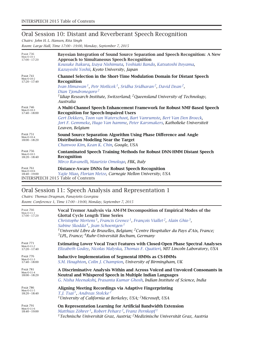# Oral Session 10: Distant and Reverberant Speech Recognition

*Chairs: John H. L. Hansen, Rita Singh*

*Room: Large Hall, Time 17:00 – 19:00, Monday, September 7, 2015*

| <b>PAGE 736</b><br>$Mon-O-10-1$<br>$17:00 - 17:20$ | Bayesian Integration of Sound Source Separation and Speech Recognition: A New<br><b>Approach to Simultaneous Speech Recognition</b><br>Kousuke Itakura, Izaya Nishimuta, Yoshiaki Bando, Katsutoshi Itoyama,<br>Kazuyoshi Yoshii, Kyoto University, Japan                                                                                                              |
|----------------------------------------------------|------------------------------------------------------------------------------------------------------------------------------------------------------------------------------------------------------------------------------------------------------------------------------------------------------------------------------------------------------------------------|
| <b>PAGE 741</b><br>Mon-O-10-2<br>$17:20 - 17:40$   | Channel Selection in the Short-Time Modulation Domain for Distant Speech<br>Recognition<br>Ivan Himawan <sup>1</sup> , Petr Motlicek <sup>1</sup> , Sridha Sridharan <sup>2</sup> , David Dean <sup>2</sup> ,<br>Dian Tjondronegoro <sup>2</sup><br><sup>1</sup> Idiap Research Institute, Switzerland; <sup>2</sup> Queensland University of Technology,<br>Australia |
| <b>PAGE 746</b><br>Mon-O-10-3<br>$17:40 - 18:00$   | A Multi-Channel Speech Enhancement Framework for Robust NMF-Based Speech<br><b>Recognition for Speech-Impaired Users</b><br>Gert Dekkers, Toon van Waterschoot, Bart Vanrumste, Bert Van Den Broeck,<br>Jort F. Gemmeke, Hugo Van hamme, Peter Karsmakers, Katholieke Universiteit<br>Leuven, Belgium                                                                  |
| <b>PAGE 751</b>                                    | Sound Source Separation Algorithm Using Phase Difference and Angle                                                                                                                                                                                                                                                                                                     |
| $Mon-O-10-4$                                       | <b>Distribution Modeling Near the Target</b>                                                                                                                                                                                                                                                                                                                           |
| $18:00 - 18:20$                                    | Chanwoo Kim, Kean K. Chin, Google, USA                                                                                                                                                                                                                                                                                                                                 |
| <b>PAGE 756</b>                                    | <b>Contaminated Speech Training Methods for Robust DNN-HMM Distant Speech</b>                                                                                                                                                                                                                                                                                          |
| Mon-O-10-5                                         | Recognition                                                                                                                                                                                                                                                                                                                                                            |
| $18:20 - 18:40$                                    | Mirco Ravanelli, Maurizio Omologo, FBK, Italy                                                                                                                                                                                                                                                                                                                          |
| <b>PAGE 761</b>                                    | <b>Distance-Aware DNNs for Robust Speech Recognition</b>                                                                                                                                                                                                                                                                                                               |
| Mon-O-10-6                                         | Yajie Miao, Florian Metze, Carnegie Mellon University, USA                                                                                                                                                                                                                                                                                                             |
| $18:40 - 19:00$                                    | <b>INTERSPEECH 2015 Table of Contents</b>                                                                                                                                                                                                                                                                                                                              |

### Oral Session 11: Speech Analysis and Representation 1

*Chairs: Thomas Drugman, Panayiotis Georgiou Room: Conference 1, Time 17:00 – 19:00, Monday, September 7, 2015*

| <b>PAGE 766</b><br>$Mon-O-11-1$<br>$17:00 - 17:20$ | Vocal Tremor Analysis via AM-FM Decomposition of Empirical Modes of the<br><b>Glottal Cycle Length Time Series</b><br>Christophe Mertens <sup>1</sup> , Francis Grenez <sup>1</sup> , François Viallet <sup>2</sup> , Alain Ghio <sup>3</sup> ,<br>Sabine Skodda <sup>4</sup> , Jean Schoentgen <sup>1</sup><br><sup>1</sup> Université Libre de Bruxelles, Belgium; <sup>2</sup> Centre Hospitalier du Pays d'Aix, France;<br><sup>3</sup> LPL, France; <sup>4</sup> Ruhr-Universität Bochum, Germany |
|----------------------------------------------------|--------------------------------------------------------------------------------------------------------------------------------------------------------------------------------------------------------------------------------------------------------------------------------------------------------------------------------------------------------------------------------------------------------------------------------------------------------------------------------------------------------|
| <b>PAGE 771</b><br>$Mon-O-11-2$<br>$17:20 - 17:40$ | <b>Estimating Lower Vocal Tract Features with Closed-Open Phase Spectral Analyses</b><br>Elizabeth Godoy, Nicolas Malyska, Thomas F. Quatieri, MIT Lincoln Laboratory, USA                                                                                                                                                                                                                                                                                                                             |
| <b>PAGE 776</b><br>$Mon-O-11-3$<br>$17:40 - 18:00$ | <b>Inductive Implementation of Segmental HMMs as CS-HMMs</b><br>S.M. Houghton, Colin J. Champion, University of Birmingham, UK                                                                                                                                                                                                                                                                                                                                                                         |
| <b>PAGE 781</b>                                    | A Discriminative Analysis Within and Across Voiced and Unvoiced Consonants in                                                                                                                                                                                                                                                                                                                                                                                                                          |
| $Mon-O-11-4$                                       | Neutral and Whispered Speech in Multiple Indian Languages                                                                                                                                                                                                                                                                                                                                                                                                                                              |
| $18:00 - 18:20$                                    | G. Nisha Meenakshi, Prasanta Kumar Ghosh, Indian Institute of Science, India                                                                                                                                                                                                                                                                                                                                                                                                                           |
| <b>PAGE 786</b>                                    | Aligning Meeting Recordings via Adaptive Fingerprinting                                                                                                                                                                                                                                                                                                                                                                                                                                                |
| $Mon-O-11-5$                                       | T.J. Tsai <sup>1</sup> , Andreas Stolcke <sup>2</sup>                                                                                                                                                                                                                                                                                                                                                                                                                                                  |
| $18:20 - 18:40$                                    | <sup>1</sup> University of California at Berkeley, USA; <sup>2</sup> Microsoft, USA                                                                                                                                                                                                                                                                                                                                                                                                                    |
| <b>PAGE 791</b>                                    | On Representation Learning for Artificial Bandwidth Extension                                                                                                                                                                                                                                                                                                                                                                                                                                          |
| Mon-O-11-6                                         | Matthias Zöhrer <sup>1</sup> , Robert Peharz <sup>2</sup> , Franz Pernkopf <sup>1</sup>                                                                                                                                                                                                                                                                                                                                                                                                                |
| $18:40 - 19:00$                                    | <sup>1</sup> Technische Universität Graz, Austria; <sup>2</sup> Medizinische Universität Graz, Austria                                                                                                                                                                                                                                                                                                                                                                                                 |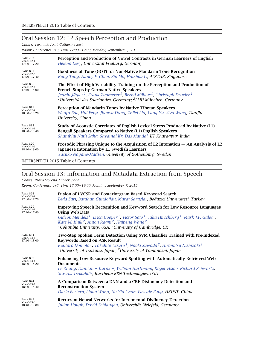### Oral Session 12: L2 Speech Perception and Production

*Chairs: Tarayuki Arai, Catherine Best*

*Room: Conference 2+3, Time 17:00 – 19:00, Monday, September 7, 2015*

| <b>PAGE 796</b><br>$Mon-O-12-1$<br>$17:00 - 17:20$ | Perception and Production of Vowel Contrasts in German Learners of English<br>Helena Levy, Universität Freiburg, Germany                                                                                                                                                                                                                     |
|----------------------------------------------------|----------------------------------------------------------------------------------------------------------------------------------------------------------------------------------------------------------------------------------------------------------------------------------------------------------------------------------------------|
| <b>PAGE 801</b><br>Mon-O-12-2<br>$17:20 - 17:40$   | Goodness of Tone (GOT) for Non-Native Mandarin Tone Recognition<br>Rong Tong, Nancy F. Chen, Bin Ma, Haizhou Li, A*STAR, Singapore                                                                                                                                                                                                           |
| <b>PAGE 806</b><br>Mon-O-12-3<br>$17:40 - 18:00$   | The Effect of High-Variability Training on the Perception and Production of<br><b>French Stops by German Native Speakers</b><br>Jeanin Jügler <sup>1</sup> , Frank Zimmerer <sup>1</sup> , Bernd Möbius <sup>1</sup> , Christoph Draxler <sup>2</sup><br><sup>1</sup> Universität des Saarlandes, Germany; <sup>2</sup> LMU München, Germany |
| <b>PAGE 811</b>                                    | Perception of Mandarin Tones by Native Tibetan Speakers                                                                                                                                                                                                                                                                                      |
| Mon-O-12-4                                         | Wenfu Bao, Hui Feng, Jianwu Dang, Zhilei Liu, Yang Yu, Siyu Wang, Tianjin                                                                                                                                                                                                                                                                    |
| $18:00 - 18:20$                                    | University, China                                                                                                                                                                                                                                                                                                                            |
| <b>PAGE 815</b>                                    | Study of Acoustic Correlates of English Lexical Stress Produced by Native (L1)                                                                                                                                                                                                                                                               |
| Mon-O-12-5                                         | <b>Bengali Speakers Compared to Native (L1) English Speakers</b>                                                                                                                                                                                                                                                                             |
| $18:20 - 18:40$                                    | Shambhu Nath Saha, Shyamal Kr. Das Mandal, IIT Kharagpur, India                                                                                                                                                                                                                                                                              |
| <b>PAGE 820</b>                                    | Prosodic Phrasing Unique to the Acquisition of L2 Intonation $-$ An Analysis of L2                                                                                                                                                                                                                                                           |
| $Mon-O-12-6$                                       | <b>Japanese Intonation by L1 Swedish Learners</b>                                                                                                                                                                                                                                                                                            |
| $18:40 - 19:00$                                    | Yasuko Nagano-Madsen, University of Gothenburg, Sweden                                                                                                                                                                                                                                                                                       |

INTERSPEECH 2015 Table of Contents

# Oral Session 13: Information and Metadata Extraction from Speech

*Chairs: Pedro Moreno, Olivier Siohan*

*Room: Conference 4+5, Time 17:00 – 19:00, Monday, September 7, 2015*

| <b>PAGE 824</b><br>$Mon-O-13-1$<br>$17:00 - 17:20$  | <b>Fusion of LVCSR and Posteriorgram Based Keyword Search</b><br>Leda Sarı, Batuhan Gündoğdu, Murat Saraçlar, Boğaziçi Üniversitesi, Turkey                                                                                                                                                                                                                                                                                        |
|-----------------------------------------------------|------------------------------------------------------------------------------------------------------------------------------------------------------------------------------------------------------------------------------------------------------------------------------------------------------------------------------------------------------------------------------------------------------------------------------------|
| <b>PAGE 829</b><br>Mon-O-13-2<br>$17:20 - 17:40$    | <b>Improving Speech Recognition and Keyword Search for Low Resource Languages</b><br>Using Web Data<br>Gideon Mendels <sup>1</sup> , Erica Cooper <sup>1</sup> , Victor Soto <sup>1</sup> , Julia Hirschberg <sup>1</sup> , Mark J.F. Gales <sup>2</sup> ,<br>Kate M. Knill <sup>2</sup> , Anton Ragni <sup>2</sup> , Haipeng Wang <sup>2</sup><br><sup>1</sup> Columbia University, USA; <sup>2</sup> University of Cambridge, UK |
| <b>PAGE 834</b><br>Mon-O-13-3<br>$17:40 - 18:00$    | Two-Step Spoken Term Detection Using SVM Classifier Trained with Pre-Indexed<br><b>Keywords Based on ASR Result</b><br>Kentaro Domoto <sup>1</sup> , Takehito Utsuro <sup>1</sup> , Naoki Sawada <sup>2</sup> , Hiromitsu Nishizaki <sup>2</sup><br><sup>1</sup> University of Tsukuba, Japan; <sup>2</sup> University of Yamanashi, Japan                                                                                         |
| <b>PAGE 839</b><br>$Mon-O-13-4$<br>$18:00 - 18:20$  | Enhancing Low Resource Keyword Spotting with Automatically Retrieved Web<br><b>Documents</b><br>Le Zhang, Damianos Karakos, William Hartmann, Roger Hsiao, Richard Schwartz,<br>Stavros Tsakalidis, Raytheon BBN Technologies, USA                                                                                                                                                                                                 |
| <b>PAGE 844</b><br>Mon-O-13-5<br>$18:20 - 18:40$    | A Comparison Between a DNN and a CRF Disfluency Detection and<br><b>Reconstruction System</b><br>Dario Bertero, Linlin Wang, Ho Yin Chan, Pascale Fung, HKUST, China                                                                                                                                                                                                                                                               |
| <b>PAGE 849</b><br>Mon-O-13- $6$<br>$18:40 - 19:00$ | <b>Recurrent Neural Networks for Incremental Disfluency Detection</b><br>Julian Hough, David Schlangen, Universität Bielefeld, Germany                                                                                                                                                                                                                                                                                             |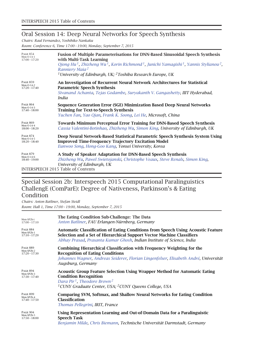### Oral Session 14: Deep Neural Networks for Speech Synthesis

*Chairs: Raul Fernandez, Yoshihiko Nankaku*

*Room: Conference 6, Time 17:00 – 19:00, Monday, September 7, 2015*

| <b>PAGE 854</b><br>$Mon-O-14-1$<br>$17:00 - 17:20$ | <b>Fusion of Multiple Parameterisations for DNN-Based Sinusoidal Speech Synthesis</b><br>with Multi-Task Learning<br>Qiong Hu <sup>1</sup> , Zhizheng Wu <sup>1</sup> , Korin Richmond <sup>1</sup> , Junichi Yamagishi <sup>1</sup> , Yannis Stylianou <sup>2</sup> ,<br>Ranniery Maia <sup>2</sup><br><sup>1</sup> University of Edinburgh, UK; <sup>2</sup> Toshiba Research Europe, UK |
|----------------------------------------------------|--------------------------------------------------------------------------------------------------------------------------------------------------------------------------------------------------------------------------------------------------------------------------------------------------------------------------------------------------------------------------------------------|
| <b>PAGE 859</b><br>Mon-O-14-2<br>$17:20 - 17:40$   | An Investigation of Recurrent Neural Network Architectures for Statistical<br><b>Parametric Speech Synthesis</b><br>Sivanand Achanta, Tejas Godambe, Suryakanth V. Gangashetty, IIIT Hyderabad,<br>India                                                                                                                                                                                   |
| <b>PAGE 864</b><br>$Mon-O-14-3$<br>$17:40 - 18:00$ | Sequence Generation Error (SGE) Minimization Based Deep Neural Networks<br><b>Training for Text-to-Speech Synthesis</b><br>Yuchen Fan, Yao Oian, Frank K. Soong, Lei He, Microsoft, China                                                                                                                                                                                                  |
| <b>PAGE 869</b><br>$Mon-O-14-4$<br>$18:00 - 18:20$ | <b>Towards Minimum Perceptual Error Training for DNN-Based Speech Synthesis</b><br>Cassia Valentini-Botinhao, Zhizheng Wu, Simon King, University of Edinburgh, UK                                                                                                                                                                                                                         |
| <b>PAGE 874</b><br>Mon-O-14-5<br>$18:20 - 18:40$   | Deep Neural Network-Based Statistical Parametric Speech Synthesis System Using<br><b>Improved Time-Frequency Trajectory Excitation Model</b><br>Eunwoo Song, Hong-Goo Kang, Yonsei University, Korea                                                                                                                                                                                       |
| <b>PAGE 879</b><br>$Mon-O-14-6$<br>18:40 - 19:00   | A Study of Speaker Adaptation for DNN-Based Speech Synthesis<br>Zhizheng Wu, Pawel Swietojanski, Christophe Veaux, Steve Renals, Simon King,<br>University of Edinburgh, UK<br><b>INTERSPEECH 2015 Table of Contents</b>                                                                                                                                                                   |

### Special Session 2b: Interspeech 2015 Computational Paralinguistics ChallengE (ComParE): Degree of Nativeness, Parkinson's & Eating Condition

*Chairs: Anton Batliner, Stefan Steidl Room: Hall 1, Time 17:00 – 19:00, Monday, September 7, 2015*

| Mon-SP2b-i                                       | The Eating Condition Sub-Challenge: The Data                                                                                                                                                                                                              |
|--------------------------------------------------|-----------------------------------------------------------------------------------------------------------------------------------------------------------------------------------------------------------------------------------------------------------|
| $17:00 - 17:10$                                  | Anton Batliner, FAU Erlangen-Nürnberg, Germany                                                                                                                                                                                                            |
| <b>PAGE 884</b>                                  | <b>Automatic Classification of Eating Conditions from Speech Using Acoustic Feature</b>                                                                                                                                                                   |
| Mon-SP2b-1                                       | Selection and a Set of Hierarchical Support Vector Machine Classifiers                                                                                                                                                                                    |
| $17:10 - 17:20$                                  | Abhay Prasad, Prasanta Kumar Ghosh, Indian Institute of Science, India                                                                                                                                                                                    |
| <b>PAGE 889</b><br>Mon-SP2b-2<br>$17:20 - 17:30$ | <b>Combining Hierarchical Classification with Frequency Weighting for the</b><br><b>Recognition of Eating Conditions</b><br>Johannes Wagner, Andreas Seiderer, Florian Lingenfelser, Elisabeth André, Universität<br>Augsburg, Germany                    |
| <b>PAGE 894</b><br>Mon-SP2b-3<br>$17:30 - 17:40$ | <b>Acoustic Group Feature Selection Using Wrapper Method for Automatic Eating</b><br><b>Condition Recognition</b><br>Dara Pir <sup>1</sup> , Theodore Brown <sup>2</sup><br><sup>1</sup> CUNY Graduate Center, USA; <sup>2</sup> CUNY Queens College, USA |
| <b>PAGE 899</b>                                  | Comparing SVM, Softmax, and Shallow Neural Networks for Eating Condition                                                                                                                                                                                  |
| Mon-SP2b-4                                       | <b>Classification</b>                                                                                                                                                                                                                                     |
| $17:40 - 17:50$                                  | Thomas Pellegrini, IRIT, France                                                                                                                                                                                                                           |
| <b>PAGE 904</b>                                  | Using Representation Learning and Out-of-Domain Data for a Paralinguistic                                                                                                                                                                                 |
| Mon-SP2b-5                                       | <b>Speech Task</b>                                                                                                                                                                                                                                        |
| $17:50 - 18:00$                                  | Benjamin Milde, Chris Biemann, Technische Universität Darmstadt, Germany                                                                                                                                                                                  |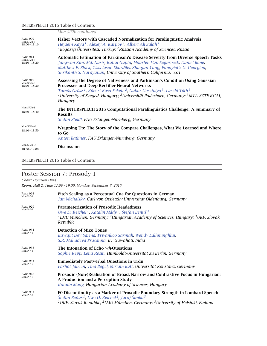#### INTERSPEECH 2015 Table of Contents

|                                                  | Mon-SP2b continued                                                                                                                                                                                                                                                                                                                                                                            |
|--------------------------------------------------|-----------------------------------------------------------------------------------------------------------------------------------------------------------------------------------------------------------------------------------------------------------------------------------------------------------------------------------------------------------------------------------------------|
| <b>PAGE 909</b><br>Mon-SP2b-6<br>$18:00 - 18:10$ | <b>Fisher Vectors with Cascaded Normalization for Paralinguistic Analysis</b><br>Heysem Kaya <sup>1</sup> , Alexey A. Karpov <sup>2</sup> , Albert Ali Salah <sup>1</sup><br><sup>1</sup> Boğaziçi Üniversitesi, Turkey; <sup>2</sup> Russian Academy of Sciences, Russia                                                                                                                     |
| <b>PAGE 914</b><br>Mon-SP2b-7<br>$18:10 - 18:20$ | <b>Automatic Estimation of Parkinson's Disease Severity from Diverse Speech Tasks</b><br>Jangwon Kim, Md. Nasir, Rahul Gupta, Maarten Van Segbroeck, Daniel Bone,<br>Matthew P. Black, Zisis Iason Skordilis, Zhaojun Yang, Panayiotis G. Georgiou,<br>Shrikanth S. Narayanan, University of Southern California, USA                                                                         |
| <b>PAGE 919</b><br>Mon-SP2b-8<br>$18:20 - 18:30$ | Assessing the Degree of Nativeness and Parkinson's Condition Using Gaussian<br><b>Processes and Deep Rectifier Neural Networks</b><br>Tamás Grósz <sup>1</sup> , Róbert Busa-Fekete <sup>2</sup> , Gábor Gosztolya <sup>3</sup> , László Tóth <sup>3</sup><br><sup>1</sup> University of Szeged, Hungary; <sup>2</sup> Universität Paderborn, Germany; <sup>3</sup> MTA-SZTE RGAI,<br>Hungary |
| Mon-SP2b-S<br>$18:30 - 18:40$                    | The INTERSPEECH 2015 Computational Paralinguistics Challenge: A Summary of<br><b>Results</b><br>Stefan Steidl, FAU Erlangen-Nürnberg, Germany                                                                                                                                                                                                                                                 |
| Mon-SP2b-W<br>$18:40 - 18:50$                    | Wrapping Up: The Story of the Compare Challenges, What We Learned and Where<br>to Go<br>Anton Batliner, FAU Erlangen-Nürnberg, Germany                                                                                                                                                                                                                                                        |
| Mon-SP2b-D<br>$18:50 - 19:00$                    | <b>Discussion</b>                                                                                                                                                                                                                                                                                                                                                                             |

#### INTERSPEECH 2015 Table of Contents

#### Poster Session 7: Prosody 1 *Chair: Hongwei Ding Room: Hall 2, Time 17:00 – 19:00, Monday, September 7, 2015* PAGE 924<br>Mon-P-7-1 Pitch Scaling as a Perceptual Cue for Questions in German *Jan Michalsky, Carl von Ossietzky Universität Oldenburg, Germany* PAGE 929<br>Mon-P-7-2 **Parameterization of Prosodic Headedness** *Uwe D. Reichel 1, Katalin Mády 2, Štefan Beˇnuš <sup>3</sup> 1LMU München, Germany; 2Hungarian Academy of Sciences, Hungary; 3UKF, Slovak Republic* PAGE 934<br>Mon-P-7-3 **Detection of Mizo Tones** *Biswajit Dev Sarma, Priyankoo Sarmah, Wendy Lalhminghlui, S.R. Mahadeva Prasanna, IIT Guwahati, India* PAGE 938<br>Mon-P-7-4 **The Intonation of Echo** *wh*-Questions *Sophie Repp, Lena Rosin, Humboldt-Universität zu Berlin, Germany* PAGE 943<br>Mon-P-7-5 **Immediately Postverbal Questions in Urdu** *Farhat Jabeen, Tina Bögel, Miriam Butt, Universität Konstanz, Germany* PAGE 948<br>Mon-P-7-6 Prosodic (Non-)Realisation of Broad, Narrow and Contrastive Focus in Hungarian: **A Production and a Perception Study** *Katalin Mády, Hungarian Academy of Sciences, Hungary* PAGE 953<br>Mon-P-7-7 F0 Discontinuity as a Marker of Prosodic Boundary Strength in Lombard Speech *Štefan Beˇnuš 1, Uwe D. Reichel 2, Juraj Šimko <sup>3</sup> 1UKF, Slovak Republic; 2LMU München, Germany; 3University of Helsinki, Finland*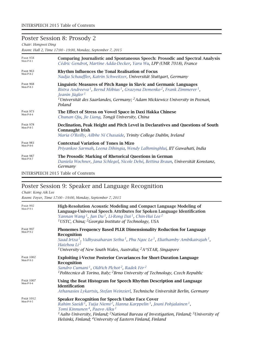# Poster Session 8: Prosody 2

*Chair: Hongwei Ding*

*Room: Hall 2, Time 17:00 – 19:00, Monday, September 7, 2015*

| <b>PAGE 958</b>                | <b>Comparing Journalistic and Spontaneous Speech: Prosodic and Spectral Analysis</b>                                                                                                                                                                                                                                                           |
|--------------------------------|------------------------------------------------------------------------------------------------------------------------------------------------------------------------------------------------------------------------------------------------------------------------------------------------------------------------------------------------|
| $Mon-P-8-1$                    | Cédric Gendrot, Martine Adda-Decker, Yaru Wu, LPP (UMR 7018), France                                                                                                                                                                                                                                                                           |
| <b>PAGE 963</b>                | Rhythm Influences the Tonal Realisation of Focus                                                                                                                                                                                                                                                                                               |
| $Mon-P-8-2$                    | Nadja Schauffler, Katrin Schweitzer, Universität Stuttgart, Germany                                                                                                                                                                                                                                                                            |
| <b>PAGE 968</b><br>$Mon-P-8-3$ | Linguistic Measures of Pitch Range in Slavic and Germanic Languages<br>Bistra Andreeva <sup>1</sup> , Bernd Möbius <sup>1</sup> , Grazyna Demenko <sup>2</sup> , Frank Zimmerer <sup>1</sup> ,<br>Jeanin Jügler <sup>1</sup><br><sup>1</sup> Universität des Saarlandes, Germany; <sup>2</sup> Adam Mickiewicz University in Poznań,<br>Poland |
| <b>PAGE 973</b>                | The Effect of Stress on Vowel Space in Daxi Hakka Chinese                                                                                                                                                                                                                                                                                      |
| $Mon-P-8-4$                    | Chunan Qiu, Jie Liang, Tongji University, China                                                                                                                                                                                                                                                                                                |
| <b>PAGE 978</b><br>$Mon-P-8-5$ | Declination, Peak Height and Pitch Level in Declaratives and Questions of South<br><b>Connaught Irish</b><br>Maria O'Reilly, Ailbhe Ní Chasaide, Trinity College Dublin, Ireland                                                                                                                                                               |
| <b>PAGE 983</b>                | <b>Contextual Variation of Tones in Mizo</b>                                                                                                                                                                                                                                                                                                   |
| $Mon-P-8-6$                    | Priyankoo Sarmah, Leena Dihingia, Wendy Lalhminghlui, IIT Guwahati, India                                                                                                                                                                                                                                                                      |
| <b>PAGE 987</b><br>$Mon-P-8-7$ | The Prosodic Marking of Rhetorical Questions in German<br>Daniela Wochner, Jana Schlegel, Nicole Dehé, Bettina Braun, Universität Konstanz,<br>Germany                                                                                                                                                                                         |

INTERSPEECH 2015 Table of Contents

# Poster Session 9: Speaker and Language Recognition

#### *Chair: Kong Aik Lee*

*Room: Foyer, Time 17:00 – 19:00, Monday, September 7, 2015*

| <b>PAGE 992</b><br>$Mon-P-9-1$  | High-Resolution Acoustic Modeling and Compact Language Modeling of<br>Language-Universal Speech Attributes for Spoken Language Identification<br>Yannan Wang <sup>1</sup> , Jun Du <sup>1</sup> , Li-Rong Dai <sup>1</sup> , Chin-Hui Lee <sup>2</sup><br><sup>1</sup> USTC, China; <sup>2</sup> Georgia Institute of Technology, USA                                                                                                            |
|---------------------------------|--------------------------------------------------------------------------------------------------------------------------------------------------------------------------------------------------------------------------------------------------------------------------------------------------------------------------------------------------------------------------------------------------------------------------------------------------|
| <b>PAGE 997</b><br>$Mon-P-9-2$  | <b>Phonemes Frequency Based PLLR Dimensionality Reduction for Language</b><br>Recognition<br>Saad Irtza <sup>1</sup> , Vidhyasaharan Sethu <sup>1</sup> , Phu Ngoc Le <sup>1</sup> , Eliathamby Ambikairajah <sup>1</sup> ,<br>Haizhou $Li2$<br><sup>1</sup> University of New South Wales, Australia; <sup>2</sup> A*STAR, Singapore                                                                                                            |
| <b>PAGE 1002</b><br>$Mon-P-9-3$ | <b>Exploiting i-Vector Posterior Covariances for Short-Duration Language</b><br>Recognition<br>Sandro Cumani <sup>1</sup> , Oldřich Plchot <sup>2</sup> , Radek Fér <sup>2</sup><br><sup>1</sup> Politecnico di Torino, Italy; <sup>2</sup> Brno University of Technology, Czech Republic                                                                                                                                                        |
| <b>PAGE 1007</b><br>$Mon-P-9-4$ | Using the Beat Histogram for Speech Rhythm Description and Language<br><b>Identification</b><br>Athanasios Lykartsis, Stefan Weinzierl, Technische Universität Berlin, Germany                                                                                                                                                                                                                                                                   |
| <b>PAGE 1012</b><br>$Mon-P-9-5$ | <b>Speaker Recognition for Speech Under Face Cover</b><br>Rahim Saeidi <sup>1</sup> , Tuija Niemi <sup>2</sup> , Hanna Karppelin <sup>3</sup> , Jouni Pohjalainen <sup>1</sup> ,<br>Tomi Kinnunen <sup>4</sup> , Paavo Alku <sup>1</sup><br><sup>1</sup> Aalto University, Finland; <sup>2</sup> National Bureau of Investigation, Finland; <sup>3</sup> University of<br>Helsinki, Finland; <sup>4</sup> University of Eastern Finland, Finland |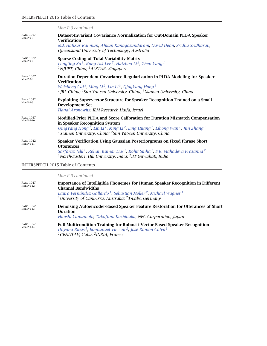|                                 | Mon-P-9 continued                                                                                                                                                                                                                                                                                                                                                 |
|---------------------------------|-------------------------------------------------------------------------------------------------------------------------------------------------------------------------------------------------------------------------------------------------------------------------------------------------------------------------------------------------------------------|
| <b>PAGE 1017</b><br>$Mon-P-9-6$ | Dataset-Invariant Covariance Normalization for Out-Domain PLDA Speaker<br><b>Verification</b><br>Md. Hafizur Rahman, Ahilan Kanagasundaram, David Dean, Sridha Sridharan,<br>Queensland University of Technology, Australia                                                                                                                                       |
| <b>PAGE 1022</b><br>$Mon-P-9-7$ | <b>Sparse Coding of Total Variability Matrix</b><br>Longting Xu <sup>1</sup> , Kong Aik Lee <sup>2</sup> , Haizhou Li <sup>2</sup> , Zhen Yang <sup>1</sup><br><sup>1</sup> NJUPT, China; <sup>2</sup> A*STAR, Singapore                                                                                                                                          |
| <b>PAGE 1027</b><br>$Mon-P-9-8$ | Duration Dependent Covariance Regularization in PLDA Modeling for Speaker<br><b>Verification</b><br>Weicheng Cai <sup>1</sup> , Ming Li <sup>2</sup> , Lin Li <sup>3</sup> , QingYang Hong <sup>3</sup><br><sup>1</sup> JRI, China; <sup>2</sup> Sun Yat-sen University, China; <sup>3</sup> Xiamen University, China                                             |
| <b>PAGE 1032</b><br>$Mon-P-9-9$ | Exploiting Supervector Structure for Speaker Recognition Trained on a Small<br><b>Development Set</b><br>Hagai Aronowitz, IBM Research Haifa, Israel                                                                                                                                                                                                              |
| <b>PAGE 1037</b><br>Mon-P-9-10  | <b>Modified-Prior PLDA and Score Calibration for Duration Mismatch Compensation</b><br>in Speaker Recognition System<br>QingYang Hong <sup>1</sup> , Lin Li <sup>1</sup> , Ming Li <sup>2</sup> , Ling Huang <sup>1</sup> , Lihong Wan <sup>1</sup> , Jun Zhang <sup>1</sup><br><sup>1</sup> Xiamen University, China; <sup>2</sup> Sun Yat-sen University, China |
| <b>PAGE 1042</b><br>Mon-P-9-11  | Speaker Verification Using Gaussian Posteriorgrams on Fixed Phrase Short<br><b>Utterances</b><br>Sarfaraz Jelil <sup>1</sup> , Rohan Kumar Das <sup>2</sup> , Rohit Sinha <sup>2</sup> , S.R. Mahadeva Prasanna <sup>2</sup><br><sup>1</sup> North-Eastern Hill University, India; <sup>2</sup> IIT Guwahati, India                                               |

INTERSPEECH 2015 Table of Contents

*Mon-P-9 continued…*

| <b>PAGE 1047</b><br>$Mon-P-9-12$ | <b>Importance of Intelligible Phonemes for Human Speaker Recognition in Different</b><br><b>Channel Bandwidths</b><br>Laura Fernández Gallardo <sup>1</sup> , Sebastian Möller <sup>2</sup> , Michael Wagner <sup>1</sup><br><sup>1</sup> University of Canberra, Australia; ${}^{2}$ T-Labs, Germany |
|----------------------------------|-------------------------------------------------------------------------------------------------------------------------------------------------------------------------------------------------------------------------------------------------------------------------------------------------------|
| <b>PAGE 1052</b><br>$Mon-P-9-13$ | Denoising Autoencoder-Based Speaker Feature Restoration for Utterances of Short<br><b>Duration</b><br>Hitoshi Yamamoto, Takafumi Koshinaka, NEC Corporation, Japan                                                                                                                                    |
| <b>PAGE 1057</b><br>$Mon-P-9-14$ | <b>Full Multicondition Training for Robust i-Vector Based Speaker Recognition</b><br>Dayana Ribas <sup>1</sup> , Emmanuel Vincent <sup>2</sup> , José Ramón Calvo <sup>1</sup><br><sup>1</sup> CENATAV, Cuba; <sup>2</sup> INRIA, France                                                              |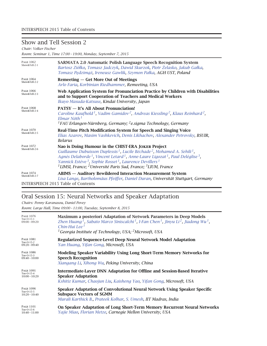# Show and Tell Session 2

*Chair: Volker Fischer*

*Room: Seminar 1, Time 17:00 – 19:00, Monday, September 7, 2015*

| <b>PAGE 1062</b><br>Show&Tell-2-1 | <b>SARMATA 2.0 Automatic Polish Language Speech Recognition System</b><br>Bartosz Ziółko, Tomasz Jadczyk, Dawid Skurzok, Piotr Zelasko, Jakub Gałka,<br>Tomasz Pędzimąż, Ireneusz Gawlik, Szymon Pałka, AGH UST, Poland                                                                                                                                                                                                                                                                             |
|-----------------------------------|-----------------------------------------------------------------------------------------------------------------------------------------------------------------------------------------------------------------------------------------------------------------------------------------------------------------------------------------------------------------------------------------------------------------------------------------------------------------------------------------------------|
| <b>PAGE 1064</b><br>Show&Tell-2-2 | Remeeting – Get More Out of Meetings<br>Arlo Faria, Korbinian Riedhammer, Remeeting, USA                                                                                                                                                                                                                                                                                                                                                                                                            |
| <b>PAGE 1066</b><br>Show&Tell-2-3 | Web Application System for Pronunciation Practice by Children with Disabilities<br>and to Support Cooperation of Teachers and Medical Workers<br>Ikuyo Masuda-Katsuse, Kindai University, Japan                                                                                                                                                                                                                                                                                                     |
| <b>PAGE 1068</b><br>Show&Tell-2-4 | <b>PATSY</b> - It's All About Pronunciation!<br>Caroline Kaufhold <sup>1</sup> , Vadim Gamidov <sup>2</sup> , Andreas Kiessling <sup>2</sup> , Klaus Reinhard <sup>2</sup> ,<br>Elmar Nöth $^1$<br><sup>1</sup> FAU Erlangen-Nürnberg, Germany; <sup>2</sup> e.sigma Technology, Germany                                                                                                                                                                                                            |
| <b>PAGE 1070</b><br>Show&Tell-2-5 | Real-Time Pitch Modification System for Speech and Singing Voice<br>Elias Azarov, Maxim Vashkevich, Denis Likhachov, Alexander Petrovsky, BSUIR,<br><b>Belarus</b>                                                                                                                                                                                                                                                                                                                                  |
| <b>PAGE 1072</b><br>Show&Tell-2-6 | Nao is Doing Humour in the CHIST-ERA JOKER Project<br>Guillaume Dubuisson Duplessis <sup>1</sup> , Lucile Béchade <sup>2</sup> , Mohamed A. Sehili <sup>1</sup> ,<br>Agnès Delaborde <sup>1</sup> , Vincent Letard <sup>1</sup> , Anne-Laure Ligozat <sup>1</sup> , Paul Deléglise <sup>3</sup> ,<br>Yannick Estève <sup>3</sup> , Sophie Rosset <sup>1</sup> , Laurence Devillers <sup>1</sup><br><sup>1</sup> LIMSI, France; <sup>2</sup> Université Paris Sud, France; <sup>3</sup> LIUM, France |
| <b>PAGE 1074</b><br>Show&Tell-2-7 | <b>ABIMS</b> - Auditory Bewildered Interaction Measurement System<br>Lisa Lange, Bartholomäus Pfeiffer, Daniel Duran, Universität Stuttgart, Germany<br><b>INTERSPEECH 2015 Table of Contents</b>                                                                                                                                                                                                                                                                                                   |

# Oral Session 15: Neural Networks and Speaker Adaptation

*Chairs: Penny Karanasou, Daniel Povey*

*Room: Large Hall, Time 09:00 – 11:00, Tuesday, September 8, 2015*

| <b>PAGE 1076</b><br>Tue-O-15-1<br>$09:00 - 09:20$ | Maximum a posteriori Adaptation of Network Parameters in Deep Models<br>Zhen Huang <sup>1</sup> , Sabato Marco Siniscalchi <sup>1</sup> , I-Fan Chen <sup>1</sup> , Jinyu Li <sup>2</sup> , Jiadong Wu <sup>1</sup> ,<br>Chin-Hui Lee <sup>1</sup><br><sup>1</sup> Georgia Institute of Technology, USA; <sup>2</sup> Microsoft, USA |
|---------------------------------------------------|--------------------------------------------------------------------------------------------------------------------------------------------------------------------------------------------------------------------------------------------------------------------------------------------------------------------------------------|
| <b>PAGE 1081</b><br>Tue-O-15-2<br>$09:20 - 09:40$ | Regularized Sequence-Level Deep Neural Network Model Adaptation<br>Yan Huang, Yifan Gong, Microsoft, USA                                                                                                                                                                                                                             |
| <b>PAGE 1086</b>                                  | Modeling Speaker Variability Using Long Short-Term Memory Networks for                                                                                                                                                                                                                                                               |
| Tue-O-15-3                                        | <b>Speech Recognition</b>                                                                                                                                                                                                                                                                                                            |
| $09:40 - 10:00$                                   | Xiangang Li, Xihong Wu, Peking University, China                                                                                                                                                                                                                                                                                     |
| <b>PAGE 1091</b>                                  | Intermediate-Layer DNN Adaptation for Offline and Session-Based Iterative                                                                                                                                                                                                                                                            |
| Tue-O-15-4                                        | <b>Speaker Adaptation</b>                                                                                                                                                                                                                                                                                                            |
| $10:00 - 10:20$                                   | Kshitiz Kumar, Chaojun Liu, Kaisheng Yao, Yifan Gong, Microsoft, USA                                                                                                                                                                                                                                                                 |
| <b>PAGE 1096</b>                                  | Speaker Adaptation of Convolutional Neural Network Using Speaker Specific                                                                                                                                                                                                                                                            |
| Tue-O-15-5                                        | <b>Subspace Vectors of SGMM</b>                                                                                                                                                                                                                                                                                                      |
| $10:20 - 10:40$                                   | Murali Karthick B., Prateek Kolhar, S. Umesh, IIT Madras, India                                                                                                                                                                                                                                                                      |
| <b>PAGE 1101</b><br>Tue-O-15-6<br>$10:40 - 11:00$ | On Speaker Adaptation of Long Short-Term Memory Recurrent Neural Networks<br>Yajie Miao, Florian Metze, Carnegie Mellon University, USA                                                                                                                                                                                              |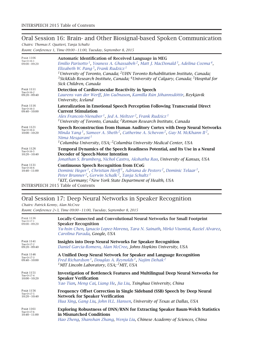# Oral Session 16: Brain- and Other Biosignal-based Spoken Communication

*Chairs: Thomas F. Quatieri, Tanja Schultz Room: Conference 1, Time 09:00 – 11:00, Tuesday, September 8, 2015*

| <b>PAGE 1106</b><br>Tue-O-16-1<br>$09:00 - 09:20$ | <b>Automatic Identification of Received Language in MEG</b><br>Emilio Parisotto <sup>1</sup> , Youness A. Ghassabeh <sup>2</sup> , Matt J. MacDonald <sup>3</sup> , Adelina Cozma <sup>4</sup> ,<br>Elizabeth W. Pang <sup>5</sup> , Frank Rudzicz <sup>1</sup><br><sup>1</sup> University of Toronto, Canada; <sup>2</sup> UHN Toronto Rehabilitation Institute, Canada;<br><sup>3</sup> SickKids Research Institute, Canada; <sup>4</sup> University of Calgary, Canada; <sup>5</sup> Hospital for<br>Sick Children, Canada |
|---------------------------------------------------|-------------------------------------------------------------------------------------------------------------------------------------------------------------------------------------------------------------------------------------------------------------------------------------------------------------------------------------------------------------------------------------------------------------------------------------------------------------------------------------------------------------------------------|
| <b>PAGE 1111</b><br>Tue-O-16-2<br>$09:20 - 09:40$ | Detection of Cardiovascular Reactivity in Speech<br>Laurens van der Werff, Jón Guðnason, Kamilla Rún Jóhannsdóttir, Reykjavik<br>University, Iceland                                                                                                                                                                                                                                                                                                                                                                          |
| <b>PAGE 1116</b><br>Tue-O-16-3<br>$09:40 - 10:00$ | Lateralization in Emotional Speech Perception Following Transcranial Direct<br><b>Current Stimulation</b><br>Alex Francois-Nienaber <sup>1</sup> , Jed A. Meltzer <sup>2</sup> , Frank Rudzicz <sup>1</sup><br><sup>1</sup> University of Toronto, Canada; <sup>2</sup> Rotman Research Institute, Canada                                                                                                                                                                                                                     |
| <b>PAGE 1121</b><br>Tue-O-16-4<br>$10:00 - 10:20$ | Speech Reconstruction from Human Auditory Cortex with Deep Neural Networks<br>Minda Yang <sup>1</sup> , Sameer A. Sheth <sup>2</sup> , Catherine A. Schevon <sup>2</sup> , Guy M. McKhann II <sup>2</sup> ,<br>Nima Mesgarani <sup>1</sup><br><sup>1</sup> Columbia University, USA; <sup>2</sup> Columbia University Medical Center, USA                                                                                                                                                                                     |
| <b>PAGE 1126</b><br>Tue-O-16-5<br>$10:20 - 10:40$ | Temporal Dynamics of the Speech Readiness Potential, and Its Use in a Neural<br>Decoder of Speech-Motor Intention<br>Jonathan S. Brumberg, Nichol Castro, Akshatha Rao, University of Kansas, USA                                                                                                                                                                                                                                                                                                                             |
| <b>PAGE 1131</b><br>Tue-O-16-6<br>$10:40 - 11:00$ | <b>Continuous Speech Recognition from ECoG</b><br>Dominic Heger <sup>1</sup> , Christian Herff <sup>1</sup> , Adriana de Pesters <sup>2</sup> , Dominic Telaar <sup>1</sup> ,<br>Peter Brunner <sup>2</sup> , Gerwin Schalk <sup>2</sup> , Tanja Schultz <sup>1</sup><br><sup>1</sup> KIT, Germany; <sup>2</sup> New York State Department of Health, USA<br>INTED CDEECH $2015$ Table of Contents                                                                                                                            |

INTERSPEECH 2015 Table of Contents

# Oral Session 17: Deep Neural Networks in Speaker Recognition

*Chairs: Patrick Kenny, Alan McCree*

*Room: Conference 2+3, Time 09:00 – 11:00, Tuesday, September 8, 2015*

| <b>PAGE 1136</b><br>Tue-O-17-1<br>$09:00 - 09:20$ | <b>Locally-Connected and Convolutional Neural Networks for Small Footprint</b><br><b>Speaker Recognition</b><br>Yu-hsin Chen, Ignacio Lopez-Moreno, Tara N. Sainath, Mirkó Visontai, Raziel Alvarez,<br>Carolina Parada, Google, USA |
|---------------------------------------------------|--------------------------------------------------------------------------------------------------------------------------------------------------------------------------------------------------------------------------------------|
| <b>PAGE 1141</b><br>Tue-O-17-2<br>$09:20 - 09:40$ | <b>Insights into Deep Neural Networks for Speaker Recognition</b><br>Daniel Garcia-Romero, Alan McCree, Johns Hopkins University, USA                                                                                                |
| <b>PAGE 1146</b>                                  | A Unified Deep Neural Network for Speaker and Language Recognition                                                                                                                                                                   |
| Tue-O-17-3                                        | Fred Richardson <sup>1</sup> , Douglas A. Reynolds <sup>1</sup> , Najim Dehak <sup>2</sup>                                                                                                                                           |
| $09:40 - 10:00$                                   | <sup>1</sup> MIT Lincoln Laboratory, USA; <sup>2</sup> MIT, USA                                                                                                                                                                      |
| <b>PAGE 1151</b>                                  | <b>Investigation of Bottleneck Features and Multilingual Deep Neural Networks for</b>                                                                                                                                                |
| Tue-O-17-4                                        | <b>Speaker Verification</b>                                                                                                                                                                                                          |
| $10:00 - 10:20$                                   | Yao Tian, Meng Cai, Liang He, Jia Liu, Tsinghua University, China                                                                                                                                                                    |
| <b>PAGE 1156</b>                                  | Frequency Offset Correction in Single Sideband (SSB) Speech by Deep Neural                                                                                                                                                           |
| Tue-O-17-5                                        | <b>Network for Speaker Verification</b>                                                                                                                                                                                              |
| $10:20 - 10:40$                                   | Hua Xing, Gang Liu, John H.L. Hansen, University of Texas at Dallas, USA                                                                                                                                                             |
| <b>PAGE 1161</b>                                  | Exploring Robustness of DNN/RNN for Extracting Speaker Baum-Welch Statistics                                                                                                                                                         |
| Tue-O-17-6                                        | in Mismatched Conditions                                                                                                                                                                                                             |
| $10:40 - 11:00$                                   | Hao Zheng, Shanshan Zhang, Wenju Liu, Chinese Academy of Sciences, China                                                                                                                                                             |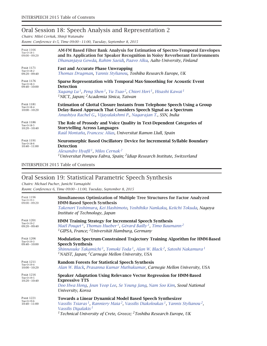# Oral Session 18: Speech Analysis and Representation 2

*Chairs: Miloš Cerˇnak, Shinji Watanabe*

*Room: Conference 4+5, Time 09:00 – 11:00, Tuesday, September 8, 2015*

| <b>PAGE 1166</b>                                  | AM-FM Based Filter Bank Analysis for Estimation of Spectro-Temporal Envelopes                                                                                                                                                                                                                |
|---------------------------------------------------|----------------------------------------------------------------------------------------------------------------------------------------------------------------------------------------------------------------------------------------------------------------------------------------------|
| Tue-O-18-1                                        | and Its Application for Speaker Recognition in Noisy Reverberant Environments                                                                                                                                                                                                                |
| $09:00 - 09:20$                                   | Dhananjaya Gowda, Rahim Saeidi, Paavo Alku, Aalto University, Finland                                                                                                                                                                                                                        |
| <b>PAGE 1171</b><br>Tue-O-18-2<br>$09:20 - 09:40$ | <b>Fast and Accurate Phase Unwrapping</b><br>Thomas Drugman, Yannis Stylianou, Toshiba Research Europe, UK                                                                                                                                                                                   |
| <b>PAGE 1176</b><br>Tue-O-18-3<br>$09:40 - 10:00$ | Sparse Representation with Temporal Max-Smoothing for Acoustic Event<br><b>Detection</b><br>Xugang Lu <sup>1</sup> , Peng Shen <sup>1</sup> , Yu Tsao <sup>2</sup> , Chiori Hori <sup>1</sup> , Hisashi Kawai <sup>1</sup><br><sup>1</sup> NICT, Japan; <sup>2</sup> Academia Sinica, Taiwan |
| <b>PAGE 1181</b>                                  | <b>Estimation of Glottal Closure Instants from Telephone Speech Using a Group</b>                                                                                                                                                                                                            |
| Tue-O-18-4                                        | Delay-Based Approach That Considers Speech Signal as a Spectrum                                                                                                                                                                                                                              |
| $10:00 - 10:20$                                   | Anushiya Rachel G., Vijayalakshmi P., Nagarajan T., SSN, India                                                                                                                                                                                                                               |
| <b>PAGE 1186</b>                                  | The Role of Prosody and Voice Quality in Text-Dependent Categories of                                                                                                                                                                                                                        |
| Tue-O-18-5                                        | <b>Storytelling Across Languages</b>                                                                                                                                                                                                                                                         |
| $10:20 - 10:40$                                   | Raúl Montaño, Francesc Alías, Universitat Ramon Llull, Spain                                                                                                                                                                                                                                 |
| <b>PAGE 1191</b><br>Tue-O-18-6<br>$10:40 - 11:00$ | Neuromorphic Based Oscillatory Device for Incremental Syllable Boundary<br><b>Detection</b><br>Alexandre Hyafil <sup>1</sup> , Milos Cernak <sup>2</sup><br><sup>1</sup> Universitat Pompeu Fabra, Spain; <sup>2</sup> Idiap Research Institute, Switzerland                                 |

INTERSPEECH 2015 Table of Contents

### Oral Session 19: Statistical Parametric Speech Synthesis

*Chairs: Michael Pucher, Junichi Yamagishi Room: Conference 6, Time 09:00 – 11:00, Tuesday, September 8, 2015*

| <b>PAGE 1196</b><br>Tue-O-19-1<br>$09:00 - 09:20$ | Simultaneous Optimization of Multiple Tree Structures for Factor Analyzed<br><b>HMM-Based Speech Synthesis</b><br>Takenori Yoshimura, Kei Hashimoto, Yoshihiko Nankaku, Keiichi Tokuda, Nagoya<br>Institute of Technology, Japan                                                                                                        |
|---------------------------------------------------|-----------------------------------------------------------------------------------------------------------------------------------------------------------------------------------------------------------------------------------------------------------------------------------------------------------------------------------------|
| <b>PAGE 1201</b><br>Tue-O-19-2<br>$09:20 - 09:40$ | <b>HMM Training Strategy for Incremental Speech Synthesis</b><br>Maël Pouget <sup>1</sup> , Thomas Hueber <sup>1</sup> , Gérard Bailly <sup>1</sup> , Timo Baumann <sup>2</sup><br><sup>1</sup> GIPSA, France; <sup>2</sup> Universität Hamburg, Germany                                                                                |
| <b>PAGE 1206</b><br>Tue-O-19-3<br>$09:40 - 10:00$ | Modulation Spectrum-Constrained Trajectory Training Algorithm for HMM-Based<br><b>Speech Synthesis</b><br>Shinnosuke Takamichi <sup>1</sup> , Tomoki Toda <sup>1</sup> , Alan W. Black <sup>2</sup> , Satoshi Nakamura <sup>1</sup><br><sup>1</sup> NAIST, Japan; <sup>2</sup> Carnegie Mellon University, USA                          |
| <b>PAGE 1211</b><br>Tue-O-19-4<br>$10:00 - 10:20$ | <b>Random Forests for Statistical Speech Synthesis</b><br>Alan W. Black, Prasanna Kumar Muthukumar, Carnegie Mellon University, USA                                                                                                                                                                                                     |
| <b>PAGE 1216</b><br>Tue-O-19-5<br>$10:20 - 10:40$ | Speaker Adaptation Using Relevance Vector Regression for HMM-Based<br><b>Expressive TTS</b><br>Doo Hwa Hong, Joun Yeop Lee, Se Young Jang, Nam Soo Kim, Seoul National<br>University, Korea                                                                                                                                             |
| <b>PAGE 1221</b><br>Tue-O-19-6<br>$10:40 - 11:00$ | <b>Towards a Linear Dynamical Model Based Speech Synthesizer</b><br>Vassilis Tsiaras <sup>1</sup> , Ranniery Maia <sup>2</sup> , Vassilis Diakoloukas <sup>1</sup> , Yannis Stylianou <sup>2</sup> ,<br>Vassilis Digalakis <sup>1</sup><br><sup>1</sup> Technical University of Crete, Greece; <sup>2</sup> Toshiba Research Europe, UK |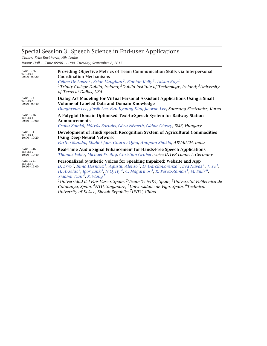# Special Session 3: Speech Science in End-user Applications

*Chairs: Felix Burkhardt, Nils Lenke*

*Room: Hall 1, Time 09:00 – 11:00, Tuesday, September 8, 2015*

| <b>PAGE 1226</b><br>Tue-SP3-1<br>$09:00 - 09:20$ | Providing Objective Metrics of Team Communication Skills via Interpersonal<br><b>Coordination Mechanisms</b><br>Céline De Looze <sup>1</sup> , Brian Vaughan <sup>2</sup> , Finnian Kelly <sup>3</sup> , Alison Kay <sup>1</sup><br><sup>1</sup> Trinity College Dublin, Ireland; <sup>2</sup> Dublin Institute of Technology, Ireland; <sup>3</sup> University<br>of Texas at Dallas, USA                                                                                                                                                                                                                                                                                                                                                                                     |
|--------------------------------------------------|--------------------------------------------------------------------------------------------------------------------------------------------------------------------------------------------------------------------------------------------------------------------------------------------------------------------------------------------------------------------------------------------------------------------------------------------------------------------------------------------------------------------------------------------------------------------------------------------------------------------------------------------------------------------------------------------------------------------------------------------------------------------------------|
| <b>PAGE 1231</b>                                 | Dialog Act Modeling for Virtual Personal Assistant Applications Using a Small                                                                                                                                                                                                                                                                                                                                                                                                                                                                                                                                                                                                                                                                                                  |
| Tue-SP3-2                                        | <b>Volume of Labeled Data and Domain Knowledge</b>                                                                                                                                                                                                                                                                                                                                                                                                                                                                                                                                                                                                                                                                                                                             |
| $09:20 - 09:40$                                  | Donghyeon Lee, Jinsik Lee, Eun-Kyoung Kim, Jaewon Lee, Samsung Electronics, Korea                                                                                                                                                                                                                                                                                                                                                                                                                                                                                                                                                                                                                                                                                              |
| <b>PAGE 1236</b>                                 | A Polyglot Domain Optimised Text-to-Speech System for Railway Station                                                                                                                                                                                                                                                                                                                                                                                                                                                                                                                                                                                                                                                                                                          |
| Tue-SP3-3                                        | Announcements                                                                                                                                                                                                                                                                                                                                                                                                                                                                                                                                                                                                                                                                                                                                                                  |
| $09:40 - 10:00$                                  | Csaba Zainkó, Mátyás Bartalis, Géza Németh, Gábor Olaszy, BME, Hungary                                                                                                                                                                                                                                                                                                                                                                                                                                                                                                                                                                                                                                                                                                         |
| <b>PAGE 1241</b>                                 | Development of Hindi Speech Recognition System of Agricultural Commodities                                                                                                                                                                                                                                                                                                                                                                                                                                                                                                                                                                                                                                                                                                     |
| Tue-SP3-4                                        | <b>Using Deep Neural Network</b>                                                                                                                                                                                                                                                                                                                                                                                                                                                                                                                                                                                                                                                                                                                                               |
| $10:00 - 10:20$                                  | Partho Mandal, Shalini Jain, Gaurav Ojha, Anupam Shukla, ABV-IIITM, India                                                                                                                                                                                                                                                                                                                                                                                                                                                                                                                                                                                                                                                                                                      |
| <b>PAGE 1246</b><br>Tue-SP3-5<br>$10:20 - 10:40$ | Real-Time Audio Signal Enhancement for Hands-Free Speech Applications<br>Thomas Fehér, Michael Freitag, Christian Gruber, voice INTER connect, Germany                                                                                                                                                                                                                                                                                                                                                                                                                                                                                                                                                                                                                         |
| <b>PAGE 1251</b><br>Tue-SP3-6<br>$10:40 - 11:00$ | Personalized Synthetic Voices for Speaking Impaired: Website and App<br>D. Erro <sup>1</sup> , Inma Hernaez <sup>1</sup> , Agustin Alonso <sup>1</sup> , D. García-Lorenzo <sup>1</sup> , Eva Navas <sup>1</sup> , J. Ye <sup>1</sup> ,<br>H. Arzelus <sup>2</sup> , Igor Jauk <sup>3</sup> , N.Q. Hy <sup>4</sup> , C. Magariños <sup>5</sup> , R. Pérez-Ramón <sup>1</sup> , M. Sulír <sup>6</sup> ,<br>Xiaohai Tian <sup>4</sup> , X. Wang <sup>7</sup><br><sup>1</sup> Universidad del País Vasco, Spain; <sup>2</sup> VicomTech-IK4, Spain; <sup>3</sup> Universitat Politècnica de<br>Catalunya, Spain; <sup>4</sup> NTU, Singapore; <sup>5</sup> Universidade de Vigo, Spain; <sup>6</sup> Technical<br>University of Košice, Slovak Republic; <sup>7</sup> USTC, China |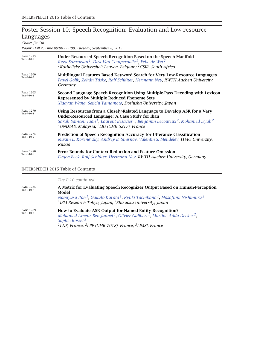# Poster Session 10: Speech Recognition: Evaluation and Low-resource Languages

*Chair: Jia Cui*

*Room: Hall 2, Time 09:00 – 11:00, Tuesday, September 8, 2015*

| <b>PAGE 1255</b><br>Tue-P-10-1 | <b>Under-Resourced Speech Recognition Based on the Speech Manifold</b><br>Reza Sahraeian <sup>1</sup> , Dirk Van Compernolle <sup>1</sup> , Febe de Wet <sup>2</sup><br><sup>1</sup> Katholieke Universiteit Leuven, Belgium; <sup>2</sup> CSIR, South Africa                                                                             |
|--------------------------------|-------------------------------------------------------------------------------------------------------------------------------------------------------------------------------------------------------------------------------------------------------------------------------------------------------------------------------------------|
| <b>PAGE 1260</b><br>Tue-P-10-2 | Multilingual Features Based Keyword Search for Very Low-Resource Languages<br>Pavel Golik, Zoltán Tüske, Ralf Schlüter, Hermann Ney, RWTH Aachen University,<br>Germany                                                                                                                                                                   |
| <b>PAGE 1265</b><br>Tue-P-10-3 | Second Language Speech Recognition Using Multiple-Pass Decoding with Lexicon<br><b>Represented by Multiple Reduced Phoneme Sets</b><br>Xiaoyun Wang, Seiichi Yamamoto, Doshisha University, Japan                                                                                                                                         |
| <b>PAGE 1270</b><br>Tue-P-10-4 | Using Resources from a Closely-Related Language to Develop ASR for a Very<br><b>Under-Resourced Language: A Case Study for Iban</b><br>Sarah Samson Juan <sup>1</sup> , Laurent Besacier <sup>2</sup> , Benjamin Lecouteux <sup>2</sup> , Mohamed Dyab <sup>2</sup><br><sup>1</sup> UNIMAS, Malaysia; <sup>2</sup> LIG (UMR 5217), France |
| <b>PAGE 1275</b><br>Tue-P-10-5 | <b>Prediction of Speech Recognition Accuracy for Utterance Classification</b><br>Maxim L. Korenevsky, Andrey B. Smirnov, Valentin S. Mendelev, ITMO University,<br>Russia                                                                                                                                                                 |
| <b>PAGE 1280</b><br>Tue-P-10-6 | <b>Error Bounds for Context Reduction and Feature Omission</b><br>Eugen Beck, Ralf Schlüter, Hermann Ney, RWTH Aachen University, Germany                                                                                                                                                                                                 |

#### INTERSPEECH 2015 Table of Contents

|                                | Tue-P-10 continued                                                                                                                                                                                                                                                                                 |
|--------------------------------|----------------------------------------------------------------------------------------------------------------------------------------------------------------------------------------------------------------------------------------------------------------------------------------------------|
| <b>PAGE 1285</b><br>Tue-P-10-7 | A Metric for Evaluating Speech Recognizer Output Based on Human-Perception<br>Model<br>Nobuyasu Itoh <sup>1</sup> , Gakuto Kurata <sup>1</sup> , Ryuki Tachibana <sup>1</sup> , Masafumi Nishimura <sup>2</sup><br><sup>1</sup> IBM Research Tokyo, Japan; <sup>2</sup> Shizuoka University, Japan |
| <b>PAGE 1289</b><br>Tue-P-10-8 | How to Evaluate ASR Output for Named Entity Recognition?<br>Mohamed Ameur Ben Jannet <sup>1</sup> , Olivier Galibert <sup>1</sup> , Martine Adda-Decker <sup>2</sup> ,<br>Sophie Rosset <sup>3</sup><br><sup>1</sup> LNE, France; <sup>2</sup> LPP (UMR 7018), France; <sup>3</sup> LIMSI, France  |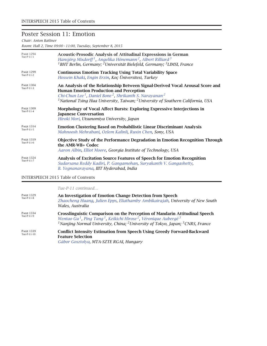### Poster Session 11: Emotion

*Chair: Anton Batliner*

*Room: Hall 2, Time 09:00 – 11:00, Tuesday, September 8, 2015*

| <b>PAGE 1294</b><br>Tue-P-11-1 | <b>Acoustic-Prosodic Analysis of Attitudinal Expressions in German</b><br>Hansjörg Mixdorff <sup>1</sup> , Angelika Hönemann <sup>2</sup> , Albert Rilliard <sup>3</sup><br><sup>1</sup> BHT Berlin, Germany; <sup>2</sup> Universität Bielefeld, Germany; <sup>3</sup> LIMSI, France                                                     |
|--------------------------------|-------------------------------------------------------------------------------------------------------------------------------------------------------------------------------------------------------------------------------------------------------------------------------------------------------------------------------------------|
| <b>PAGE 1299</b><br>Tue-P-11-2 | <b>Continuous Emotion Tracking Using Total Variability Space</b><br>Hossein Khaki, Engin Erzin, Koç Üniversitesi, Turkey                                                                                                                                                                                                                  |
| <b>PAGE 1304</b><br>Tue-P-11-3 | An Analysis of the Relationship Between Signal-Derived Vocal Arousal Score and<br><b>Human Emotion Production and Perception</b><br>Chi-Chun Lee <sup>1</sup> , Daniel Bone <sup>2</sup> , Shrikanth S. Narayanan <sup>2</sup><br><sup>1</sup> National Tsing Hua University, Taiwan; <sup>2</sup> University of Southern California, USA |
| <b>PAGE 1309</b><br>Tue-P-11-4 | Morphology of Vocal Affect Bursts: Exploring Expressive Interjections in<br><b>Japanese Conversation</b><br>Hiroki Mori, Utsunomiya University, Japan                                                                                                                                                                                     |
| <b>PAGE 1314</b><br>Tue-P-11-5 | <b>Emotion Clustering Based on Probabilistic Linear Discriminant Analysis</b><br>Mahnoosh Mehrabani, Ozlem Kalinli, Ruxin Chen, Sony, USA                                                                                                                                                                                                 |
| <b>PAGE 1319</b><br>Tue-P-11-6 | Objective Study of the Performance Degradation in Emotion Recognition Through<br>the AMR-WB+ Codec<br>Aaron Albin, Elliot Moore, Georgia Institute of Technology, USA                                                                                                                                                                     |
| <b>PAGE 1324</b><br>Tue-P-11-7 | Analysis of Excitation Source Features of Speech for Emotion Recognition<br>Sudarsana Reddy Kadiri, P. Gangamohan, Suryakanth V. Gangashetty,<br>B. Yegnanarayana, IIIT Hyderabad, India                                                                                                                                                  |

#### INTERSPEECH 2015 Table of Contents

*Tue-P-11 continued…*

| <b>PAGE 1329</b><br>Tue-P-11-8  | An Investigation of Emotion Change Detection from Speech<br>Zhaocheng Huang, Julien Epps, Eliathamby Ambikairajah, University of New South<br>Wales, Australia                                                                                                                                                             |
|---------------------------------|----------------------------------------------------------------------------------------------------------------------------------------------------------------------------------------------------------------------------------------------------------------------------------------------------------------------------|
| <b>PAGE 1334</b><br>Tue-P-11-9  | <b>Crosslinguistic Comparison on the Perception of Mandarin Attitudinal Speech</b><br>Wentao Gu <sup>1</sup> , Ping Tang <sup>1</sup> , Keikichi Hirose <sup>2</sup> , Véronique Aubergé <sup>3</sup><br><sup>1</sup> Nanjing Normal University, China; <sup>2</sup> University of Tokyo, Japan; <sup>3</sup> CNRS, France |
| <b>PAGE 1339</b><br>Tue-P-11-10 | <b>Conflict Intensity Estimation from Speech Using Greedy Forward-Backward</b><br><b>Feature Selection</b><br>$\sigma$ <sup>1</sup> $\sigma$ $\sigma$ <sup>1</sup> $\sigma$ <sup>1</sup>                                                                                                                                   |

*Gábor Gosztolya, MTA-SZTE RGAI, Hungary*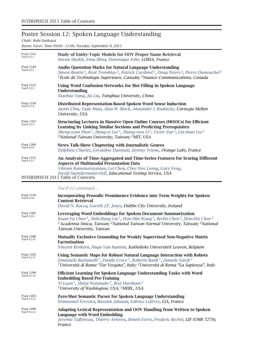# Poster Session 12: Spoken Language Understanding

*Chair: Ruhi Sarikaya*

*Room: Foyer, Time 09:00 – 11:00, Tuesday, September 8, 2015*

| <b>PAGE 1344</b><br>Tue-P-12-1 | <b>Study of Entity-Topic Models for OOV Proper Name Retrieval</b><br>Imran Sheikh, Irina Illina, Dominique Fohr, LORIA, France                                                                                                                                                                                                                                               |
|--------------------------------|------------------------------------------------------------------------------------------------------------------------------------------------------------------------------------------------------------------------------------------------------------------------------------------------------------------------------------------------------------------------------|
| <b>PAGE 1349</b><br>Tue-P-12-2 | <b>Audio Quotation Marks for Natural Language Understanding</b><br>Simon Boutin <sup>1</sup> , Réal Tremblay <sup>2</sup> , Patrick Cardinal <sup>1</sup> , Doug Peters <sup>2</sup> , Pierre Dumouchel <sup>1</sup><br><sup>1</sup> École de Technologie Supérieure, Canada; <sup>2</sup> Nuance Communications, Canada                                                     |
| <b>PAGE 1353</b><br>Tue-P-12-3 | Using Word Confusion Networks for Slot Filling in Spoken Language<br>Understanding<br>Xiaohao Yang, Jia Liu, Tsinghua University, China                                                                                                                                                                                                                                      |
| <b>PAGE 1358</b><br>Tue-P-12-4 | Distributed Representation-Based Spoken Word Sense Induction<br>Justin Chiu, Yajie Miao, Alan W. Black, Alexander I. Rudnicky, Carnegie Mellon<br>University, USA                                                                                                                                                                                                            |
| <b>PAGE 1363</b><br>Tue-P-12-5 | <b>Structuring Lectures in Massive Open Online Courses (MOOCs) for Efficient</b><br>Learning by Linking Similar Sections and Predicting Prerequisites<br>Sheng-syun Shen <sup>1</sup> , Hung-yi Lee <sup>1</sup> , Shang-wen Li <sup>2</sup> , Victor Zue <sup>2</sup> , Lin-shan Lee <sup>1</sup><br><sup>1</sup> National Taiwan University, Taiwan; <sup>2</sup> MIT, USA |
| <b>PAGE 1368</b><br>Tue-P-12-6 | News Talk-Show Chaptering with Journalistic Genres<br>Delphine Charlet, Géraldine Damnati, Jérémy Trione, Orange Labs, France                                                                                                                                                                                                                                                |
| <b>PAGE 1373</b><br>Tue-P-12-7 | An Analysis of Time-Aggregated and Time-Series Features for Scoring Different<br><b>Aspects of Multimodal Presentation Data</b><br>Vikram Ramanarayanan, Lei Chen, Chee Wee Leong, Gary Feng,<br>David Suendermann-Oeft, Educational Testing Service, USA<br><b>INTERSPEECH 2015 Table of Contents</b>                                                                       |
|                                | Tue-P-12 continued                                                                                                                                                                                                                                                                                                                                                           |
| <b>PAGE 1378</b><br>Tue-P-12-8 | <b>Incorporating Prosodic Prominence Evidence into Term Weights for Spoken</b><br><b>Content Retrieval</b>                                                                                                                                                                                                                                                                   |

*David N. Racca, Gareth J.F. Jones, Dublin City University, Ireland*

|                                 | Duria in Kacca, Garcul jili johto, Dublin City Onlycrolly, Ireland                                                                                                                                                                                                                                                                                              |
|---------------------------------|-----------------------------------------------------------------------------------------------------------------------------------------------------------------------------------------------------------------------------------------------------------------------------------------------------------------------------------------------------------------|
| <b>PAGE 1383</b><br>Tue-P-12-9  | Leveraging Word Embeddings for Spoken Document Summarization<br>Kuan-Yu Chen <sup>1</sup> , Shih-Hung Liu <sup>1</sup> , Hsin-Min Wang <sup>1</sup> , Berlin Chen <sup>2</sup> , Hsin-Hsi Chen <sup>3</sup><br><sup>1</sup> Academia Sinica, Taiwan; <sup>2</sup> National Taiwan Normal University, Taiwan; <sup>3</sup> National<br>Taiwan University, Taiwan |
| <b>PAGE 1388</b><br>Tue-P-12-10 | Mutually Exclusive Grounding for Weakly Supervised Non-Negative Matrix<br><b>Factorisation</b><br>Vincent Renkens, Hugo Van hamme, Katholieke Universiteit Leuven, Belgium                                                                                                                                                                                      |
| <b>PAGE 1393</b><br>Tue-P-12-11 | Using Semantic Maps for Robust Natural Language Interaction with Robots<br>Emanuele Bastianelli <sup>1</sup> , Danilo Croce <sup>1</sup> , Roberto Basili <sup>1</sup> , Daniele Nardi <sup>2</sup><br><sup>1</sup> Università di Roma "Tor Vergata", Italy; <sup>2</sup> Università di Roma "La Sapienza", Italy                                               |
| <b>PAGE 1398</b><br>Tue-P-12-12 | Efficient Learning for Spoken Language Understanding Tasks with Word<br><b>Embedding Based Pre-Training</b><br>Yi Luan <sup>1</sup> , Shinji Watanabe <sup>2</sup> , Bret Harsham <sup>2</sup><br><sup>1</sup> University of Washington, USA; <sup>2</sup> MERL, USA                                                                                            |
| <b>PAGE 1403</b><br>Tue-P-12-13 | Zero-Shot Semantic Parser for Spoken Language Understanding<br>Emmanuel Ferreira, Bassam Jabaian, Fabrice Lefèvre, LIA, France                                                                                                                                                                                                                                  |
| <b>PAGE 1408</b><br>Tue-P-12-14 | Adapting Lexical Representation and OOV Handling from Written to Spoken<br>Language with Word Embedding<br>Jeremie Tafforeau, Thierry Artieres, Benoit Favre, Frederic Bechet, LIF (UMR 7279),<br>France                                                                                                                                                        |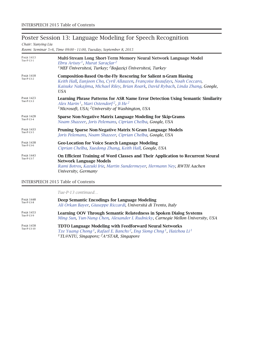# Poster Session 13: Language Modeling for Speech Recognition

*Chair: Xunying Liu*

*Room: Seminar 5+6, Time 09:00 – 11:00, Tuesday, September 8, 2015*

| <b>PAGE 1413</b><br>Tue-P-13-1 | Multi-Stream Long Short-Term Memory Neural Network Language Model<br>Ebru Arisoy <sup>1</sup> , Murat Saraçlar <sup>2</sup><br><sup>1</sup> MEF Üniversitesi, Turkey; <sup>2</sup> Boğaziçi Üniversitesi, Turkey                                  |
|--------------------------------|---------------------------------------------------------------------------------------------------------------------------------------------------------------------------------------------------------------------------------------------------|
| <b>PAGE 1418</b><br>Tue-P-13-2 | <b>Composition-Based On-the-Fly Rescoring for Salient n-Gram Biasing</b><br>Keith Hall, Eunjoon Cho, Cyril Allauzen, Françoise Beaufays, Noah Coccaro,<br>Kaisuke Nakajima, Michael Riley, Brian Roark, David Rybach, Linda Zhang, Google,<br>USA |
| <b>PAGE 1423</b><br>Tue-P-13-3 | Learning Phrase Patterns for ASR Name Error Detection Using Semantic Similarity<br>Alex Marin <sup>1</sup> , Mari Ostendorf <sup>2</sup> , Ji He <sup>2</sup><br><sup>1</sup> Microsoft, USA; <sup>2</sup> University of Washington, USA          |
| <b>PAGE 1428</b><br>Tue-P-13-4 | Sparse Non-Negative Matrix Language Modeling for Skip-Grams<br>Noam Shazeer, Joris Pelemans, Ciprian Chelba, Google, USA                                                                                                                          |
| <b>PAGE 1433</b><br>Tue-P-13-5 | Pruning Sparse Non-Negative Matrix N-Gram Language Models<br>Joris Pelemans, Noam Shazeer, Ciprian Chelba, Google, USA                                                                                                                            |
| <b>PAGE 1438</b><br>Tue-P-13-6 | <b>Geo-Location for Voice Search Language Modeling</b><br>Ciprian Chelba, Xuedong Zhang, Keith Hall, Google, USA                                                                                                                                  |
| <b>PAGE 1443</b><br>Tue-P-13-7 | On Efficient Training of Word Classes and Their Application to Recurrent Neural<br><b>Network Language Models</b><br>Rami Botros, Kazuki Irie, Martin Sundermeyer, Hermann Ney, RWTH Aachen<br>University, Germany                                |

#### INTERSPEECH 2015 Table of Contents

*Tue-P-13 continued…*

| PAGE 1448                | Deep Semantic Encodings for Language Modeling                                                                                                                                                                                                            |
|--------------------------|----------------------------------------------------------------------------------------------------------------------------------------------------------------------------------------------------------------------------------------------------------|
| Tue-P-13-8               | Ali Orkan Bayer, Giuseppe Riccardi, Università di Trento, Italy                                                                                                                                                                                          |
| PAGE 1453                | <b>Learning OOV Through Semantic Relatedness in Spoken Dialog Systems</b>                                                                                                                                                                                |
| Tue-P-13-9               | Ming Sun, Yun-Nung Chen, Alexander I. Rudnicky, Carnegie Mellon University, USA                                                                                                                                                                          |
| PAGE 1458<br>Tue-P-13-10 | <b>TDTO Language Modeling with Feedforward Neural Networks</b><br>Tze Yuang Chong <sup>1</sup> , Rafael E. Banchs <sup>2</sup> , Eng Siong Chng <sup>1</sup> , Haizhou Li <sup>1</sup><br><sup>1</sup> TL@NTU, Singapore; <sup>2</sup> A*STAR, Singapore |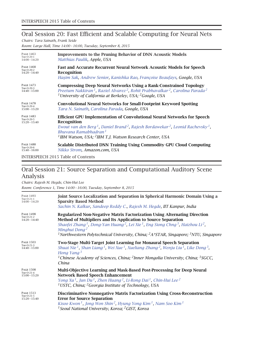# Oral Session 20: Fast Efficient and Scalable Computing for Neural Nets

*Chairs: Tara Sainath, Frank Seide*

*Room: Large Hall, Time 14:00 – 16:00, Tuesday, September 8, 2015*

| <b>PAGE 1463</b><br>Tue-O-20-1<br>$14:00 - 14:20$ | <b>Improvements to the Pruning Behavior of DNN Acoustic Models</b><br>Matthias Paulik, Apple, USA                                                                                                                                                                                                                                                       |
|---------------------------------------------------|---------------------------------------------------------------------------------------------------------------------------------------------------------------------------------------------------------------------------------------------------------------------------------------------------------------------------------------------------------|
| <b>PAGE 1468</b><br>Tue-O-20-2<br>$14:20 - 14:40$ | Fast and Accurate Recurrent Neural Network Acoustic Models for Speech<br>Recognition<br>Haşim Sak, Andrew Senior, Kanishka Rao, Françoise Beaufays, Google, USA                                                                                                                                                                                         |
| <b>PAGE 1473</b><br>Tue-O-20-3<br>$14:40 - 15:00$ | <b>Compressing Deep Neural Networks Using a Rank-Constrained Topology</b><br>Preetum Nakkiran <sup>1</sup> , Raziel Alvarez <sup>2</sup> , Rohit Prabhavalkar <sup>2</sup> , Carolina Parada <sup>2</sup><br><sup>1</sup> University of California at Berkeley, USA; $^{2}$ Google, USA                                                                 |
| <b>PAGE 1478</b><br>Tue-O-20-4<br>$15:00 - 15:20$ | Convolutional Neural Networks for Small-Footprint Keyword Spotting<br>Tara N. Sainath, Carolina Parada, Google, USA                                                                                                                                                                                                                                     |
| <b>PAGE 1483</b><br>Tue-O-20-5<br>$15:20 - 15:40$ | <b>Efficient GPU Implementation of Convolutional Neural Networks for Speech</b><br>Recognition<br>Ewout van den Berg <sup>1</sup> , Daniel Brand <sup>2</sup> , Rajesh Bordawekar <sup>2</sup> , Leonid Rachevsky <sup>1</sup> ,<br>Bhuvana Ramabhadran <sup>1</sup><br><sup>1</sup> IBM Watson, USA; <sup>2</sup> IBM T.J. Watson Research Center, USA |
| <b>PAGE 1488</b><br>Tue-O-20-6<br>$15:40 - 16:00$ | Scalable Distributed DNN Training Using Commodity GPU Cloud Computing<br>Nikko Strom, Amazon.com, USA                                                                                                                                                                                                                                                   |

INTERSPEECH 2015 Table of Contents

## Oral Session 21: Source Separation and Computational Auditory Scene Analysis

*Chairs: Rajesh M. Hegde, Chin-Hui Lee Room: Conference 1, Time 14:00 – 16:00, Tuesday, September 8, 2015*

| <b>PAGE 1493</b><br>Tue-O-21-1<br>$14:00 - 14:20$ | Joint Source Localization and Separation in Spherical Harmonic Domain Using a<br><b>Sparsity Based Method</b><br>Sachin N. Kalkur, Sandeep Reddy C., Rajesh M. Hegde, IIT Kanpur, India                                                                                                                                                                                                                                                 |
|---------------------------------------------------|-----------------------------------------------------------------------------------------------------------------------------------------------------------------------------------------------------------------------------------------------------------------------------------------------------------------------------------------------------------------------------------------------------------------------------------------|
| <b>PAGE 1498</b><br>Tue-O-21-2<br>$14:20 - 14:40$ | Regularized Non-Negative Matrix Factorization Using Alternating Direction<br>Method of Multipliers and Its Application to Source Separation<br>Shaofei Zhang <sup>1</sup> , Dong-Yan Huang <sup>2</sup> , Lei Xie <sup>1</sup> , Eng Siong Chng <sup>3</sup> , Haizhou Li <sup>2</sup> ,<br>Minghui Dong <sup>2</sup><br><sup>1</sup> Northwestern Polytechnical University, China; ${}^{2}A*STAR$ , Singapore; ${}^{3}NTU$ , Singapore |
| <b>PAGE 1503</b><br>Tue-O-21-3<br>$14:40 - 15:00$ | Two-Stage Multi-Target Joint Learning for Monaural Speech Separation<br>Shuai Nie <sup>1</sup> , Shan Liang <sup>1</sup> , Wei Xue <sup>1</sup> , Xueliang Zhang <sup>2</sup> , Wenju Liu <sup>1</sup> , Like Dong <sup>3</sup> ,<br>Hong Yang $3$<br><sup>1</sup> Chinese Academy of Sciences, China; <sup>2</sup> Inner Mongolia University, China; <sup>3</sup> SGCC,<br>China                                                       |
| <b>PAGE 1508</b><br>Tue-O-21-4<br>$15:00 - 15:20$ | <b>Multi-Objective Learning and Mask-Based Post-Processing for Deep Neural</b><br><b>Network Based Speech Enhancement</b><br>Yong Xu <sup>1</sup> , Jun Du <sup>1</sup> , Zhen Huang <sup>2</sup> , Li-Rong Dai <sup>1</sup> , Chin-Hui Lee <sup>2</sup><br><sup>1</sup> USTC, China; <sup>2</sup> Georgia Institute of Technology, USA                                                                                                 |
| <b>PAGE 1513</b><br>Tue-O-21-5<br>$15:20 - 15:40$ | Discriminative Nonnegative Matrix Factorization Using Cross-Reconstruction<br><b>Error for Source Separation</b><br>Kisoo Kwon <sup>1</sup> , Jong Won Shin <sup>2</sup> , Hyung Yong Kim <sup>1</sup> , Nam Soo Kim <sup>1</sup><br><sup>1</sup> Seoul National University, Korea; <sup>2</sup> GIST, Korea                                                                                                                            |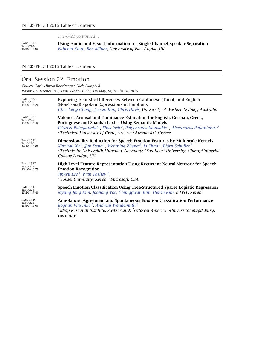*Tue-O-21 continued…*

Page <sup>1517</sup> Tue-O-21-6 15:40 – 16:00 **Using Audio and Visual Information for Single Channel Speaker Separation** *Faheem Khan, Ben Milner, University of East Anglia, UK*

#### INTERSPEECH 2015 Table of Contents

### Oral Session 22: Emotion

*Chairs: Carlos Busso Recabarren, Nick Campbell*

*Room: Conference 2+3, Time 14:00 – 16:00, Tuesday, September 8, 2015*

| <b>PAGE 1522</b><br>Tue-O-22-1<br>$14:00 - 14:20$ | <b>Exploring Acoustic Differences Between Cantonese (Tonal) and English</b><br>(Non-Tonal) Spoken Expressions of Emotions<br>Chee Seng Chong, Jeesun Kim, Chris Davis, University of Western Sydney, Australia                                                                                                                                                        |
|---------------------------------------------------|-----------------------------------------------------------------------------------------------------------------------------------------------------------------------------------------------------------------------------------------------------------------------------------------------------------------------------------------------------------------------|
| <b>PAGE 1527</b><br>Tue-O-22-2<br>$14:20 - 14:40$ | Valence, Arousal and Dominance Estimation for English, German, Greek,<br>Portuguese and Spanish Lexica Using Semantic Models<br>Elisavet Palogiannidi <sup>1</sup> , Elias Iosif <sup>2</sup> , Polychronis Koutsakis <sup>1</sup> , Alexandros Potamianos <sup>2</sup><br><sup>1</sup> Technical University of Crete, Greece; <sup>2</sup> Athena RC, Greece         |
| <b>PAGE 1532</b><br>Tue-O-22-3<br>$14:40 - 15:00$ | <b>Dimensionality Reduction for Speech Emotion Features by Multiscale Kernels</b><br>Xinzhou Xu <sup>1</sup> , Jun Deng <sup>1</sup> , Wenming Zheng <sup>2</sup> , Li Zhao <sup>2</sup> , Björn Schuller <sup>3</sup><br><sup>1</sup> Technische Universität München, Germany; <sup>2</sup> Southeast University, China; <sup>3</sup> Imperial<br>College London, UK |
| <b>PAGE 1537</b><br>Tue-O-22-4<br>$15:00 - 15:20$ | <b>High-Level Feature Representation Using Recurrent Neural Network for Speech</b><br><b>Emotion Recognition</b><br>Jinkyu Lee <sup>1</sup> , Ivan Tashev <sup>2</sup><br><sup>1</sup> Yonsei University, Korea; <sup>2</sup> Microsoft, USA                                                                                                                          |
| <b>PAGE 1541</b><br>Tue-O-22-5<br>$15:20 - 15:40$ | Speech Emotion Classification Using Tree-Structured Sparse Logistic Regression<br>Myung Jong Kim, Joohong Yoo, Younggwan Kim, Hoirin Kim, KAIST, Korea                                                                                                                                                                                                                |
| <b>PAGE 1546</b><br>Tue-O-22-6<br>$15:40 - 16:00$ | <b>Annotators' Agreement and Spontaneous Emotion Classification Performance</b><br>Bogdan Vlasenko <sup>1</sup> , Andreas Wendemuth <sup>2</sup><br><sup>1</sup> Idiap Research Institute, Switzerland; <sup>2</sup> Otto-von-Guericke-Universität Magdeburg,<br>Germany                                                                                              |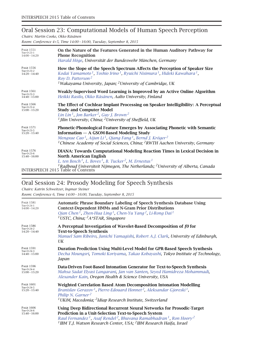# Oral Session 23: Computational Models of Human Speech Perception

*Chairs: Martin Cooke, Okko Räsänen*

*Room: Conference 4+5, Time 14:00 – 16:00, Tuesday, September 8, 2015*

| On the Nature of the Features Generated in the Human Auditory Pathway for<br><b>Phone Recognition</b><br>Harald Höge, Universität der Bundeswehr München, Germany                                                                                                                                                                                                             |
|-------------------------------------------------------------------------------------------------------------------------------------------------------------------------------------------------------------------------------------------------------------------------------------------------------------------------------------------------------------------------------|
| How the Slope of the Speech Spectrum Affects the Perception of Speaker Size<br>Kodai Yamamoto <sup>1</sup> , Toshio Irino <sup>1</sup> , Ryuichi Nisimura <sup>1</sup> , Hideki Kawahara <sup>1</sup> ,<br>Roy D. Patterson <sup>2</sup><br><sup>1</sup> Wakayama University, Japan; <sup>2</sup> University of Cambridge, UK                                                 |
| Weakly-Supervised Word Learning is Improved by an Active Online Algorithm<br>Heikki Rasilo, Okko Räsänen, Aalto University, Finland                                                                                                                                                                                                                                           |
| The Effect of Cochlear Implant Processing on Speaker Intelligibility: A Perceptual<br><b>Study and Computer Model</b><br>Lin Lin <sup>1</sup> , Jon Barker <sup>2</sup> , Guy J. Brown <sup>2</sup><br><sup>1</sup> Jilin University, China; <sup>2</sup> University of Sheffield, UK                                                                                         |
| Phonetic-Phonological Feature Emerges by Associating Phonetic with Semantic<br><b>Information - A GSOM-Based Modeling Study</b><br>Mengxue Cao <sup>1</sup> , Aijun Li <sup>1</sup> , Qiang Fang <sup>1</sup> , Bernd J. Kröger <sup>2</sup><br><sup>1</sup> Chinese Academy of Social Sciences, China; <sup>2</sup> RWTH Aachen University, Germany                          |
| DIANA: Towards Computational Modeling Reaction Times in Lexical Decision in<br><b>North American English</b><br>L. ten Bosch <sup>1</sup> , L. Boves <sup>1</sup> , B. Tucker <sup>2</sup> , M. Ernestus <sup>1</sup><br><sup>1</sup> Radboud Universiteit Nijmegen, The Netherlands; <sup>2</sup> University of Alberta, Canada<br><b>INTERSPEECH 2015 Table of Contents</b> |
|                                                                                                                                                                                                                                                                                                                                                                               |

# Oral Session 24: Prosody Modeling for Speech Synthesis

*Chairs: Katrin Schweitzer, Ingmar Steiner*

*Room: Conference 6, Time 14:00 – 16:00, Tuesday, September 8, 2015*

| <b>PAGE 1581</b><br>Tue-O-24-1<br>$14:00 - 14:20$ | <b>Automatic Phrase Boundary Labeling of Speech Synthesis Database Using</b><br><b>Context-Dependent HMMs and N-Gram Prior Distributions</b><br>Qian Chen <sup>1</sup> , Zhen-Hua Ling <sup>1</sup> , Chen-Yu Yang <sup>2</sup> , Li-Rong Dai <sup>1</sup><br><sup>1</sup> USTC, China; <sup>2</sup> A*STAR, Singapore                             |
|---------------------------------------------------|----------------------------------------------------------------------------------------------------------------------------------------------------------------------------------------------------------------------------------------------------------------------------------------------------------------------------------------------------|
| <b>PAGE 1586</b><br>Tue-O-24-2<br>$14:20 - 14:40$ | A Perceptual Investigation of Wavelet-Based Decomposition of f0 for<br><b>Text-to-Speech Synthesis</b><br>Manuel Sam Ribeiro, Junichi Yamagishi, Robert A.J. Clark, University of Edinburgh,<br>UK                                                                                                                                                 |
| <b>PAGE 1591</b><br>Tue-O-24-3<br>$14:40 - 15:00$ | Duration Prediction Using Multi-Level Model for GPR-Based Speech Synthesis<br>Decha Moungsri, Tomoki Koriyama, Takao Kobayashi, Tokyo Institute of Technology,<br>Japan                                                                                                                                                                            |
| <b>PAGE 1596</b><br>Tue-O-24-4<br>$15:00 - 15:20$ | Data-Driven Foot-Based Intonation Generator for Text-to-Speech Synthesis<br>Mahsa Sadat Elyasi Langarani, Jan van Santen, Seyed Hamidreza Mohammadi,<br>Alexander Kain, Oregon Health & Science University, USA                                                                                                                                    |
| <b>PAGE 1601</b><br>Tue-O-24-5<br>$15:20 - 15:40$ | <b>Weighted Correlation Based Atom Decomposition Intonation Modelling</b><br>Branislav Gerazov <sup>1</sup> , Pierre-Edouard Honnet <sup>2</sup> , Aleksandar Gjoreski <sup>1</sup> ,<br>Philip N. Garner <sup>2</sup><br><sup>1</sup> UKiM, Macedonia; <sup>2</sup> Idiap Research Institute, Switzerland                                         |
| <b>PAGE 1606</b><br>Tue-O-24-6<br>$15:40 - 16:00$ | Using Deep Bidirectional Recurrent Neural Networks for Prosodic-Target<br>Prediction in a Unit-Selection Text-to-Speech System<br>Raul Fernandez <sup>1</sup> , Asaf Rendel <sup>2</sup> , Bhuvana Ramabhadran <sup>1</sup> , Ron Hoory <sup>2</sup><br><sup>1</sup> IBM T.J. Watson Research Center, USA; <sup>2</sup> IBM Research Haifa, Israel |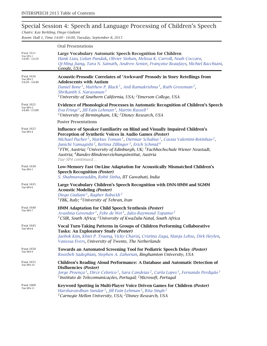# Special Session 4: Speech and Language Processing of Children's Speech

*Chairs: Kay Berkling, Diego Giuliani*

*Room: Hall 1, Time 14:00 – 16:00, Tuesday, September 8, 2015*

| <b>PAGE 1611</b><br>Tue-SP4-1<br>$14:00 - 14:20$ | Oral Presentations                                                                                                                                                                                                                                                                                                                                                                                                                                                                                                                                                                    |
|--------------------------------------------------|---------------------------------------------------------------------------------------------------------------------------------------------------------------------------------------------------------------------------------------------------------------------------------------------------------------------------------------------------------------------------------------------------------------------------------------------------------------------------------------------------------------------------------------------------------------------------------------|
|                                                  | Large Vocabulary Automatic Speech Recognition for Children<br>Hank Liao, Golan Pundak, Olivier Siohan, Melissa K. Carroll, Noah Coccaro,<br>Qi-Ming Jiang, Tara N. Sainath, Andrew Senior, Françoise Beaufays, Michiel Bacchiani,<br>Google, USA                                                                                                                                                                                                                                                                                                                                      |
| <b>PAGE 1616</b><br>Tue-SP4-2<br>$14:20 - 14:40$ | Acoustic-Prosodic Correlates of 'Awkward' Prosody in Story Retellings from<br><b>Adolescents with Autism</b><br>Daniel Bone <sup>1</sup> , Matthew P. Black <sup>1</sup> , Anil Ramakrishna <sup>1</sup> , Ruth Grossman <sup>2</sup> ,<br>Shrikanth S. Narayanan <sup>1</sup><br><sup>1</sup> University of Southern California, USA; $^2$ Emerson College, USA                                                                                                                                                                                                                      |
| PAGE 1621<br>Tue-SP4-3<br>$14:40 - 15:00$        | Evidence of Phonological Processes in Automatic Recognition of Children's Speech<br>Eva Fringi <sup>1</sup> , Jill Fain Lehman <sup>2</sup> , Martin Russell <sup>1</sup><br><sup>1</sup> University of Birmingham, UK; <sup>2</sup> Disney Research, USA                                                                                                                                                                                                                                                                                                                             |
|                                                  | <b>Poster Presentations</b>                                                                                                                                                                                                                                                                                                                                                                                                                                                                                                                                                           |
| PAGE 1625<br>Tue-SP4-4                           | Influence of Speaker Familiarity on Blind and Visually Impaired Children's<br>Perception of Synthetic Voices in Audio Games (Poster)<br>Michael Pucher <sup>1</sup> , Markus Toman <sup>1</sup> , Dietmar Schabus <sup>1</sup> , Cassia Valentini-Botinhao <sup>2</sup> ,<br>Junichi Yamagishi <sup>2</sup> , Bettina Zillinger <sup>3</sup> , Erich Schmid <sup>4</sup><br><sup>1</sup> FTW, Austria; <sup>2</sup> University of Edinburgh, UK; <sup>3</sup> Fachhochschule Wiener Neustadt,<br>Austria; <sup>4</sup> Bundes-Blindenerziehungsinstitut, Austria<br>Tue-SP4 continued |
| <b>PAGE 1630</b><br>Tue-SP4-5                    | Low-Memory Fast On-Line Adaptation for Acoustically Mismatched Children's<br><b>Speech Recognition (Poster)</b><br>S. Shahnawazuddin, Rohit Sinha, IIT Guwahati, India                                                                                                                                                                                                                                                                                                                                                                                                                |
| <b>PAGE 1635</b><br>Tue-SP4-6                    | Large Vocabulary Children's Speech Recognition with DNN-HMM and SGMM<br><b>Acoustic Modeling (Poster)</b><br>Diego Giuliani <sup>1</sup> , Bagher BabaAli <sup>2</sup><br><sup>1</sup> FBK, Italy; <sup>2</sup> University of Tehran, Iran                                                                                                                                                                                                                                                                                                                                            |
| <b>PAGE 1640</b><br>Tue-SP4-7                    | HMM Adaptation for Child Speech Synthesis (Poster)<br>Avashna Govender <sup>1</sup> , Febe de Wet <sup>1</sup> , Jules-Raymond Tapamo <sup>2</sup><br><sup>1</sup> CSIR, South Africa; <sup>2</sup> University of KwaZulu-Natal, South Africa                                                                                                                                                                                                                                                                                                                                         |
| PAGE 1645<br>Tue-SP4-8                           | Vocal Turn-Taking Patterns in Groups of Children Performing Collaborative<br>Tasks: An Exploratory Study (Poster)<br>Jaebok Kim, Khiet P. Truong, Vicky Charisi, Cristina Zaga, Manja Lohse, Dirk Heylen,<br>Vanessa Evers, University of Twente, The Netherlands                                                                                                                                                                                                                                                                                                                     |
| <b>PAGE 1650</b><br>Tue-SP4-9                    | <b>Towards an Automated Screening Tool for Pediatric Speech Delay (Poster)</b><br>Roozbeh Sadeghian, Stephen A. Zahorian, Binghamton University, USA                                                                                                                                                                                                                                                                                                                                                                                                                                  |
| PAGE 1655<br>Tue-SP4-10                          | <b>Children's Reading Aloud Performance: A Database and Automatic Detection of</b><br>Disfluencies (Poster)<br>Jorge Proença <sup>1</sup> , Dirce Celorico <sup>1</sup> , Sara Candeias <sup>2</sup> , Carla Lopes <sup>1</sup> , Fernando Perdigão <sup>1</sup><br><sup>1</sup> Instituto de Telecomunicações, Portugal; <sup>2</sup> Microsoft, Portugal                                                                                                                                                                                                                            |
| <b>PAGE 1660</b><br>Tue-SP4-11                   | Keyword Spotting in Multi-Player Voice Driven Games for Children (Poster)<br>Harshavardhan Sundar <sup>1</sup> , Jill Fain Lehman <sup>2</sup> , Rita Singh <sup>2</sup><br><sup>1</sup> Carnegie Mellon University, USA; <sup>2</sup> Disney Research, USA                                                                                                                                                                                                                                                                                                                           |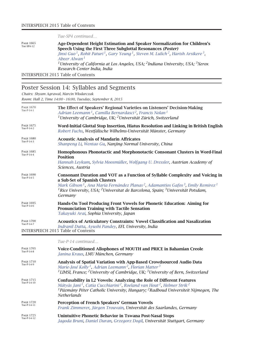*Tue-SP4 continued…*

PAGE 1665<br>Tue-SP4-12 **Age-Dependent Height Estimation and Speaker Normalization for Children's Speech Using the First Three Subglottal Resonances** *(Poster) Jinxi Guo 1, Rohit Paturi 1, Gary Yeung 1, Steven M. Lulich 2, Harish Arsikere 3, Abeer Alwan <sup>1</sup> 1University of California at Los Angeles, USA; 2Indiana University, USA; 3Xerox Research Center India, India*

INTERSPEECH 2015 Table of Contents

### Poster Session 14: Syllables and Segments

*Chairs: Shyam Agrawal, Marcin Włodarczak*

*Room: Hall 2, Time 14:00 – 16:00, Tuesday, September 8, 2015*

| <b>PAGE 1705</b><br>Tue-P-14-8 | Voice-Conditioned Allophones of MOUTH and PRICE in Bahamian Creole                                                                                                                                                                                                                                                                                                                  |
|--------------------------------|-------------------------------------------------------------------------------------------------------------------------------------------------------------------------------------------------------------------------------------------------------------------------------------------------------------------------------------------------------------------------------------|
|                                | Tue-P-14 continued                                                                                                                                                                                                                                                                                                                                                                  |
|                                | <b>INTERSPEECH 2015 Table of Contents</b>                                                                                                                                                                                                                                                                                                                                           |
| <b>PAGE 1700</b><br>Tue-P-14-7 | <b>Acoustics of Articulatory Constraints: Vowel Classification and Nasalization</b><br>Indranil Dutta, Ayushi Pandey, EFL University, India                                                                                                                                                                                                                                         |
| <b>PAGE 1695</b><br>Tue-P-14-6 | Hands-On Tool Producing Front Vowels for Phonetic Education: Aiming for<br><b>Pronunciation Training with Tactile Sensation</b><br>Takayuki Arai, Sophia University, Japan                                                                                                                                                                                                          |
| <b>PAGE 1690</b><br>Tue-P-14-5 | Consonant Duration and VOT as a Function of Syllable Complexity and Voicing in<br>a Sub-Set of Spanish Clusters<br>Mark Gibson <sup>1</sup> , Ana María Fernández Planas <sup>2</sup> , Adamantios Gafos <sup>3</sup> , Emily Remirez <sup>1</sup><br><sup>1</sup> Rice University, USA; <sup>2</sup> Universitat de Barcelona, Spain; <sup>3</sup> Universität Potsdam,<br>Germany |
| <b>PAGE 1685</b><br>Tue-P-14-4 | Homophonous Phonotactic and Morphonotactic Consonant Clusters in Word-Final<br><b>Position</b><br>Hannah Leykum, Sylvia Moosmüller, Wolfgang U. Dressler, Austrian Academy of<br>Sciences, Austria                                                                                                                                                                                  |
| <b>PAGE 1680</b><br>Tue-P-14-3 | <b>Acoustic Analysis of Mandarin Affricates</b><br>Shanpeng Li, Wentao Gu, Nanjing Normal University, China                                                                                                                                                                                                                                                                         |
| <b>PAGE 1675</b><br>Tue-P-14-2 | Word-Initial Glottal Stop Insertion, Hiatus Resolution and Linking in British English<br>Robert Fuchs, Westfälische Wilhelms-Universität Münster, Germany                                                                                                                                                                                                                           |
| <b>PAGE 1670</b><br>Tue-P-14-1 | The Effect of Speakers' Regional Varieties on Listeners' Decision-Making<br>Adrian Leemann <sup>1</sup> , Camilla Bernardasci <sup>2</sup> , Francis Nolan <sup>1</sup><br><sup>1</sup> University of Cambridge, UK; <sup>2</sup> Universität Zürich, Switzerland                                                                                                                   |

*Janina Kraus, LMU München, Germany*

| <b>PAGE 1710</b><br>Tue-P-14-9  | Analysis of Spatial Variation with App-Based Crowdsourced Audio Data<br>Marie-José Kolly <sup>1</sup> , Adrian Leemann <sup>2</sup> , Florian Matter <sup>3</sup><br><sup>1</sup> LIMSI, France; <sup>2</sup> University of Cambridge, UK; <sup>3</sup> University of Bern, Switzerland                                                |
|---------------------------------|----------------------------------------------------------------------------------------------------------------------------------------------------------------------------------------------------------------------------------------------------------------------------------------------------------------------------------------|
| <b>PAGE 1715</b><br>Tue-P-14-10 | <b>Confusability in L2 Vowels: Analyzing the Role of Different Features</b><br>Mátyás Jani <sup>1</sup> , Catia Cucchiarini <sup>2</sup> , Roeland van Hout <sup>2</sup> , Helmer Strik <sup>2</sup><br><sup>1</sup> Pázmány Péter Catholic University, Hungary; <sup>2</sup> Radboud Universiteit Nijmegen, The<br><b>Netherlands</b> |
| <b>PAGE 1720</b><br>Tue-P-14-11 | <b>Perception of French Speakers' German Vowels</b><br>Frank Zimmerer, Jürgen Trouvain, Universität des Saarlandes, Germany                                                                                                                                                                                                            |
| <b>PAGE 1725</b>                | Unintuitive Phonetic Behavior in Tswana Post-Nasal Stops                                                                                                                                                                                                                                                                               |

Tue-P-14-12 Tue-P-14-12 **Unintuitive Phonetic Behavior in Tswana Post-Nasal Stops** *Jagoda Bruni, Daniel Duran, Grzegorz Dogil, Universität Stuttgart, Germany*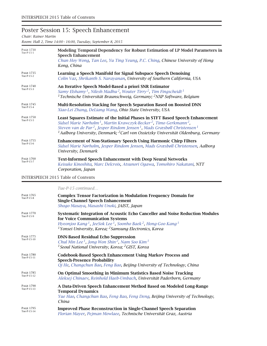# Poster Session 15: Speech Enhancement

#### *Chair: Rainer Martin*

*Room: Hall 2, Time 14:00 – 16:00, Tuesday, September 8, 2015*

| <b>PAGE 1730</b><br>Tue-P-15-1 | Modeling Temporal Dependency for Robust Estimation of LP Model Parameters in<br><b>Speech Enhancement</b><br>Chun Hoy Wong, Tan Lee, Yu Ting Yeung, P.C. Ching, Chinese University of Hong<br>Kong, China                                                                                                                                                                                                                 |
|--------------------------------|---------------------------------------------------------------------------------------------------------------------------------------------------------------------------------------------------------------------------------------------------------------------------------------------------------------------------------------------------------------------------------------------------------------------------|
| <b>PAGE 1735</b><br>Tue-P-15-2 | Learning a Speech Manifold for Signal Subspace Speech Denoising<br>Colin Vaz, Shrikanth S. Narayanan, University of Southern California, USA                                                                                                                                                                                                                                                                              |
| <b>PAGE 1740</b><br>Tue-P-15-3 | An Iterative Speech Model-Based a priori SNR Estimator<br>Samy Elshamy <sup>1</sup> , Nilesh Madhu <sup>2</sup> , Wouter Tirry <sup>2</sup> , Tim Fingscheidt <sup>1</sup><br><sup>1</sup> Technische Universität Braunschweig, Germany; <sup>2</sup> NXP Software, Belgium                                                                                                                                               |
| <b>PAGE 1745</b><br>Tue-P-15-4 | <b>Multi-Resolution Stacking for Speech Separation Based on Boosted DNN</b><br>Xiao-Lei Zhang, DeLiang Wang, Ohio State University, USA                                                                                                                                                                                                                                                                                   |
| <b>PAGE 1750</b><br>Tue-P-15-5 | <b>Least Squares Estimate of the Initial Phases in STFT Based Speech Enhancement</b><br>Sidsel Marie Nørholm <sup>1</sup> , Martin Krawczyk-Becker <sup>2</sup> , Timo Gerkmann <sup>2</sup> ,<br>Steven van de Par <sup>2</sup> , Jesper Rindom Jensen <sup>1</sup> , Mads Græsbøll Christensen <sup>1</sup><br><sup>1</sup> Aalborg University, Denmark; <sup>2</sup> Carl von Ossietzky Universität Oldenburg, Germany |
| <b>PAGE 1755</b><br>Tue-P-15-6 | <b>Enhancement of Non-Stationary Speech Using Harmonic Chirp Filters</b><br>Sidsel Marie Nørholm, Jesper Rindom Jensen, Mads Græsbøll Christensen, Aalborg<br>University, Denmark                                                                                                                                                                                                                                         |
| <b>PAGE 1760</b><br>Tue-P-15-7 | <b>Text-Informed Speech Enhancement with Deep Neural Networks</b><br>Keisuke Kinoshita, Marc Delcroix, Atsunori Ogawa, Tomohiro Nakatani, NTT<br>Corporation, Japan                                                                                                                                                                                                                                                       |

#### INTERSPEECH 2015 Table of Contents

*Tue-P-15 continued…*

| <b>PAGE 1765</b><br>Tue-P-15-8  | <b>Complex Tensor Factorization in Modulation Frequency Domain for</b><br><b>Single-Channel Speech Enhancement</b><br>Shogo Masaya, Masashi Unoki, JAIST, Japan                                                                                                                                                    |
|---------------------------------|--------------------------------------------------------------------------------------------------------------------------------------------------------------------------------------------------------------------------------------------------------------------------------------------------------------------|
| <b>PAGE 1770</b><br>Tue-P-15-9  | Systematic Integration of Acoustic Echo Canceller and Noise Reduction Modules<br>for Voice Communication Systems<br>Hyeonjoo Kang <sup>1</sup> , JeeSok Lee <sup>1</sup> , Soonho Baek <sup>2</sup> , Hong-Goo Kang <sup>1</sup><br><sup>1</sup> Yonsei University, Korea; <sup>2</sup> Samsung Electronics, Korea |
| <b>PAGE 1775</b><br>Tue-P-15-10 | <b>DNN-Based Residual Echo Suppression</b><br>Chul Min Lee <sup>1</sup> , Jong Won Shin <sup>2</sup> , Nam Soo Kim <sup>1</sup><br><sup>1</sup> Seoul National University, Korea; <sup>2</sup> GIST, Korea                                                                                                         |
| <b>PAGE 1780</b><br>Tue-P-15-11 | <b>Codebook-Based Speech Enhancement Using Markov Process and</b><br><b>Speech-Presence Probability</b><br>Qi He, Changchun Bao, Feng Bao, Beijing University of Technology, China                                                                                                                                 |
| <b>PAGE 1785</b><br>Tue-P-15-12 | On Optimal Smoothing in Minimum Statistics Based Noise Tracking<br>Aleksej Chinaev, Reinhold Haeb-Umbach, Universität Paderborn, Germany                                                                                                                                                                           |
| <b>PAGE 1790</b><br>Tue-P-15-13 | A Data-Driven Speech Enhancement Method Based on Modeled Long-Range<br><b>Temporal Dynamics</b><br>Yue Hao, Changchun Bao, Feng Bao, Feng Deng, Beijing University of Technology,<br>China                                                                                                                         |
| <b>PAGE 1795</b><br>Tue-P-15-14 | <b>Improved Phase Reconstruction in Single-Channel Speech Separation</b><br>Florian Mayer, Pejman Mowlaee, Technische Universität Graz, Austria                                                                                                                                                                    |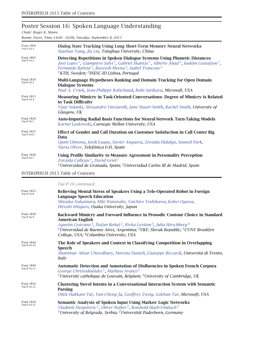# Poster Session 16: Spoken Language Understanding

*Chair: Roger K. Moore*

*Room: Foyer, Time 14:00 – 16:00, Tuesday, September 8, 2015*

| <b>PAGE 1800</b><br>Tue-P-16-1 | Dialog State Tracking Using Long Short-Term Memory Neural Networks<br>Xiaohao Yang, Jia Liu, Tsinghua University, China                                                                                                                                                                                                                                                                           |
|--------------------------------|---------------------------------------------------------------------------------------------------------------------------------------------------------------------------------------------------------------------------------------------------------------------------------------------------------------------------------------------------------------------------------------------------|
| <b>PAGE 1805</b><br>Tue-P-16-2 | Detecting Repetitions in Spoken Dialogue Systems Using Phonetic Distances<br>José Lopes <sup>1</sup> , Giampiero Salvi <sup>1</sup> , Gabriel Skantze <sup>1</sup> , Alberto Abad <sup>2</sup> , Joakim Gustafson <sup>1</sup> ,<br>Fernando Batista <sup>2</sup> , Raveesh Meena <sup>1</sup> , Isabel Trancoso <sup>2</sup><br><sup>1</sup> KTH, Sweden; <sup>2</sup> INESC-ID Lisboa, Portugal |
| <b>PAGE 1810</b><br>Tue-P-16-3 | Multi-Language Hypotheses Ranking and Domain Tracking for Open Domain<br><b>Dialogue Systems</b><br>Paul A. Crook, Jean-Philippe Robichaud, Ruhi Sarikaya, Microsoft, USA                                                                                                                                                                                                                         |
| <b>PAGE 1815</b><br>Tue-P-16-4 | <b>Measuring Mimicry in Task-Oriented Conversations: Degree of Mimicry is Related</b><br>to Task Difficulty<br>Vijay Solanki, Alessandro Vinciarelli, Jane Stuart-Smith, Rachel Smith, University of<br>Glasgow, UK                                                                                                                                                                               |
| <b>PAGE 1820</b><br>Tue-P-16-5 | <b>Auto-Imputing Radial Basis Functions for Neural-Network Turn-Taking Models</b><br>Kornel Laskowski, Carnegie Mellon University, USA                                                                                                                                                                                                                                                            |
| <b>PAGE 1825</b><br>Tue-P-16-6 | Effect of Gender and Call Duration on Customer Satisfaction in Call Center Big<br>Data<br>Quim Llimona, Jordi Luque, Xavier Anguera, Zoraida Hidalgo, Souneil Park,<br>Nuria Oliver, Telefónica I+D, Spain                                                                                                                                                                                        |
| <b>PAGE 1830</b><br>Tue-P-16-7 | Using Profile Similarity to Measure Agreement in Personality Perception<br>Zoraida Callejas <sup>1</sup> , David Griol <sup>2</sup><br><sup>1</sup> Universidad de Granada, Spain; <sup>2</sup> Universidad Carlos III de Madrid, Spain                                                                                                                                                           |

INTERSPEECH 2015 Table of Contents

*Tue-P-16 continued…*

| <b>PAGE 1835</b><br>Tue-P-16-8  | Relieving Mental Stress of Speakers Using a Tele-Operated Robot in Foreign<br><b>Language Speech Education</b><br>Shizuka Nakamura, Miki Watanabe, Yuichiro Yoshikawa, Kohei Ogawa,<br>Hiroshi Ishiguro, Osaka University, Japan                                                                                                                                                                               |
|---------------------------------|----------------------------------------------------------------------------------------------------------------------------------------------------------------------------------------------------------------------------------------------------------------------------------------------------------------------------------------------------------------------------------------------------------------|
| <b>PAGE 1839</b><br>Tue-P-16-9  | Backward Mimicry and Forward Influence in Prosodic Contour Choice in Standard<br><b>American English</b><br>Agustín Gravano <sup>1</sup> , Štefan Beňuš <sup>2</sup> , Rivka Levitan <sup>3</sup> , Julia Hirschberg <sup>4</sup><br><sup>1</sup> Universidad de Buenos Aires, Argentina; <sup>2</sup> UKF, Slovak Republic; <sup>3</sup> CUNY Brooklyn<br>College, USA; <sup>4</sup> Columbia University, USA |
| <b>PAGE 1844</b><br>Tue-P-16-10 | The Role of Speakers and Context in Classifying Competition in Overlapping<br>Speech<br>Shammur Absar Chowdhury, Morena Danieli, Giuseppe Riccardi, Università di Trento,<br>Italy                                                                                                                                                                                                                             |
| <b>PAGE 1849</b><br>Tue-P-16-11 | Automatic Detection and Annotation of Disfluencies in Spoken French Corpora<br>George Christodoulides <sup>1</sup> , Mathieu Avanzi <sup>2</sup><br><sup>1</sup> Université catholique de Louvain, Belgium; <sup>2</sup> University of Cambridge, UK                                                                                                                                                           |
| <b>PAGE 1854</b><br>Tue-P-16-12 | <b>Clustering Novel Intents in a Conversational Interaction System with Semantic</b><br>Parsing<br>Dilek Hakkani-Tür, Yun-Cheng Ju, Geoffrey Zweig, Gokhan Tur, Microsoft, USA                                                                                                                                                                                                                                 |
| <b>PAGE 1859</b><br>Tue-P-16-13 | Semantic Analysis of Spoken Input Using Markov Logic Networks<br>Vladimir Despotovic <sup>1</sup> , Oliver Walter <sup>2</sup> , Reinhold Haeb-Umbach <sup>2</sup><br><sup>1</sup> University of Belgrade, Serbia; <sup>2</sup> Universität Paderborn, Germany                                                                                                                                                 |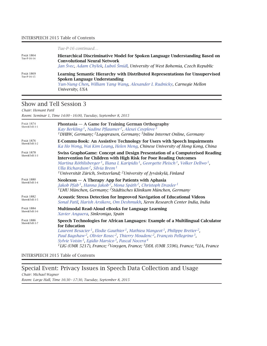|                                 | Tue-P-16 continued                                                                                                                                                                                                   |
|---------------------------------|----------------------------------------------------------------------------------------------------------------------------------------------------------------------------------------------------------------------|
| <b>PAGE 1864</b><br>Tue-P-16-14 | Hierarchical Discriminative Model for Spoken Language Understanding Based on<br><b>Convolutional Neural Network</b><br>Jan Švec, Adam Chýlek, Luboš Šmídl, University of West Bohemia, Czech Republic                |
| <b>PAGE 1869</b><br>Tue-P-16-15 | Learning Semantic Hierarchy with Distributed Representations for Unsupervised<br><b>Spoken Language Understanding</b><br>Yun-Nung Chen, William Yang Wang, Alexander I. Rudnicky, Carnegie Mellon<br>University, USA |

## Show and Tell Session 3

*Chair: Hemant Patil*

*Room: Seminar 1, Time 14:00 – 16:00, Tuesday, September 8, 2015*

| <b>PAGE 1874</b><br>Show&Tell-3-1 | Phontasia - A Game for Training German Orthography<br>Kay Berkling <sup>1</sup> , Nadine Pflaumer <sup>2</sup> , Alexei Coyplove <sup>3</sup><br><sup>1</sup> DHBW, Germany; <sup>2</sup> Logopraxen, Germany; <sup>3</sup> Inline Internet Online, Germany                                                                                                                                                                                                                                                                                                                                  |
|-----------------------------------|----------------------------------------------------------------------------------------------------------------------------------------------------------------------------------------------------------------------------------------------------------------------------------------------------------------------------------------------------------------------------------------------------------------------------------------------------------------------------------------------------------------------------------------------------------------------------------------------|
| <b>PAGE 1876</b><br>Show&Tell-3-2 | E-Commu-Book: An Assistive Technology for Users with Speech Impairments<br>Ka Ho Wong, Wai Kim Leung, Helen Meng, Chinese University of Hong Kong, China                                                                                                                                                                                                                                                                                                                                                                                                                                     |
| <b>PAGE 1878</b><br>Show&Tell-3-3 | Swiss GraphoGame: Concept and Design Presentation of a Computerised Reading<br><b>Intervention for Children with High Risk for Poor Reading Outcomes</b><br>Martina Röthlisberger <sup>1</sup> , Iliana I. Karipidis <sup>1</sup> , Georgette Pleisch <sup>1</sup> , Volker Dellwo <sup>1</sup> ,<br>Ulla Richardson <sup>2</sup> , Silvia Brem <sup>1</sup><br><sup>1</sup> Universität Zürich, Switzerland; <sup>2</sup> University of Jyväskylä, Finland                                                                                                                                  |
| <b>PAGE 1880</b><br>Show&Tell-3-4 | Neolexon $-$ A Therapy App for Patients with Aphasia<br>Jakob Pfab <sup>1</sup> , Hanna Jakob <sup>2</sup> , Mona Späth <sup>2</sup> , Christoph Draxler <sup>1</sup><br>$1$ LMU München, Germany; $2$ Städtisches Klinikum München, Germany                                                                                                                                                                                                                                                                                                                                                 |
| <b>PAGE 1882</b><br>Show&Tell-3-5 | <b>Acoustic Stress Detection for Improved Navigation of Educational Videos</b><br>Sonal Patil, Harish Arsikere, Om Deshmukh, Xerox Research Center India, India                                                                                                                                                                                                                                                                                                                                                                                                                              |
| <b>PAGE 1884</b><br>Show&Tell-3-6 | Multimodal Read-Aloud eBooks for Language Learning<br>Xavier Anguera, Sinkronigo, Spain                                                                                                                                                                                                                                                                                                                                                                                                                                                                                                      |
| <b>PAGE 1886</b><br>Show&Tell-3-7 | Speech Technologies for African Languages: Example of a Multilingual Calculator<br>for Education<br>Laurent Besacier <sup>1</sup> , Elodie Gauthier <sup>1</sup> , Mathieu Mangeot <sup>1</sup> , Philippe Bretier <sup>2</sup> ,<br>Paul Bagshaw <sup>2</sup> , Olivier Rosec <sup>2</sup> , Thierry Moudenc <sup>2</sup> , François Pellegrino <sup>3</sup> ,<br>Sylvie Voisin <sup>3</sup> , Egidio Marsico <sup>3</sup> , Pascal Nocera <sup>4</sup><br><sup>1</sup> LIG (UMR 5217), France; <sup>2</sup> Voxygen, France; <sup>3</sup> DDL (UMR 5596), France; <sup>4</sup> LIA, France |

INTERSPEECH 2015 Table of Contents

## Special Event: Privacy Issues in Speech Data Collection and Usage

*Chair: Michael Wagner Room: Large Hall, Time 16:30 – 17:30, Tuesday, September 8, 2015*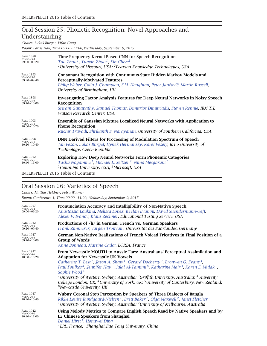# Oral Session 25: Phonetic Recognition: Novel Approaches and Understanding

*Chairs: Lukáš Burget, Yifan Gong*

*Room: Large Hall, Time 09:00 – 11:00, Wednesday, September 9, 2015*

| <b>PAGE 1888</b>                                  | Time-Frequency Kernel-Based CNN for Speech Recognition                                                                                                                                                                                   |
|---------------------------------------------------|------------------------------------------------------------------------------------------------------------------------------------------------------------------------------------------------------------------------------------------|
| Wed-O-25-1                                        | Tuo Zhao <sup>1</sup> , Yunxin Zhao <sup>1</sup> , Xin Chen <sup>2</sup>                                                                                                                                                                 |
| $09:00 - 09:20$                                   | <sup>1</sup> University of Missouri, USA; <sup>2</sup> Pearson Knowledge Technologies, USA                                                                                                                                               |
| <b>PAGE 1893</b><br>Wed-O-25-2<br>$09:20 - 09:40$ | <b>Consonant Recognition with Continuous-State Hidden Markov Models and</b><br><b>Perceptually-Motivated Features</b><br>Philip Weber, Colin J. Champion, S.M. Houghton, Peter Jančovič, Martin Russell,<br>University of Birmingham, UK |
| <b>PAGE 1898</b><br>Wed-O-25-3<br>$09:40 - 10:00$ | <b>Investigating Factor Analysis Features for Deep Neural Networks in Noisy Speech</b><br><b>Recognition</b><br>Sriram Ganapathy, Samuel Thomas, Dimitrios Dimitriadis, Steven Rennie, IBM T.J.<br>Watson Research Center, USA           |
| <b>PAGE 1903</b>                                  | <b>Ensemble of Gaussian Mixture Localized Neural Networks with Application to</b>                                                                                                                                                        |
| Wed-O-25-4                                        | <b>Phone Recognition</b>                                                                                                                                                                                                                 |
| $10:00 - 10:20$                                   | Ruchir Travadi, Shrikanth S. Narayanan, University of Southern California, USA                                                                                                                                                           |
| <b>PAGE 1908</b>                                  | <b>DNN Derived Filters for Processing of Modulation Spectrum of Speech</b>                                                                                                                                                               |
| Wed-O-25-5                                        | Jan Pešán, Lukáš Burget, Hynek Hermansky, Karel Veselý, Brno University of                                                                                                                                                               |
| $10:20 - 10:40$                                   | Technology, Czech Republic                                                                                                                                                                                                               |
| <b>PAGE 1912</b>                                  | <b>Exploring How Deep Neural Networks Form Phonemic Categories</b>                                                                                                                                                                       |
| Wed-O-25-6                                        | Tasha Nagamine <sup>1</sup> , Michael L. Seltzer <sup>2</sup> , Nima Mesgarani <sup>1</sup>                                                                                                                                              |
| $10:40 - 11:00$                                   | <sup>1</sup> Columbia University, USA; <sup>2</sup> Microsoft, USA                                                                                                                                                                       |
|                                                   | <b>INTERSPEECH 2015 Table of Contents</b>                                                                                                                                                                                                |

# Oral Session 26: Varieties of Speech

*Chairs: Mattias Heldner, Petra Wagner*

*Room: Conference 1, Time 09:00 – 11:00, Wednesday, September 9, 2015*

| <b>PAGE 1917</b>                                  | Pronunciation Accuracy and Intelligibility of Non-Native Speech                                                                                                                                                                                                                                                                                                                                                                                                                                                                                                                                                                                                                                                            |
|---------------------------------------------------|----------------------------------------------------------------------------------------------------------------------------------------------------------------------------------------------------------------------------------------------------------------------------------------------------------------------------------------------------------------------------------------------------------------------------------------------------------------------------------------------------------------------------------------------------------------------------------------------------------------------------------------------------------------------------------------------------------------------------|
| Wed-O-26-1                                        | Anastassia Loukina, Melissa Lopez, Keelan Evanini, David Suendermann-Oeft,                                                                                                                                                                                                                                                                                                                                                                                                                                                                                                                                                                                                                                                 |
| $09:00 - 09:20$                                   | Alexei V. Ivanov, Klaus Zechner, Educational Testing Service, USA                                                                                                                                                                                                                                                                                                                                                                                                                                                                                                                                                                                                                                                          |
| <b>PAGE 1922</b><br>Wed-O-26-2<br>$09:20 - 09:40$ | Productions of /h/ in German: French vs. German Speakers<br>Frank Zimmerer, Jürgen Trouvain, Universität des Saarlandes, Germany                                                                                                                                                                                                                                                                                                                                                                                                                                                                                                                                                                                           |
| <b>PAGE 1927</b>                                  | German Non-Native Realizations of French Voiced Fricatives in Final Position of a                                                                                                                                                                                                                                                                                                                                                                                                                                                                                                                                                                                                                                          |
| Wed-O-26-3                                        | <b>Group of Words</b>                                                                                                                                                                                                                                                                                                                                                                                                                                                                                                                                                                                                                                                                                                      |
| $09:40 - 10:00$                                   | Anne Bonneau, Martine Cadot, LORIA, France                                                                                                                                                                                                                                                                                                                                                                                                                                                                                                                                                                                                                                                                                 |
| <b>PAGE 1932</b><br>Wed-O-26-4<br>$10:00 - 10:20$ | From Newcastle MOUTH to Aussie Ears: Australians' Perceptual Assimilation and<br><b>Adaptation for Newcastle UK Vowels</b><br>Catherine T. Best <sup>1</sup> , Jason A. Shaw <sup>1</sup> , Gerard Docherty <sup>2</sup> , Bronwen G. Evans <sup>3</sup> ,<br>Paul Foulkes <sup>4</sup> , Jennifer Hay <sup>5</sup> , Jalal Al-Tamimi <sup>6</sup> , Katharine Mair <sup>3</sup> , Karen E. Mulak <sup>1</sup> ,<br>Sophie Wood <sup>4</sup><br><sup>1</sup> University of Western Sydney, Australia; <sup>2</sup> Griffith University, Australia; <sup>3</sup> University<br>College London, UK; <sup>4</sup> University of York, UK; <sup>5</sup> University of Canterbury, New Zealand;<br>$6$ Newcastle University, UK |
| <b>PAGE 1937</b>                                  | Wubuy Coronal Stop Perception by Speakers of Three Dialects of Bangla                                                                                                                                                                                                                                                                                                                                                                                                                                                                                                                                                                                                                                                      |
| Wed-O-26-5                                        | Rikke Louise Bundgaard-Nielsen <sup>1</sup> , Brett Baker <sup>2</sup> , Olga Maxwell <sup>2</sup> , Janet Fletcher <sup>2</sup>                                                                                                                                                                                                                                                                                                                                                                                                                                                                                                                                                                                           |
| $10:20 - 10:40$                                   | <sup>1</sup> University of Western Sydney, Australia; <sup>2</sup> University of Melbourne, Australia                                                                                                                                                                                                                                                                                                                                                                                                                                                                                                                                                                                                                      |
| <b>PAGE 1942</b><br>Wed-O-26-6<br>$10:40 - 11:00$ | Using Melody Metrics to Compare English Speech Read by Native Speakers and by<br>L2 Chinese Speakers from Shanghai<br>Daniel Hirst <sup>1</sup> , Hongwei Ding <sup>2</sup><br><sup>1</sup> LPL, France; <sup>2</sup> Shanghai Jiao Tong University, China                                                                                                                                                                                                                                                                                                                                                                                                                                                                 |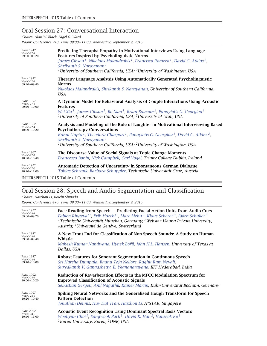### Oral Session 27: Conversational Interaction

*Chairs: Alan W. Black, Nigel G. Ward*

*Room: Conference 2+3, Time 09:00 – 11:00, Wednesday, September 9, 2015*

| <b>PAGE 1947</b><br>Wed-O-27-1<br>$09:00 - 09:20$ | Predicting Therapist Empathy in Motivational Interviews Using Language<br><b>Features Inspired by Psycholinguistic Norms</b><br>James Gibson <sup>1</sup> , Nikolaos Malandrakis <sup>1</sup> , Francisco Romero <sup>1</sup> , David C. Atkins <sup>2</sup> ,<br>Shrikanth S. Narayanan <sup>1</sup><br><sup>1</sup> University of Southern California, USA; <sup>2</sup> University of Washington, USA |
|---------------------------------------------------|----------------------------------------------------------------------------------------------------------------------------------------------------------------------------------------------------------------------------------------------------------------------------------------------------------------------------------------------------------------------------------------------------------|
| <b>PAGE 1952</b><br>Wed-O-27-2<br>$09:20 - 09:40$ | Therapy Language Analysis Using Automatically Generated Psycholinguistic<br><b>Norms</b><br>Nikolaos Malandrakis, Shrikanth S. Narayanan, University of Southern California,<br>USA                                                                                                                                                                                                                      |
| <b>PAGE 1957</b><br>Wed-O-27-3<br>$09:40 - 10:00$ | A Dynamic Model for Behavioral Analysis of Couple Interactions Using Acoustic<br><b>Features</b><br>Wei Xia <sup>1</sup> , James Gibson <sup>1</sup> , Bo Xiao <sup>1</sup> , Brian Baucom <sup>2</sup> , Panayiotis G. Georgiou <sup>1</sup><br><sup>1</sup> University of Southern California, USA; <sup>2</sup> University of Utah, USA                                                               |
| <b>PAGE 1962</b><br>Wed-O-27-4<br>$10:00 - 10:20$ | Analysis and Modeling of the Role of Laughter in Motivational Interviewing Based<br><b>Psychotherapy Conversations</b><br>Rahul Gupta <sup>1</sup> , Theodora Chaspari <sup>1</sup> , Panayiotis G. Georgiou <sup>1</sup> , David C. Atkins <sup>2</sup> ,<br>Shrikanth S. Narayanan <sup>1</sup><br><sup>1</sup> University of Southern California, USA; <sup>2</sup> University of Washington, USA     |
| <b>PAGE 1967</b><br>Wed-O-27-5<br>$10:20 - 10:40$ | The Discourse Value of Social Signals at Topic Change Moments<br>Francesca Bonin, Nick Campbell, Carl Vogel, Trinity College Dublin, Ireland                                                                                                                                                                                                                                                             |
| <b>PAGE 1972</b><br>Wed-O-27-6<br>$10:40 - 11:00$ | Automatic Detection of Uncertainty in Spontaneous German Dialogue<br>Tobias Schrank, Barbara Schuppler, Technische Universität Graz, Austria                                                                                                                                                                                                                                                             |
|                                                   | <b>INTERSPEECH 2015 Table of Contents</b>                                                                                                                                                                                                                                                                                                                                                                |

# Oral Session 28: Speech and Audio Segmentation and Classification

*Chairs: Haizhou Li, Koichi Shinoda*

*Room: Conference 4+5, Time 09:00 – 11:00, Wednesday, September 9, 2015*

| <b>PAGE 1977</b><br>Wed-O-28-1<br>$09:00 - 09:20$ | Face Reading from Speech — Predicting Facial Action Units from Audio Cues<br>Fabien Ringeval <sup>1</sup> , Erik Marchi <sup>1</sup> , Marc Mehu <sup>2</sup> , Klaus Scherer <sup>3</sup> , Björn Schuller <sup>3</sup><br><sup>1</sup> Technische Universität München, Germany; <sup>2</sup> Webster Vienna Private University,<br>Austria; <sup>3</sup> Université de Genève, Switzerland |
|---------------------------------------------------|----------------------------------------------------------------------------------------------------------------------------------------------------------------------------------------------------------------------------------------------------------------------------------------------------------------------------------------------------------------------------------------------|
| <b>PAGE 1982</b><br>Wed-O-28-2<br>$09:20 - 09:40$ | A New Front-End for Classification of Non-Speech Sounds: A Study on Human<br>Whistle<br>Mahesh Kumar Nandwana, Hynek Bořil, John H.L. Hansen, University of Texas at<br>Dallas, USA                                                                                                                                                                                                          |
| <b>PAGE 1987</b>                                  | <b>Robust Features for Sonorant Segmentation in Continuous Speech</b>                                                                                                                                                                                                                                                                                                                        |
| Wed-O-28-3                                        | Sri Harsha Dumpala, Bhanu Teja Nellore, Raghu Ram Nevali,                                                                                                                                                                                                                                                                                                                                    |
| $09:40 - 10:00$                                   | Suryakanth V. Gangashetty, B. Yegnanarayana, IIIT Hyderabad, India                                                                                                                                                                                                                                                                                                                           |
| <b>PAGE 1992</b>                                  | <b>Reduction of Reverberation Effects in the MFCC Modulation Spectrum for</b>                                                                                                                                                                                                                                                                                                                |
| Wed-O-28-4                                        | <b>Improved Classification of Acoustic Signals</b>                                                                                                                                                                                                                                                                                                                                           |
| $10:00 - 10:20$                                   | Sebastian Gergen, Anil Nagathil, Rainer Martin, Ruhr-Universität Bochum, Germany                                                                                                                                                                                                                                                                                                             |
| <b>PAGE 1997</b>                                  | Spiking Neural Networks and the Generalised Hough Transform for Speech                                                                                                                                                                                                                                                                                                                       |
| Wed-O-28-5                                        | <b>Pattern Detection</b>                                                                                                                                                                                                                                                                                                                                                                     |
| $10:20 - 10:40$                                   | Jonathan Dennis, Huy Dat Tran, Haizhou Li, A*STAR, Singapore                                                                                                                                                                                                                                                                                                                                 |
| <b>PAGE 2002</b>                                  | <b>Acoustic Event Recognition Using Dominant Spectral Basis Vectors</b>                                                                                                                                                                                                                                                                                                                      |
| Wed-O-28-6                                        | Woohyun Choi <sup>1</sup> , Sangwook Park <sup>1</sup> , David K. Han <sup>2</sup> , Hanseok Ko <sup>1</sup>                                                                                                                                                                                                                                                                                 |
| $10:40 - 11:00$                                   | <sup>1</sup> Korea University, Korea; <sup>2</sup> ONR, USA                                                                                                                                                                                                                                                                                                                                  |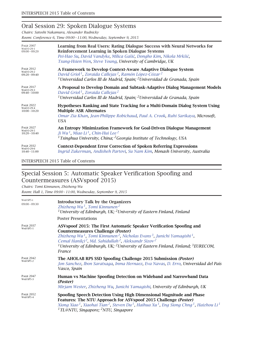### Oral Session 29: Spoken Dialogue Systems

*Chairs: Satoshi Nakamura, Alexander Rudnicky*

*Room: Conference 6, Time 09:00 – 11:00, Wednesday, September 9, 2015*

| <b>PAGE 2007</b><br>Wed-O-29-1<br>$09:00 - 09:20$ | Learning from Real Users: Rating Dialogue Success with Neural Networks for<br>Reinforcement Learning in Spoken Dialogue Systems<br>Pei-Hao Su, David Vandyke, Milica Gašić, Dongho Kim, Nikola Mrkšić,<br>Tsung-Hsien Wen, Steve Young, University of Cambridge, UK |
|---------------------------------------------------|---------------------------------------------------------------------------------------------------------------------------------------------------------------------------------------------------------------------------------------------------------------------|
| <b>PAGE 2012</b>                                  | A Framework to Develop Context-Aware Adaptive Dialogue System                                                                                                                                                                                                       |
| Wed-O-29-2                                        | David Griol <sup>1</sup> , Zoraida Callejas <sup>2</sup> , Ramón López-Cózar <sup>2</sup>                                                                                                                                                                           |
| $09:20 - 09:40$                                   | <sup>1</sup> Universidad Carlos III de Madrid, Spain; <sup>2</sup> Universidad de Granada, Spain                                                                                                                                                                    |
| <b>PAGE 2017</b>                                  | A Proposal to Develop Domain and Subtask-Adaptive Dialog Management Models                                                                                                                                                                                          |
| Wed-O-29-3                                        | David Griol <sup>1</sup> , Zoraida Callejas <sup>2</sup>                                                                                                                                                                                                            |
| $09:40 - 10:00$                                   | <sup>1</sup> Universidad Carlos III de Madrid, Spain; <sup>2</sup> Universidad de Granada, Spain                                                                                                                                                                    |
| <b>PAGE 2022</b><br>Wed-O-29-4<br>$10:00 - 10:20$ | <b>Hypotheses Ranking and State Tracking for a Multi-Domain Dialog System Using</b><br><b>Multiple ASR Alternates</b><br>Omar Zia Khan, Jean-Philippe Robichaud, Paul A. Crook, Ruhi Sarikaya, Microsoft,<br>USA                                                    |
| <b>PAGE 2027</b>                                  | An Entropy Minimization Framework for Goal-Driven Dialogue Management                                                                                                                                                                                               |
| Wed-O-29-5                                        | Ji Wu <sup>1</sup> , Miao Li <sup>1</sup> , Chin-Hui Lee <sup>2</sup>                                                                                                                                                                                               |
| $10:20 - 10:40$                                   | <sup>1</sup> Tsinghua University, China; <sup>2</sup> Georgia Institute of Technology, USA                                                                                                                                                                          |
| <b>PAGE 2032</b><br>Wed-O-29-6<br>$10:40 - 11:00$ | <b>Context-Dependent Error Correction of Spoken Referring Expressions</b><br>Ingrid Zukerman, Andisheh Partovi, Su Nam Kim, Monash University, Australia                                                                                                            |

INTERSPEECH 2015 Table of Contents

### Special Session 5: Automatic Speaker Verification Spoofing and Countermeasures (ASVspoof 2015)

*Chairs: Tomi Kinnunen, Zhizheng Wu*

*Room: Hall 1, Time 09:00 – 11:00, Wednesday, September 9, 2015*

| Wed-SP5-i<br>$09:00 - 09:30$  | <b>Introductory Talk by the Organizers</b><br>Zhizheng Wu <sup>1</sup> , Tomi Kinnunen <sup>2</sup><br><sup>1</sup> University of Edinburgh, UK; <sup>2</sup> University of Eastern Finland, Finland                                                                                                                                                                                                                                                              |
|-------------------------------|-------------------------------------------------------------------------------------------------------------------------------------------------------------------------------------------------------------------------------------------------------------------------------------------------------------------------------------------------------------------------------------------------------------------------------------------------------------------|
|                               | <b>Poster Presentations</b>                                                                                                                                                                                                                                                                                                                                                                                                                                       |
| <b>PAGE 2037</b><br>Wed-SP5-1 | ASVspoof 2015: The First Automatic Speaker Verification Spoofing and<br>Countermeasures Challenge (Poster)<br>Zhizheng Wu <sup>1</sup> , Tomi Kinnunen <sup>2</sup> , Nicholas Evans <sup>3</sup> , Junichi Yamagishi <sup>1</sup> ,<br>Cemal Hanilçi <sup>2</sup> , Md. Sahidullah <sup>2</sup> , Aleksandr Sizov <sup>2</sup><br><sup>1</sup> University of Edinburgh, UK; <sup>2</sup> University of Eastern Finland, Finland; <sup>3</sup> EURECOM,<br>France |
| <b>PAGE 2042</b><br>Wed-SP5-2 | The AHOLAB RPS SSD Spoofing Challenge 2015 Submission (Poster)<br>Jon Sanchez, Ibon Saratxaga, Inma Hernaez, Eva Navas, D. Erro, Universidad del País<br>Vasco, Spain                                                                                                                                                                                                                                                                                             |
| <b>PAGE 2047</b><br>Wed-SP5-3 | Human vs Machine Spoofing Detection on Wideband and Narrowband Data<br>(Poster)<br>Mirjam Wester, Zhizheng Wu, Junichi Yamagishi, University of Edinburgh, UK                                                                                                                                                                                                                                                                                                     |
| <b>PAGE 2052</b><br>Wed-SP5-4 | Spoofing Speech Detection Using High Dimensional Magnitude and Phase<br>Features: The NTU Approach for ASVspoof 2015 Challenge (Poster)<br>Xiong Xiao <sup>1</sup> , Xiaohai Tian <sup>2</sup> , Steven Du <sup>1</sup> , Haihua Xu <sup>1</sup> , Eng Siong Chng <sup>1</sup> , Haizhou Li <sup>1</sup><br><sup>1</sup> TL@NTU, Singapore; <sup>2</sup> NTU, Singapore                                                                                           |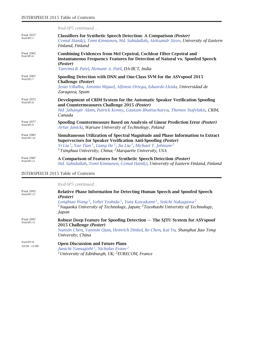|                                | Wed-SP5 continued                                                                                                                                                                                                                                                                                                                                                  |
|--------------------------------|--------------------------------------------------------------------------------------------------------------------------------------------------------------------------------------------------------------------------------------------------------------------------------------------------------------------------------------------------------------------|
| <b>PAGE 2057</b><br>Wed-SP5-5  | <b>Classifiers for Synthetic Speech Detection: A Comparison (Poster)</b><br>Cemal Hanilçi, Tomi Kinnunen, Md. Sahidullah, Aleksandr Sizov, University of Eastern<br>Finland, Finland                                                                                                                                                                               |
| <b>PAGE 2062</b><br>Wed-SP5-6  | Combining Evidences from Mel Cepstral, Cochlear Filter Cepstral and<br><b>Instantaneous Frequency Features for Detection of Natural vs. Spoofed Speech</b><br>(Poster)<br>Tanvina B. Patel, Hemant A. Patil, DA-IICT, India                                                                                                                                        |
| <b>PAGE 2067</b><br>Wed-SP5-7  | Spoofing Detection with DNN and One-Class SVM for the ASVspoof 2015<br>Challenge (Poster)<br>Jesús Villalba, Antonio Miguel, Alfonso Ortega, Eduardo Lleida, Universidad de<br>Zaragoza, Spain                                                                                                                                                                     |
| <b>PAGE 2072</b><br>Wed-SP5-8  | Development of CRIM System for the Automatic Speaker Verification Spoofing<br>and Countermeasures Challenge 2015 (Poster)<br>Md. Jahangir Alam, Patrick Kenny, Gautam Bhattacharya, Themos Stafylakis, CRIM,<br>Canada                                                                                                                                             |
| <b>PAGE 2077</b><br>Wed-SP5-9  | Spoofing Countermeasure Based on Analysis of Linear Prediction Error (Poster)<br>Artur Janicki, Warsaw University of Technology, Poland                                                                                                                                                                                                                            |
| <b>PAGE 2082</b><br>Wed-SP5-10 | Simultaneous Utilization of Spectral Magnitude and Phase Information to Extract<br>Supervectors for Speaker Verification Anti-Spoofing (Poster)<br>Yi Liu <sup>1</sup> , Yao Tian <sup>1</sup> , Liang He <sup>1</sup> , Jia Liu <sup>1</sup> , Michael T. Johnson <sup>2</sup><br><sup>1</sup> Tsinghua University, China; <sup>2</sup> Marquette University, USA |
| <b>PAGE 2087</b><br>Wed-SP5-11 | A Comparison of Features for Synthetic Speech Detection (Poster)<br>Md. Sahidullah, Tomi Kinnunen, Cemal Hanilçi, University of Eastern Finland, Finland                                                                                                                                                                                                           |

|                                | Wed-SP5 continued                                                                                                                                                                                                                                                                                                               |
|--------------------------------|---------------------------------------------------------------------------------------------------------------------------------------------------------------------------------------------------------------------------------------------------------------------------------------------------------------------------------|
| <b>PAGE 2092</b><br>Wed-SP5-12 | Relative Phase Information for Detecting Human Speech and Spoofed Speech<br>(Poster)<br>Longbiao Wang <sup>1</sup> , Yohei Yoshida <sup>1</sup> , Yuta Kawakami <sup>1</sup> , Seiichi Nakagawa <sup>2</sup><br><sup>1</sup> Nagaoka University of Technology, Japan; <sup>2</sup> Toyohashi University of Technology,<br>Japan |
| <b>PAGE 2097</b><br>Wed-SP5-13 | Robust Deep Feature for Spoofing Detection — The SITU System for ASVspoof<br>2015 Challenge ( <i>Poster</i> )<br>Nanxin Chen, Yanmin Qian, Heinrich Dinkel, Bo Chen, Kai Yu, Shanghai Jiao Tong<br>University, China                                                                                                            |
| Wed-SP5-D<br>$10:30 - 11:00$   | <b>Open Discussion and Future Plans</b><br>Junichi Yamagishi <sup>1</sup> , Nicholas Evans <sup>2</sup><br><sup>1</sup> University of Edinburgh, UK; ${}^{2}$ EURECOM, France                                                                                                                                                   |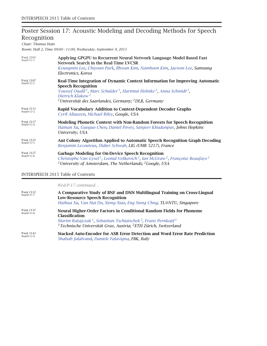# Poster Session 17: Acoustic Modeling and Decoding Methods for Speech Recognition

*Chair: Thomas Hain*

*Room: Hall 2, Time 09:00 – 11:00, Wednesday, September 9, 2015*

| <b>PAGE 2102</b><br>Wed-P-17-1 | Applying GPGPU to Recurrent Neural Network Language Model Based Fast<br>Network Search in the Real-Time LVCSR<br>Kyungmin Lee, Chiyoun Park, Ilhwan Kim, Namhoon Kim, Jaewon Lee, Samsung<br>Electronics, Korea                                                                                                                                  |
|--------------------------------|--------------------------------------------------------------------------------------------------------------------------------------------------------------------------------------------------------------------------------------------------------------------------------------------------------------------------------------------------|
| <b>PAGE 2107</b><br>Wed-P-17-2 | Real-Time Integration of Dynamic Context Information for Improving Automatic<br><b>Speech Recognition</b><br>Youssef Oualil <sup>1</sup> , Marc Schulder <sup>1</sup> , Hartmut Helmke <sup>2</sup> , Anna Schmidt <sup>1</sup> ,<br>Dietrich Klakow <sup>1</sup><br><sup>1</sup> Universität des Saarlandes, Germany; <sup>2</sup> DLR, Germany |
| <b>PAGE 2112</b><br>Wed-P-17-3 | <b>Rapid Vocabulary Addition to Context-Dependent Decoder Graphs</b><br>Cyril Allauzen, Michael Riley, Google, USA                                                                                                                                                                                                                               |
| <b>PAGE 2117</b><br>Wed-P-17-4 | <b>Modeling Phonetic Context with Non-Random Forests for Speech Recognition</b><br>Hainan Xu, Guoguo Chen, Daniel Povey, Sanjeev Khudanpur, Johns Hopkins<br>University, USA                                                                                                                                                                     |
| <b>PAGE 2122</b><br>Wed-P-17-5 | Ant Colony Algorithm Applied to Automatic Speech Recognition Graph Decoding<br>Benjamin Lecouteux, Didier Schwab, LIG (UMR 5217), France                                                                                                                                                                                                         |
| <b>PAGE 2127</b><br>Wed-P-17-6 | <b>Garbage Modeling for On-Device Speech Recognition</b><br>Christophe Van Gysel <sup>1</sup> , Leonid Velikovich <sup>2</sup> , Ian McGraw <sup>2</sup> , Françoise Beaufays <sup>2</sup><br><sup>1</sup> University of Amsterdam, The Netherlands; <sup>2</sup> Google, USA                                                                    |

#### INTERSPEECH 2015 Table of Contents

*Wed-P-17 continued…*

| <b>PAGE 2132</b><br>Wed-P-17-7 | A Comparative Study of BNF and DNN Multilingual Training on Cross-Lingual<br><b>Low-Resource Speech Recognition</b><br>Haihua Xu, Van Hai Do, Xiong Xiao, Eng Siong Chng, TL@NTU, Singapore                                                                                                   |
|--------------------------------|-----------------------------------------------------------------------------------------------------------------------------------------------------------------------------------------------------------------------------------------------------------------------------------------------|
| <b>PAGE 2137</b><br>Wed-P-17-8 | Neural Higher-Order Factors in Conditional Random Fields for Phoneme<br><b>Classification</b><br>Martin Ratajczak <sup>1</sup> , Sebastian Tschiatschek <sup>2</sup> , Franz Pernkopf <sup>1</sup><br><sup>1</sup> Technische Universität Graz, Austria; <sup>2</sup> ETH Zürich, Switzerland |
| <b>PAGE 2142</b><br>Wed-P-17-9 | Stacked Auto-Encoder for ASR Error Detection and Word Error Rate Prediction<br>Shahab Jalalvand, Daniele Falavigna, FBK, Italy                                                                                                                                                                |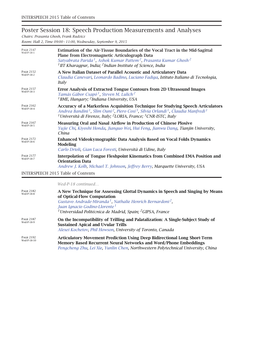# Poster Session 18: Speech Production Measurements and Analyses

*Chairs: Prasanta Ghosh, Frank Rudzicz Room: Hall 2, Time 09:00 – 11:00, Wednesday, September 9, 2015*

| <b>PAGE 2147</b><br>Wed-P-18-1 | Estimation of the Air-Tissue Boundaries of the Vocal Tract in the Mid-Sagittal<br>Plane from Electromagnetic Articulograph Data<br>Satyabrata Parida <sup>1</sup> , Ashok Kumar Pattem <sup>2</sup> , Prasanta Kumar Ghosh <sup>2</sup><br><sup>1</sup> IIT Kharagpur, India; <sup>2</sup> Indian Institute of Science, India          |
|--------------------------------|----------------------------------------------------------------------------------------------------------------------------------------------------------------------------------------------------------------------------------------------------------------------------------------------------------------------------------------|
| <b>PAGE 2152</b><br>Wed-P-18-2 | A New Italian Dataset of Parallel Acoustic and Articulatory Data<br>Claudia Canevari, Leonardo Badino, Luciano Fadiga, Istituto Italiano di Tecnologia,<br>Italy                                                                                                                                                                       |
| <b>PAGE 2157</b><br>Wed-P-18-3 | Error Analysis of Extracted Tongue Contours from 2D Ultrasound Images<br>Tamás Gábor Csapó <sup>1</sup> , Steven M. Lulich <sup>2</sup><br><sup>1</sup> BME, Hungary; <sup>2</sup> Indiana University, USA                                                                                                                             |
| <b>PAGE 2162</b><br>Wed-P-18-4 | Accuracy of a Markerless Acquisition Technique for Studying Speech Articulators<br>Andrea Bandini <sup>1</sup> , Slim Ouni <sup>2</sup> , Piero Cosi <sup>3</sup> , Silvia Orlandi <sup>1</sup> , Claudia Manfredi <sup>1</sup><br><sup>1</sup> Università di Firenze, Italy; <sup>2</sup> LORIA, France; <sup>3</sup> CNR-ISTC, Italy |
| <b>PAGE 2167</b><br>Wed-P-18-5 | Measuring Oral and Nasal Airflow in Production of Chinese Plosive<br>Yujie Chi, Kiyoshi Honda, Jianguo Wei, Hui Feng, Jianwu Dang, Tianjin University,<br>China                                                                                                                                                                        |
| <b>PAGE 2172</b><br>Wed-P-18-6 | Enhanced Videokymographic Data Analysis Based on Vocal Folds Dynamics<br>Modeling<br>Carlo Drioli, Gian Luca Foresti, Università di Udine, Italy                                                                                                                                                                                       |
| <b>PAGE 2177</b><br>Wed-P-18-7 | <b>Interpolation of Tongue Fleshpoint Kinematics from Combined EMA Position and</b><br><b>Orientation Data</b><br>Andrew J. Kolb, Michael T. Johnson, Jeffrey Berry, Marquette University, USA                                                                                                                                         |

INTERSPEECH 2015 Table of Contents

*Wed-P-18 continued…*

| <b>PAGE 2182</b><br>Wed-P-18-8  | A New Technique for Assessing Glottal Dynamics in Speech and Singing by Means<br>of Optical-Flow Computation<br>Gustavo Andrade-Miranda <sup>1</sup> , Nathalie Henrich Bernardoni <sup>2</sup> ,<br>Juan Ignacio Godino-Llorente <sup>1</sup><br><sup>1</sup> Universidad Politécnica de Madrid, Spain; <sup>2</sup> GIPSA, France |
|---------------------------------|-------------------------------------------------------------------------------------------------------------------------------------------------------------------------------------------------------------------------------------------------------------------------------------------------------------------------------------|
| <b>PAGE 2187</b><br>Wed-P-18-9  | On the Incompatibility of Trilling and Palatalization: A Single-Subject Study of<br><b>Sustained Apical and Uvular Trills</b><br>Alexei Kochetov, Phil Howson, University of Toronto, Canada                                                                                                                                        |
| <b>PAGE 2192</b><br>Wed-P-18-10 | <b>Articulatory Movement Prediction Using Deep Bidirectional Long Short-Term</b><br><b>Memory Based Recurrent Neural Networks and Word/Phone Embeddings</b><br>Pengcheng Zhu, Lei Xie, Yunlin Chen, Northwestern Polytechnical University, China                                                                                    |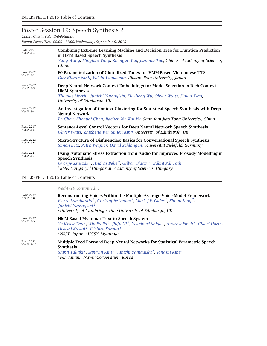# Poster Session 19: Speech Synthesis 2

*Chair: Cassia Valentini-Botinhao*

*Room: Foyer, Time 09:00 – 11:00, Wednesday, September 9, 2015*

| <b>PAGE 2197</b><br>Wed-P-19-1 | <b>Combining Extreme Learning Machine and Decision Tree for Duration Prediction</b><br>in HMM Based Speech Synthesis<br>Yang Wang, Minghao Yang, Zhenggi Wen, Jianhua Tao, Chinese Academy of Sciences,<br>China                                                                                                 |
|--------------------------------|------------------------------------------------------------------------------------------------------------------------------------------------------------------------------------------------------------------------------------------------------------------------------------------------------------------|
| <b>PAGE 2202</b><br>Wed-P-19-2 | FO Parameterization of Glottalized Tones for HMM-Based Vietnamese TTS<br>Duy Khanh Ninh, Yoichi Yamashita, Ritsumeikan University, Japan                                                                                                                                                                         |
| <b>PAGE 2207</b><br>Wed-P-19-3 | Deep Neural Network Context Embeddings for Model Selection in Rich-Context<br><b>HMM Synthesis</b><br>Thomas Merritt, Junichi Yamagishi, Zhizheng Wu, Oliver Watts, Simon King,<br>University of Edinburgh, UK                                                                                                   |
| <b>PAGE 2212</b><br>Wed-P-19-4 | An Investigation of Context Clustering for Statistical Speech Synthesis with Deep<br><b>Neural Network</b><br>Bo Chen, Zhehuai Chen, Jiachen Xu, Kai Yu, Shanghai Jiao Tong University, China                                                                                                                    |
| <b>PAGE 2217</b><br>Wed-P-19-5 | Sentence-Level Control Vectors for Deep Neural Network Speech Synthesis<br>Oliver Watts, Zhizheng Wu, Simon King, University of Edinburgh, UK                                                                                                                                                                    |
| <b>PAGE 2222</b><br>Wed-P-19-6 | Micro-Structure of Disfluencies: Basics for Conversational Speech Synthesis<br>Simon Betz, Petra Wagner, David Schlangen, Universität Bielefeld, Germany                                                                                                                                                         |
| <b>PAGE 2227</b><br>Wed-P-19-7 | Using Automatic Stress Extraction from Audio for Improved Prosody Modelling in<br><b>Speech Synthesis</b><br>György Szaszák <sup>1</sup> , András Beke <sup>2</sup> , Gábor Olaszy <sup>1</sup> , Bálint Pál Tóth <sup>1</sup><br><sup>1</sup> BME, Hungary; <sup>2</sup> Hungarian Academy of Sciences, Hungary |

INTERSPEECH 2015 Table of Contents

*Wed-P-19 continued…*

| <b>PAGE 2232</b><br>Wed-P-19-8  | Reconstructing Voices Within the Multiple-Average-Voice-Model Framework<br>Pierre Lanchantin <sup>1</sup> , Christophe Veaux <sup>2</sup> , Mark J.F. Gales <sup>1</sup> , Simon King <sup>2</sup> ,<br>Junichi Yamagishi <sup>2</sup><br><sup>1</sup> University of Cambridge, UK; <sup>2</sup> University of Edinburgh, UK           |
|---------------------------------|----------------------------------------------------------------------------------------------------------------------------------------------------------------------------------------------------------------------------------------------------------------------------------------------------------------------------------------|
| <b>PAGE 2237</b><br>Wed-P-19-9  | <b>HMM Based Myanmar Text to Speech System</b><br>Ye Kyaw Thu <sup>1</sup> , Win Pa Pa <sup>2</sup> , Jinfu Ni <sup>1</sup> , Yoshinori Shiga <sup>1</sup> , Andrew Finch <sup>1</sup> , Chiori Hori <sup>1</sup><br>Hisashi Kawai <sup>1</sup> , Eiichiro Sumita <sup>1</sup><br><sup>1</sup> NICT, Japan; <sup>2</sup> UCSY, Myanmar |
| <b>PAGE 2242</b><br>Wed-P-19-10 | Multiple Feed-Forward Deep Neural Networks for Statistical Parametric Speech<br><b>Synthesis</b><br>Shinji Takaki <sup>1</sup> , SangJin Kim <sup>2</sup> , Junichi Yamagishi <sup>1</sup> , JongJin Kim <sup>2</sup><br><sup>1</sup> NII, Japan; <sup>2</sup> Naver Corporation, Korea                                                |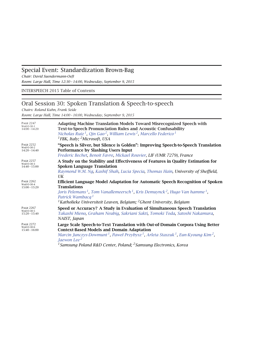### Special Event: Standardization Brown-Bag

*Chair: David Suendermann-Oeft*

*Room: Large Hall, Time 12:30 – 14:00, Wednesday, September 9, 2015*

INTERSPEECH 2015 Table of Contents

## Oral Session 30: Spoken Translation & Speech-to-speech

*Chairs: Roland Kuhn, Frank Seide*

*Room: Large Hall, Time 14:00 – 16:00, Wednesday, September 9, 2015*

| <b>PAGE 2247</b><br>Wed-O-30-1<br>$14:00 - 14:20$ | <b>Adapting Machine Translation Models Toward Misrecognized Speech with</b><br><b>Text-to-Speech Pronunciation Rules and Acoustic Confusability</b><br>Nicholas Ruiz <sup>1</sup> , Qin Gao <sup>2</sup> , William Lewis <sup>2</sup> , Marcello Federico <sup>1</sup><br><sup>1</sup> FBK, Italy; <sup>2</sup> Microsoft, USA                                                               |
|---------------------------------------------------|----------------------------------------------------------------------------------------------------------------------------------------------------------------------------------------------------------------------------------------------------------------------------------------------------------------------------------------------------------------------------------------------|
| <b>PAGE 2252</b><br>Wed-O-30-2<br>$14:20 - 14:40$ | "Speech is Silver, but Silence is Golden": Improving Speech-to-Speech Translation<br><b>Performance by Slashing Users Input</b><br>Frederic Bechet, Benoit Favre, Mickael Rouvier, LIF (UMR 7279), France                                                                                                                                                                                    |
| <b>PAGE 2257</b><br>Wed-O-30-3<br>$14:40 - 15:00$ | A Study on the Stability and Effectiveness of Features in Quality Estimation for<br><b>Spoken Language Translation</b><br>Raymond W.M. Ng, Kashif Shah, Lucia Specia, Thomas Hain, University of Sheffield,<br>UK                                                                                                                                                                            |
| <b>PAGE 2262</b><br>Wed-O-30-4<br>$15:00 - 15:20$ | Efficient Language Model Adaptation for Automatic Speech Recognition of Spoken<br><b>Translations</b><br>Joris Pelemans <sup>1</sup> , Tom Vanallemeersch <sup>1</sup> , Kris Demuynck <sup>2</sup> , Hugo Van hamme <sup>1</sup> ,<br>Patrick Wambacq <sup>1</sup><br><sup>1</sup> Katholieke Universiteit Leuven, Belgium; <sup>2</sup> Ghent University, Belgium                          |
| <b>PAGE 2267</b><br>Wed-O-30-5<br>$15:20 - 15:40$ | Speed or Accuracy? A Study in Evaluation of Simultaneous Speech Translation<br>Takashi Mieno, Graham Neubig, Sakriani Sakti, Tomoki Toda, Satoshi Nakamura,<br>NAIST, Japan                                                                                                                                                                                                                  |
| <b>PAGE 2272</b><br>Wed-O-30-6<br>$15:40 - 16:00$ | Large Scale Speech-to-Text Translation with Out-of-Domain Corpora Using Better<br><b>Context-Based Models and Domain Adaptation</b><br>Marcin Junczys-Dowmunt <sup>1</sup> , Paweł Przybysz <sup>1</sup> , Arleta Staszuk <sup>1</sup> , Eun-Kyoung Kim <sup>2</sup> ,<br>Jaewon Lee <sup>2</sup><br><sup>1</sup> Samsung Poland R&D Center, Poland; <sup>2</sup> Samsung Electronics, Korea |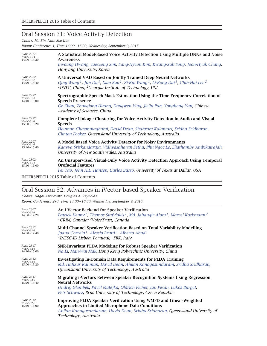### Oral Session 31: Voice Activity Detection

*Chairs: Ma Bin, Nam Soo Kim*

*Room: Conference 1, Time 14:00 – 16:00, Wednesday, September 9, 2015*

| <b>PAGE 2277</b><br>Wed-O-31-1<br>$14:00 - 14:20$ | A Statistical Model-Based Voice Activity Detection Using Multiple DNNs and Noise<br>Awareness<br>Inyoung Hwang, Jaeseong Sim, Sang-Hyeon Kim, Kwang-Sub Song, Joon-Hyuk Chang,<br>Hanyang University, Korea                                                                                            |
|---------------------------------------------------|--------------------------------------------------------------------------------------------------------------------------------------------------------------------------------------------------------------------------------------------------------------------------------------------------------|
| <b>PAGE 2282</b><br>Wed-O-31-2<br>$14:20 - 14:40$ | A Universal VAD Based on Jointly Trained Deep Neural Networks<br>Qing Wang <sup>1</sup> , Jun Du <sup>1</sup> , Xiao Bao <sup>1</sup> , Zi-Rui Wang <sup>1</sup> , Li-Rong Dai <sup>1</sup> , Chin-Hui Lee <sup>2</sup><br><sup>1</sup> USTC, China; <sup>2</sup> Georgia Institute of Technology, USA |
| <b>PAGE 2287</b><br>Wed-O-31-3<br>$14:40 - 15:00$ | Spectrographic Speech Mask Estimation Using the Time-Frequency Correlation of<br><b>Speech Presence</b><br>Ge Zhan, Zhaoqiong Huang, Dongwen Ying, Jielin Pan, Yonghong Yan, Chinese<br>Academy of Sciences, China                                                                                     |
| <b>PAGE 2292</b><br>Wed-O-31-4<br>$15:00 - 15:20$ | <b>Complete-Linkage Clustering for Voice Activity Detection in Audio and Visual</b><br><b>Speech</b><br>Houman Ghaemmaghami, David Dean, Shahram Kalantari, Sridha Sridharan,<br>Clinton Fookes, Queensland University of Technology, Australia                                                        |
| <b>PAGE 2297</b><br>Wed-O-31-5<br>$15:20 - 15:40$ | A Model Based Voice Activity Detector for Noisy Environments<br>Kaavya Sriskandaraja, Vidhyasaharan Sethu, Phu Ngoc Le, Eliathamby Ambikairajah,<br>University of New South Wales, Australia                                                                                                           |
| <b>PAGE 2302</b><br>Wed-O-31-6<br>$15:40 - 16:00$ | An Unsupervised Visual-Only Voice Activity Detection Approach Using Temporal<br><b>Orofacial Features</b><br>Fei Tao, John H.L. Hansen, Carlos Busso, University of Texas at Dallas, USA                                                                                                               |
|                                                   | <b>INTERSPEECH 2015 Table of Contents</b>                                                                                                                                                                                                                                                              |

## Oral Session 32: Advances in iVector-based Speaker Verification

*Chairs: Hagai Aronowitz, Douglas A. Reynolds Room: Conference 2+3, Time 14:00 – 16:00, Wednesday, September 9, 2015*

| <b>PAGE 2307</b>                                  | An I-Vector Backend for Speaker Verification                                                                                                                                                                                                   |
|---------------------------------------------------|------------------------------------------------------------------------------------------------------------------------------------------------------------------------------------------------------------------------------------------------|
| Wed-O-32-1                                        | Patrick Kenny <sup>1</sup> , Themos Stafylakis <sup>1</sup> , Md. Jahangir Alam <sup>1</sup> , Marcel Kockmann <sup>2</sup>                                                                                                                    |
| $14:00 - 14:20$                                   | <sup>1</sup> CRIM, Canada; <sup>2</sup> VoiceTrust, Canada                                                                                                                                                                                     |
| <b>PAGE 2312</b>                                  | Multi-Channel Speaker Verification Based on Total Variability Modelling                                                                                                                                                                        |
| Wed-O-32-2                                        | Joana Correia <sup>1</sup> , Alessio Brutti <sup>2</sup> , Alberto Abad <sup>1</sup>                                                                                                                                                           |
| $14:20 - 14:40$                                   | <sup>1</sup> INESC-ID Lisboa, Portugal; <sup>2</sup> FBK, Italy                                                                                                                                                                                |
| <b>PAGE 2317</b><br>Wed-O-32-3<br>$14:40 - 15:00$ | SNR-Invariant PLDA Modeling for Robust Speaker Verification<br>Na Li, Man-Wai Mak, Hong Kong Polytechnic University, China                                                                                                                     |
| <b>PAGE 2322</b>                                  | Investigating In-Domain Data Requirements for PLDA Training                                                                                                                                                                                    |
| Wed-O-32-4                                        | Md. Hafizur Rahman, David Dean, Ahilan Kanagasundaram, Sridha Sridharan,                                                                                                                                                                       |
| $15:00 - 15:20$                                   | Queensland University of Technology, Australia                                                                                                                                                                                                 |
| <b>PAGE 2327</b><br>Wed-O-32-5<br>$15:20 - 15:40$ | Migrating i-Vectors Between Speaker Recognition Systems Using Regression<br><b>Neural Networks</b><br>Ondřej Glembek, Pavel Matějka, Oldřich Plchot, Jan Pešán, Lukáš Burget,<br>Petr Schwarz, Brno University of Technology, Czech Republic   |
| <b>PAGE 2332</b><br>Wed-O-32-6<br>$15:40 - 16:00$ | <b>Improving PLDA Speaker Verification Using WMFD and Linear-Weighted</b><br><b>Approaches in Limited Microphone Data Conditions</b><br>Ahilan Kanagasundaram, David Dean, Sridha Sridharan, Queensland University of<br>Technology, Australia |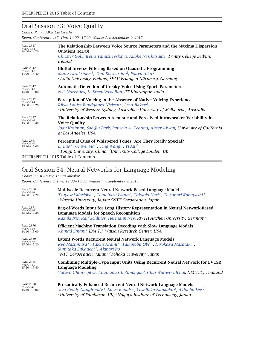### Oral Session 33: Voice Quality

*Chairs: Paavo Alku, Carlos Ishi*

*Room: Conference 4+5, Time 14:00 – 16:00, Wednesday, September 9, 2015*

| <b>PAGE 2337</b><br>Wed-O-33-1<br>$14:00 - 14:20$ | The Relationship Between Voice Source Parameters and the Maxima Dispersion<br><b>Quotient (MDQ)</b><br>Christer Gobl, Irena Yanushevskaya, Ailbhe Ní Chasaide, Trinity College Dublin,<br>Ireland                    |
|---------------------------------------------------|----------------------------------------------------------------------------------------------------------------------------------------------------------------------------------------------------------------------|
| <b>PAGE 2342</b>                                  | <b>Glottal Inverse Filtering Based on Quadratic Programming</b>                                                                                                                                                      |
| Wed-O-33-2                                        | Manu Airaksinen <sup>1</sup> , Tom Bäckström <sup>2</sup> , Paavo Alku <sup>1</sup>                                                                                                                                  |
| $14:20 - 14:40$                                   | <sup>1</sup> Aalto University, Finland; <sup>2</sup> FAU Erlangen-Nürnberg, Germany                                                                                                                                  |
| <b>PAGE 2347</b><br>Wed-O-33-3<br>$14:40 - 15:00$ | <b>Automatic Detection of Creaky Voice Using Epoch Parameters</b><br>N.P. Narendra, K. Sreenivasa Rao, IIT Kharaqpur, India                                                                                          |
| <b>PAGE 2352</b>                                  | Perception of Voicing in the Absence of Native Voicing Experience                                                                                                                                                    |
| Wed-O-33-4                                        | Rikke Louise Bundgaard-Nielsen <sup>1</sup> , Brett Baker <sup>2</sup>                                                                                                                                               |
| $15:00 - 15:20$                                   | <sup>1</sup> University of Western Sydney, Australia; <sup>2</sup> University of Melbourne, Australia                                                                                                                |
| <b>PAGE 2357</b><br>Wed-O-33-5<br>$15:20 - 15:40$ | The Relationship Between Acoustic and Perceived Intraspeaker Variability in<br><b>Voice Quality</b><br>Jody Kreiman, Soo Jin Park, Patricia A. Keating, Abeer Alwan, University of California<br>at Los Angeles, USA |
| <b>PAGE 2361</b>                                  | Perceptual Cues of Whispered Tones: Are They Really Special?                                                                                                                                                         |
| Wed-O-33-6                                        | Li Jiao <sup>1</sup> , Qiuwu Ma <sup>1</sup> , Ting Wang <sup>1</sup> , Yi Xu <sup>2</sup>                                                                                                                           |
| $15:40 - 16:00$                                   | <sup>1</sup> Tongji University, China; <sup>2</sup> University College London, UK                                                                                                                                    |

INTERSPEECH 2015 Table of Contents

## Oral Session 34: Neural Networks for Language Modeling

*Chairs: Ebru Arisoy, Tomas Mikolov*

*Room: Conference 6, Time 14:00 – 16:00, Wednesday, September 9, 2015*

| <b>PAGE 2366</b>                                  | Multiscale Recurrent Neural Network Based Language Model                                                                                                                                                                                                                                                             |
|---------------------------------------------------|----------------------------------------------------------------------------------------------------------------------------------------------------------------------------------------------------------------------------------------------------------------------------------------------------------------------|
| Wed-O-34-1                                        | Tsuyoshi Morioka <sup>1</sup> , Tomoharu Iwata <sup>2</sup> , Takaaki Hori <sup>2</sup> , Tetsunori Kobayashi <sup>1</sup>                                                                                                                                                                                           |
| $14:00 - 14:20$                                   | <sup>1</sup> Waseda University, Japan; <sup>2</sup> NTT Corporation, Japan                                                                                                                                                                                                                                           |
| <b>PAGE 2371</b>                                  | Bag-of-Words Input for Long History Representation in Neural Network-Based                                                                                                                                                                                                                                           |
| Wed-O-34-2                                        | <b>Language Models for Speech Recognition</b>                                                                                                                                                                                                                                                                        |
| $14:20 - 14:40$                                   | Kazuki Irie, Ralf Schlüter, Hermann Ney, RWTH Aachen University, Germany                                                                                                                                                                                                                                             |
| <b>PAGE 2376</b><br>Wed-O-34-3<br>$14:40 - 15:00$ | <b>Efficient Machine Translation Decoding with Slow Language Models</b><br>Ahmad Emami, IBM T.J. Watson Research Center, USA                                                                                                                                                                                         |
| <b>PAGE 2380</b><br>Wed-O-34-4<br>$15:00 - 15:20$ | Latent Words Recurrent Neural Network Language Models<br>Ryo Masumura <sup>1</sup> , Taichi Asami <sup>1</sup> , Takanobu Oba <sup>1</sup> , Hirokazu Masataki <sup>1</sup> ,<br>Sumitaka Sakauchi <sup>1</sup> , Akinori Ito <sup>2</sup><br><sup>1</sup> NTT Corporation, Japan; ${}^{2}$ Tohoku University, Japan |
| <b>PAGE 2385</b>                                  | Combining Multiple-Type Input Units Using Recurrent Neural Network for LVCSR                                                                                                                                                                                                                                         |
| Wed-O-34-5                                        | <b>Language Modeling</b>                                                                                                                                                                                                                                                                                             |
| $15:20 - 15:40$                                   | Vataya Chunwijitra, Ananlada Chotimongkol, Chai Wutiwiwatchai, NECTEC, Thailand                                                                                                                                                                                                                                      |
| <b>PAGE 2390</b>                                  | Prosodically-Enhanced Recurrent Neural Network Language Models                                                                                                                                                                                                                                                       |
| Wed-O-34-6                                        | Siva Reddy Gangireddy <sup>1</sup> , Steve Renals <sup>1</sup> , Yoshihiko Nankaku <sup>2</sup> , Akinobu Lee <sup>2</sup>                                                                                                                                                                                           |
| $15:40 - 16:00$                                   | <sup>1</sup> University of Edinburgh, UK; <sup>2</sup> Nagoya Institute of Technology, Japan                                                                                                                                                                                                                         |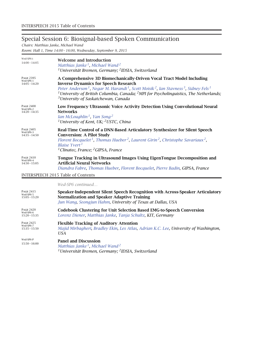## Special Session 6: Biosignal-based Spoken Communication

*Chairs: Matthias Janke, Michael Wand*

*Room: Hall 1, Time 14:00 – 16:00, Wednesday, September 9, 2015*

| Wed-SP6-i<br>$14:00 - 14:05$                     | <b>Welcome and Introduction</b><br>Matthias Janke <sup>1</sup> , Michael Wand <sup>2</sup><br><sup>1</sup> Universität Bremen, Germany; <sup>2</sup> IDSIA, Switzerland                                                                                                                                                                                                                                                                    |
|--------------------------------------------------|--------------------------------------------------------------------------------------------------------------------------------------------------------------------------------------------------------------------------------------------------------------------------------------------------------------------------------------------------------------------------------------------------------------------------------------------|
| <b>PAGE 2395</b><br>Wed-SP6-1<br>$14:05 - 14:20$ | A Comprehensive 3D Biomechanically-Driven Vocal Tract Model Including<br><b>Inverse Dynamics for Speech Research</b><br>Peter Anderson <sup>1</sup> , Negar M. Harandi <sup>1</sup> , Scott Moisik <sup>2</sup> , Ian Stavness <sup>3</sup> , Sidney Fels <sup>1</sup><br><sup>1</sup> University of British Columbia, Canada; <sup>2</sup> MPI for Psycholinguistics, The Netherlands;<br><sup>3</sup> University of Saskatchewan, Canada |
| <b>PAGE 2400</b><br>Wed-SP6-2<br>$14:20 - 14:35$ | Low Frequency Ultrasonic Voice Activity Detection Using Convolutional Neural<br><b>Networks</b><br>Ian McLoughlin <sup>1</sup> , Yan Song <sup>2</sup><br><sup>1</sup> University of Kent, UK; <sup>2</sup> USTC, China                                                                                                                                                                                                                    |
| <b>PAGE 2405</b><br>Wed-SP6-3<br>$14:35 - 14:50$ | Real-Time Control of a DNN-Based Articulatory Synthesizer for Silent Speech<br><b>Conversion: A Pilot Study</b><br>Florent Bocquelet <sup>1</sup> , Thomas Hueber <sup>2</sup> , Laurent Girin <sup>2</sup> , Christophe Savariaux <sup>2</sup> ,<br>Blaise Yvert <sup>1</sup><br><sup>1</sup> Clinatec, France; <sup>2</sup> GIPSA, France                                                                                                |
| <b>PAGE 2410</b><br>Wed-SP6-4<br>$14:50 - 15:05$ | Tongue Tracking in Ultrasound Images Using EigenTongue Decomposition and<br><b>Artificial Neural Networks</b><br>Diandra Fabre, Thomas Hueber, Florent Bocquelet, Pierre Badin, GIPSA, France                                                                                                                                                                                                                                              |
|                                                  | <b>INTERSPEECH 2015 Table of Contents</b>                                                                                                                                                                                                                                                                                                                                                                                                  |
|                                                  | Wed-SP6 continued                                                                                                                                                                                                                                                                                                                                                                                                                          |
| <b>PAGE 2415</b><br>Wed-SP6-5<br>$15:05 - 15:20$ | Speaker-Independent Silent Speech Recognition with Across-Speaker Articulatory<br><b>Normalization and Speaker Adaptive Training</b><br>Jun Wang, Seongjun Hahm, University of Texas at Dallas, USA                                                                                                                                                                                                                                        |
| <b>PAGE 2420</b><br>Wed-SP6-6<br>$15:20 - 15:35$ | <b>Codebook Clustering for Unit Selection Based EMG-to-Speech Conversion</b><br>Lorenz Diener, Matthias Janke, Tanja Schultz, KIT, Germany                                                                                                                                                                                                                                                                                                 |
| <b>PAGE 2425</b><br>Wed-SP6-7<br>$15:35 - 15:50$ | <b>Flexible Tracking of Auditory Attention</b><br>Majid Mirbagheri, Bradley Ekin, Les Atlas, Adrian K.C. Lee, University of Washington,<br><b>USA</b>                                                                                                                                                                                                                                                                                      |
| Wed-SP6-P                                        | Danol and Discussion                                                                                                                                                                                                                                                                                                                                                                                                                       |

Wed-SP6-P<br>15:50 – 16:00 **Panel and Discussion** *Matthias Janke 1, Michael Wand <sup>2</sup> 1Universität Bremen, Germany; 2IDSIA, Switzerland*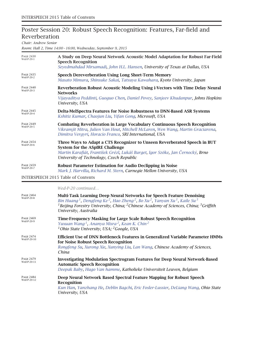# Poster Session 20: Robust Speech Recognition: Features, Far-field and Reverberation

*Chair: Andrew Senior*

*Room: Hall 2, Time 14:00 – 16:00, Wednesday, September 9, 2015*

| <b>PAGE 2430</b><br>Wed-P-20-1            | A Study on Deep Neural Network Acoustic Model Adaptation for Robust Far-Field<br><b>Speech Recognition</b><br>Seyedmahdad Mirsamadi, John H.L. Hansen, University of Texas at Dallas, USA                                                         |
|-------------------------------------------|---------------------------------------------------------------------------------------------------------------------------------------------------------------------------------------------------------------------------------------------------|
| <b>PAGE 2435</b><br>Wed-P-20-2            | <b>Speech Dereverberation Using Long Short-Term Memory</b><br>Masato Mimura, Shinsuke Sakai, Tatsuya Kawahara, Kyoto University, Japan                                                                                                            |
| <b>PAGE 2440</b><br>Wed-P-20-3            | Reverberation Robust Acoustic Modeling Using i-Vectors with Time Delay Neural<br><b>Networks</b><br>Vijayaditya Peddinti, Guoguo Chen, Daniel Povey, Sanjeev Khudanpur, Johns Hopkins<br>University, USA                                          |
| <b>PAGE 2445</b><br>Wed-P-20-4            | Delta-MelSpectra Features for Noise Robustness to DNN-Based ASR Systems<br>Kshitiz Kumar, Chaojun Liu, Yifan Gong, Microsoft, USA                                                                                                                 |
| <b>PAGE 2449</b><br>Wed-P-20-5            | <b>Combating Reverberation in Large Vocabulary Continuous Speech Recognition</b><br>Vikramjit Mitra, Julien Van Hout, Mitchell McLaren, Wen Wang, Martin Graciarena,<br>Dimitra Vergyri, Horacio Franco, SRI International, USA                   |
| <b>PAGE 2454</b><br>Wed-P-20-6            | Three Ways to Adapt a CTS Recognizer to Unseen Reverberated Speech in BUT<br><b>System for the ASpIRE Challenge</b><br>Martin Karafiát, František Grézl, Lukáš Burget, Igor Szöke, Jan Černocký, Brno<br>University of Technology, Czech Republic |
| <b>PAGE 2459</b><br>Wed-P-20-7            | <b>Robust Parameter Estimation for Audio Declipping in Noise</b><br>Mark J. Harvilla, Richard M. Stern, Carnegie Mellon University, USA                                                                                                           |
| <b>INTERSPEECH 2015 Table of Contents</b> |                                                                                                                                                                                                                                                   |
|                                           |                                                                                                                                                                                                                                                   |

*Wed-P-20 continued…*

| <b>PAGE 2464</b><br>Wed-P-20-8  | <b>Multi-Task Learning Deep Neural Networks for Speech Feature Denoising</b><br>Bin Huang <sup>1</sup> , Dengfeng Ke <sup>2</sup> , Hao Zheng <sup>2</sup> , Bo Xu <sup>2</sup> , Yanyan Xu <sup>1</sup> , Kaile Su <sup>3</sup><br><sup>1</sup> Beijing Forestry University, China; <sup>2</sup> Chinese Academy of Sciences, China; <sup>3</sup> Griffith<br>University, Australia |
|---------------------------------|--------------------------------------------------------------------------------------------------------------------------------------------------------------------------------------------------------------------------------------------------------------------------------------------------------------------------------------------------------------------------------------|
| <b>PAGE 2469</b><br>Wed-P-20-9  | Time-Frequency Masking for Large Scale Robust Speech Recognition<br>Yuxuan Wang <sup>1</sup> , Ananya Misra <sup>2</sup> , Kean K. Chin <sup>2</sup><br><sup>1</sup> Ohio State University, USA; <sup>2</sup> Google, USA                                                                                                                                                            |
| <b>PAGE 2474</b><br>Wed-P-20-10 | Efficient Use of DNN Bottleneck Features in Generalized Variable Parameter HMMs<br>for Noise Robust Speech Recognition<br>Rongfeng Su, Xurong Xie, Xunying Liu, Lan Wang, Chinese Academy of Sciences,<br>China                                                                                                                                                                      |
| <b>PAGE 2479</b><br>Wed-P-20-11 | <b>Investigating Modulation Spectrogram Features for Deep Neural Network-Based</b><br><b>Automatic Speech Recognition</b><br>Deepak Baby, Hugo Van hamme, Katholieke Universiteit Leuven, Belgium                                                                                                                                                                                    |
| <b>PAGE 2484</b><br>Wed-P-20-12 | Deep Neural Network Based Spectral Feature Mapping for Robust Speech<br><b>Recognition</b><br>Kun Han, Yanzhang He, Deblin Bagchi, Eric Fosler-Lussier, DeLiang Wang, Ohio State<br>University, USA                                                                                                                                                                                  |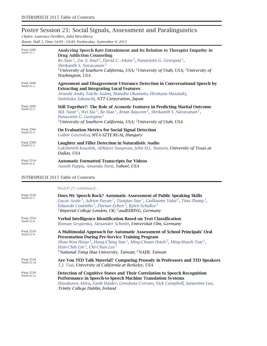## Poster Session 21: Social Signals, Assessment and Paralinguistics

*Chairs: Laurence Devillers, Julia Hirschberg Room: Hall 2, Time 14:00 – 16:00, Wednesday, September 9, 2015*

| <b>PAGE 2489</b><br>Wed-P-21-1 | Analyzing Speech Rate Entrainment and Its Relation to Therapist Empathy in<br><b>Drug Addiction Counseling</b><br>Bo Xiao <sup>1</sup> , Zac E. Imel <sup>2</sup> , David C. Atkins <sup>3</sup> , Panayiotis G. Georgiou <sup>1</sup> ,<br>Shrikanth S. Narayanan <sup>1</sup><br><sup>1</sup> University of Southern California, USA; <sup>2</sup> University of Utah, USA; <sup>3</sup> University of<br>Washington, USA |
|--------------------------------|-----------------------------------------------------------------------------------------------------------------------------------------------------------------------------------------------------------------------------------------------------------------------------------------------------------------------------------------------------------------------------------------------------------------------------|
| <b>PAGE 2494</b><br>Wed-P-21-2 | Agreement and Disagreement Utterance Detection in Conversational Speech by<br><b>Extracting and Integrating Local Features</b><br>Atsushi Ando, Taichi Asami, Manabu Okamoto, Hirokazu Masataki,<br>Sumitaka Sakauchi, NTT Corporation, Japan                                                                                                                                                                               |
| <b>PAGE 2499</b><br>Wed-P-21-3 | Still Together?: The Role of Acoustic Features in Predicting Marital Outcome<br>Md. Nasir <sup>1</sup> , Wei Xia <sup>1</sup> , Bo Xiao <sup>1</sup> , Brian Baucom <sup>2</sup> , Shrikanth S. Narayanan <sup>1</sup> ,<br>Panayiotis G. Georgiou <sup>1</sup><br><sup>1</sup> University of Southern California, USA; <sup>2</sup> University of Utah, USA                                                                |
| <b>PAGE 2504</b><br>Wed-P-21-4 | On Evaluation Metrics for Social Signal Detection<br>Gábor Gosztolya, MTA-SZTE RGAI, Hungary                                                                                                                                                                                                                                                                                                                                |
| <b>PAGE 2509</b><br>Wed-P-21-5 | Laughter and Filler Detection in Naturalistic Audio<br>Lakshmish Kaushik, Abhijeet Sangwan, John H.L. Hansen, University of Texas at<br>Dallas, USA                                                                                                                                                                                                                                                                         |
| <b>PAGE 2514</b><br>Wed-P-21-6 | <b>Automatic Formatted Transcripts for Videos</b><br>Aasish Pappu, Amanda Stent, Yahoo!, USA                                                                                                                                                                                                                                                                                                                                |

#### INTERSPEECH 2015 Table of Contents

*Wed-P-21 continued…*

| <b>PAGE 2519</b><br>Wed-P-21-7  | Does My Speech Rock? Automatic Assessment of Public Speaking Skills<br>Lucas Azaïs <sup>1</sup> , Adrien Payan <sup>1</sup> , Tianjiao Sun <sup>1</sup> , Guillaume Vidal <sup>1</sup> , Tina Zhang <sup>1</sup> ,<br>Eduardo Coutinho <sup>1</sup> , Florian Eyben <sup>2</sup> , Björn Schuller <sup>1</sup><br><sup>1</sup> Imperial College London, UK; <sup>2</sup> audEERING, Germany                   |
|---------------------------------|---------------------------------------------------------------------------------------------------------------------------------------------------------------------------------------------------------------------------------------------------------------------------------------------------------------------------------------------------------------------------------------------------------------|
| <b>PAGE 2524</b><br>Wed-P-21-8  | Verbal Intelligence Identification Based on Text Classification<br>Roman Sergienko, Alexander Schmitt, Universität Ulm, Germany                                                                                                                                                                                                                                                                               |
| <b>PAGE 2529</b><br>Wed-P-21-9  | A Multimodal Approach for Automatic Assessment of School Principals' Oral<br><b>Presentation During Pre-Service Training Program</b><br>Shan-Wen Hsiao <sup>1</sup> , Hung-Ching Sun <sup>1</sup> , Ming-Chuan Hsieh <sup>2</sup> , Ming-Hsueh Tsai <sup>2</sup> ,<br>Hsin-Chih Lin <sup>2</sup> , Chi-Chun Lee <sup>1</sup><br><sup>1</sup> National Tsing Hua University, Taiwan; <sup>2</sup> NAER, Taiwan |
| <b>PAGE 2534</b><br>Wed-P-21-10 | Are You TED Talk Material? Comparing Prosody in Professors and TED Speakers<br>T.J. Tsai, University of California at Berkeley, USA                                                                                                                                                                                                                                                                           |
| <b>PAGE 2539</b><br>Wed-P-21-11 | Detection of Cognitive States and Their Correlation to Speech Recognition<br>Performance in Speech-to-Speech Machine Translation Systems<br>Hayakawa Akira, Fasih Haider, Loredana Cerrato, Nick Campbell, Saturnino Luz,<br>Trinity College Dublin, Ireland                                                                                                                                                  |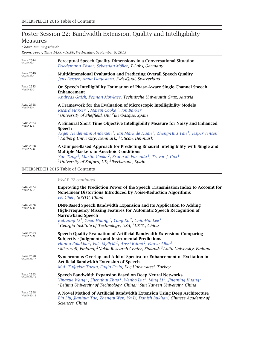### Poster Session 22: Bandwidth Extension, Quality and Intelligibility Measures

*Chair: Tim Fingscheidt*

*Room: Foyer, Time 14:00 – 16:00, Wednesday, September 9, 2015*

| <b>PAGE 2544</b><br>Wed-P-22-1 | Perceptual Speech Quality Dimensions in a Conversational Situation<br>Friedemann Köster, Sebastian Möller, T-Labs, Germany                                                                                                                                                                                                                                       |
|--------------------------------|------------------------------------------------------------------------------------------------------------------------------------------------------------------------------------------------------------------------------------------------------------------------------------------------------------------------------------------------------------------|
| <b>PAGE 2549</b><br>Wed-P-22-2 | Multidimensional Evaluation and Predicting Overall Speech Quality<br>Jens Berger, Anna Llagostera, SwissQual, Switzerland                                                                                                                                                                                                                                        |
| <b>PAGE 2553</b><br>Wed-P-22-3 | On Speech Intelligibility Estimation of Phase-Aware Single-Channel Speech<br><b>Enhancement</b><br>Andreas Gaich, Pejman Mowlaee, Technische Universität Graz, Austria                                                                                                                                                                                           |
| <b>PAGE 2558</b><br>Wed-P-22-4 | A Framework for the Evaluation of Microscopic Intelligibility Models<br>Ricard Marxer <sup>1</sup> , Martin Cooke <sup>2</sup> , Jon Barker <sup>1</sup><br><sup>1</sup> University of Sheffield, UK; <sup>2</sup> Ikerbasque, Spain                                                                                                                             |
| <b>PAGE 2563</b><br>Wed-P-22-5 | A Binaural Short Time Objective Intelligibility Measure for Noisy and Enhanced<br>Speech<br>Asger Heidemann Andersen <sup>1</sup> , Jan Mark de Haan <sup>2</sup> , Zheng-Hua Tan <sup>1</sup> , Jesper Jensen <sup>1</sup><br><sup>1</sup> Aalborg University, Denmark; <sup>2</sup> Oticon, Denmark                                                            |
| <b>PAGE 2568</b><br>Wed-P-22-6 | A Glimpse-Based Approach for Predicting Binaural Intelligibility with Single and<br><b>Multiple Maskers in Anechoic Conditions</b><br>Yan Tang <sup>1</sup> , Martin Cooke <sup>2</sup> , Bruno M. Fazenda <sup>1</sup> , Trevor J. Cox <sup>1</sup><br><sup>1</sup> University of Salford, UK; <sup>2</sup> Ikerbasque, Spain                                   |
|                                | <b>INTERSPEECH 2015 Table of Contents</b>                                                                                                                                                                                                                                                                                                                        |
|                                | Wed-P-22 continued                                                                                                                                                                                                                                                                                                                                               |
| <b>PAGE 2573</b><br>Wed-P-22-7 | Improving the Prediction Power of the Speech Transmission Index to Account for<br>Non-Linear Distortions Introduced by Noise-Reduction Algorithms<br>Fei Chen, SUSTC, China                                                                                                                                                                                      |
| <b>PAGE 2578</b><br>Wed-P-22-8 | DNN-Based Speech Bandwidth Expansion and Its Application to Adding<br>High-Frequency Missing Features for Automatic Speech Recognition of<br><b>Narrowband Speech</b><br>Kehuang Li <sup>1</sup> , Zhen Huang <sup>1</sup> , Yong Xu <sup>2</sup> , Chin-Hui Lee <sup>1</sup><br><sup>1</sup> Georgia Institute of Technology, USA; <sup>2</sup> USTC, China     |
| <b>PAGE 2583</b><br>Wed-P-22-9 | Speech Quality Evaluation of Artificial Bandwidth Extension: Comparing<br><b>Subjective Judgments and Instrumental Predictions</b><br>Hannu Pulakka <sup>1</sup> , Ville Myllylä <sup>1</sup> , Anssi Rämö <sup>2</sup> , Paavo Alku <sup>3</sup><br><sup>1</sup> Microsoft, Finland; <sup>2</sup> Nokia Research Center, Finland; $3$ Aalto University, Finland |
| <b>PAGE 2588</b>               | Synchronous Overlan and Add of Spectra for Enhancement of Evcitation in                                                                                                                                                                                                                                                                                          |

| <b>PAGE 2588</b><br>Wed-P-22-10<br><b>PAGE 2593</b> | Synchronous Overlap and Add of Spectra for Enhancement of Excitation in<br><b>Artificial Bandwidth Extension of Speech</b>                                                                                                         |
|-----------------------------------------------------|------------------------------------------------------------------------------------------------------------------------------------------------------------------------------------------------------------------------------------|
|                                                     | M.A. Tuğtekin Turan, Engin Erzin, Koç Üniversitesi, Turkey<br>Speech Bandwidth Expansion Based on Deep Neural Networks                                                                                                             |
| Wed-P-22-11                                         | $\mathcal{A}$ . The contract of the contract of the contract of the contract of the contract of the contract of the contract of the contract of the contract of the contract of the contract of the contract of the contract of th |

| Page 2593<br>Wed-P-22-11 | Speech Bandwidth Expansion Based on Deep Neural Networks                                                                             |
|--------------------------|--------------------------------------------------------------------------------------------------------------------------------------|
|                          | Yingxue Wang <sup>1</sup> , Shenghui Zhao <sup>1</sup> , Wenbo Liu <sup>2</sup> , Ming Li <sup>2</sup> , Jingming Kuang <sup>1</sup> |
|                          | <sup>1</sup> Beijing University of Technology, China; $^2$ Sun Yat-sen University. China                                             |

PAGE 2598<br>Wed-P-22-12 A Novel Method of Artificial Bandwidth Extension Using Deep Architecture *Bin Liu, Jianhua Tao, Zhengqi Wen, Ya Li, Danish Bukhari, Chinese Academy of Sciences, China*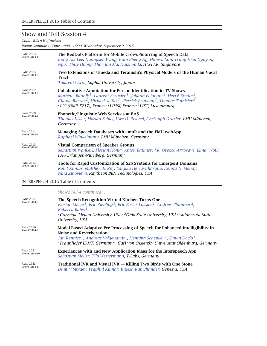### Show and Tell Session 4

*Chair: Björn Hoffmeister*

*Room: Seminar 1, Time 14:00 – 16:00, Wednesday, September 9, 2015*

| <b>PAGE 2603</b><br>Show&Tell-4-1 | The RedDots Platform for Mobile Crowd-Sourcing of Speech Data<br>Kong Aik Lee, Guangsen Wang, Kam Pheng Ng, Hanwu Sun, Trung Hieu Nguyen,<br>Ngoc Thuy Huong Thai, Bin Ma, Haizhou Li, A*STAR, Singapore                                                                                                                                                                                                                |
|-----------------------------------|-------------------------------------------------------------------------------------------------------------------------------------------------------------------------------------------------------------------------------------------------------------------------------------------------------------------------------------------------------------------------------------------------------------------------|
| <b>PAGE 2605</b><br>Show&Tell-4-2 | Two Extensions of Umeda and Teranishi's Physical Models of the Human Vocal<br><b>Tract</b><br>Takayuki Arai, Sophia University, Japan                                                                                                                                                                                                                                                                                   |
| <b>PAGE 2607</b><br>Show&Tell-4-3 | Collaborative Annotation for Person Identification in TV Shows<br>Matheuz Budnik <sup>1</sup> , Laurent Besacier <sup>1</sup> , Johann Poignant <sup>2</sup> , Hervé Bredin <sup>2</sup> ,<br>Claude Barras <sup>2</sup> , Mickael Stefas <sup>3</sup> , Pierrick Bruneau <sup>3</sup> , Thomas Tamisier <sup>3</sup><br><sup>1</sup> LIG (UMR 5217), France; <sup>2</sup> LIMSI, France; <sup>3</sup> LIST, Luxembourg |
| <b>PAGE 2609</b><br>Show&Tell-4-4 | Phonetic/Linguistic Web Services at BAS<br>Thomas Kisler, Florian Schiel, Uwe D. Reichel, Christoph Draxler, LMU München,<br>Germany                                                                                                                                                                                                                                                                                    |
| <b>PAGE 2611</b><br>Show&Tell-4-5 | Managing Speech Databases with emuR and the EMU-webApp<br>Raphael Winkelmann, LMU München, Germany                                                                                                                                                                                                                                                                                                                      |
| <b>PAGE 2613</b><br>Show&Tell-4-6 | <b>Visual Comparison of Speaker Groups</b><br>Sebastian Wankerl, Florian Hönig, Anton Batliner, J.R. Orozco-Arroyave, Elmar Nöth,<br>FAU Erlangen-Nürnberg, Germany                                                                                                                                                                                                                                                     |
| <b>PAGE 2615</b><br>Show&Tell-4-7 | <b>Tools for Rapid Customization of S2S Systems for Emergent Domains</b><br>Rohit Kumar, Matthew E. Roy, Sanjika Hewavitharana, Dennis N. Mehay,<br>Nina Zinovieva, Raytheon BBN Technologies, USA                                                                                                                                                                                                                      |

#### INTERSPEECH 2015 Table of Contents

*Show&Tell-4 continued…*

| <b>PAGE 2617</b><br>Show&Tell-4-8 | The Speech Recognition Virtual Kitchen Turns One<br>Florian Metze <sup>1</sup> , Eric Riebling <sup>1</sup> , Eric Fosler-Lussier <sup>2</sup> , Andrew Plummer <sup>2</sup> ,<br>Rebecca Bates <sup>3</sup><br><sup>1</sup> Carnegie Mellon University, USA; <sup>2</sup> Ohio State University, USA; <sup>3</sup> Minnesota State<br>University, USA |
|-----------------------------------|--------------------------------------------------------------------------------------------------------------------------------------------------------------------------------------------------------------------------------------------------------------------------------------------------------------------------------------------------------|
| <b>PAGE 2619</b><br>Show&Tell-4-9 | Model-Based Adaptive Pre-Processing of Speech for Enhanced Intelligibility in<br><b>Noise and Reverberation</b><br>Jan Rennies <sup>1</sup> , Andreas Volgenandt <sup>1</sup> , Henning Schepker <sup>2</sup> , Simon Doclo <sup>1</sup><br><sup>1</sup> Fraunhofer IDMT, Germany; <sup>2</sup> Carl von Ossietzky Universität Oldenburg, Germany      |
| <b>PAGE 2621</b>                  | Experiences with and New Application Ideas for the Interspeech App                                                                                                                                                                                                                                                                                     |
| Show&Tell-4-10                    | Sebastian Möller, Tilo Westermann, T-Labs, Germany                                                                                                                                                                                                                                                                                                     |
| <b>PAGE 2623</b>                  | Traditional IVR and Visual IVR — Killing Two Birds with One Stone                                                                                                                                                                                                                                                                                      |
| Show&Tell-4-11                    | Dmitry Sityaev, Praphul Kumar, Rajesh Ramchander, Genesys, USA                                                                                                                                                                                                                                                                                         |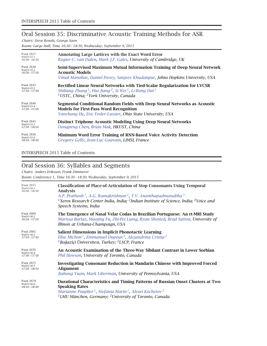## Oral Session 35: Discriminative Acoustic Training Methods for ASR

*Chairs: Steve Renals, George Saon*

*Room: Large Hall, Time 16:30 – 18:30, Wednesday, September 9, 2015*

| <b>PAGE 2625</b><br>Wed-O-35-1<br>$16:30 - 16:50$ | Annotating Large Lattices with the Exact Word Error<br>Rogier C. van Dalen, Mark J.F. Gales, University of Cambridge, UK |
|---------------------------------------------------|--------------------------------------------------------------------------------------------------------------------------|
| <b>PAGE 2630</b>                                  | Semi-Supervised Maximum Mutual Information Training of Deep Neural Network                                               |
| Wed-O-35-2                                        | <b>Acoustic Models</b>                                                                                                   |
| $16:50 - 17:10$                                   | Vimal Manohar, Daniel Povey, Sanjeev Khudanpur, Johns Hopkins University, USA                                            |
| <b>PAGE 2635</b>                                  | Rectified Linear Neural Networks with Tied-Scalar Regularization for LVCSR                                               |
| Wed-O-35-3                                        | Shiliang Zhang <sup>1</sup> , Hui Jiang <sup>2</sup> , Si Wei <sup>1</sup> , Li-Rong Dai <sup>1</sup>                    |
| $17:10 - 17:30$                                   | <sup>1</sup> USTC, China; <sup>2</sup> York University, Canada                                                           |
| <b>PAGE 2640</b>                                  | Segmental Conditional Random Fields with Deep Neural Networks as Acoustic                                                |
| Wed-O-35-4                                        | <b>Models for First-Pass Word Recognition</b>                                                                            |
| $17:30 - 17:50$                                   | Yanzhang He, Eric Fosler-Lussier, Ohio State University, USA                                                             |
| <b>PAGE 2645</b><br>Wed-O-35-5<br>$17:50 - 18:10$ | <b>Distinct Triphone Acoustic Modeling Using Deep Neural Networks</b><br>Dongpeng Chen, Brian Mak, HKUST, China          |
| <b>PAGE 2650</b><br>Wed-O-35-6<br>$18:10 - 18:30$ | Minimum Word Error Training of RNN-Based Voice Activity Detection<br>Gregory Gelly, Jean-Luc Gauvain, LIMSI, France      |

INTERSPEECH 2015 Table of Contents

### Oral Session 36: Syllables and Segments

*Chairs: Anders Eriksson, Frank Zimmerer Room: Conference 1, Time 16:30 – 18:30, Wednesday, September 9, 2015*

| <b>PAGE 2655</b><br>Wed-O-36-1<br>$16:30 - 16:50$ | <b>Classification of Place-of-Articulation of Stop Consonants Using Temporal</b><br>Analysis<br>A.P. Prathosh <sup>1</sup> , A.G. Ramakrishnan <sup>2</sup> , T.V. Ananthapadmanabha <sup>3</sup><br><sup>1</sup> Xerox Research Center India, India; <sup>2</sup> Indian Institute of Science, India; <sup>3</sup> Voice and<br>Speech Systems, India |
|---------------------------------------------------|--------------------------------------------------------------------------------------------------------------------------------------------------------------------------------------------------------------------------------------------------------------------------------------------------------------------------------------------------------|
| <b>PAGE 2660</b>                                  | The Emergence of Nasal Velar Codas in Brazilian Portuguese: An rt-MRI Study                                                                                                                                                                                                                                                                            |
| Wed-O-36-2                                        | Marissa Barlaz, Maojing Fu, Zhi-Pei Liang, Ryan Shosted, Brad Sutton, University of                                                                                                                                                                                                                                                                    |
| $16:50 - 17:10$                                   | Illinois at Urbana-Champaign, USA                                                                                                                                                                                                                                                                                                                      |
| <b>PAGE 2665</b>                                  | Salient Dimensions in Implicit Phonotactic Learning                                                                                                                                                                                                                                                                                                    |
| Wed-O-36-3                                        | Elise Michon <sup>1</sup> , Emmanuel Dupoux <sup>2</sup> , Alejandrina Cristia <sup>2</sup>                                                                                                                                                                                                                                                            |
| $17:10 - 17:30$                                   | <sup>1</sup> Boğaziçi Üniversitesi, Turkey; <sup>2</sup> LSCP, France                                                                                                                                                                                                                                                                                  |
| <b>PAGE 2670</b><br>Wed-O-36-4<br>$17:30 - 17:50$ | An Acoustic Examination of the Three-Way Sibilant Contrast in Lower Sorbian<br>Phil Howson, University of Toronto, Canada                                                                                                                                                                                                                              |
| <b>PAGE 2675</b>                                  | <b>Investigating Consonant Reduction in Mandarin Chinese with Improved Forced</b>                                                                                                                                                                                                                                                                      |
| Wed-O-36-5                                        | <b>Alignment</b>                                                                                                                                                                                                                                                                                                                                       |
| $17:50 - 18:10$                                   | Jiahong Yuan, Mark Liberman, University of Pennsylvania, USA                                                                                                                                                                                                                                                                                           |
| <b>PAGE 2679</b><br>Wed-O-36-6<br>$18:10 - 18:30$ | Durational Characteristics and Timing Patterns of Russian Onset Clusters at Two<br><b>Speaking Rates</b><br>Marianne Pouplier <sup>1</sup> , Stefania Marin <sup>1</sup> , Alexei Kochetov <sup>2</sup><br><sup>1</sup> LMU München, Germany; <sup>2</sup> University of Toronto, Canada                                                               |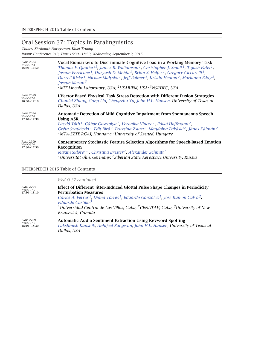# Oral Session 37: Topics in Paralinguistics

*Chairs: Shrikanth Narayanan, Khiet Truong*

*Room: Conference 2+3, Time 16:30 – 18:30, Wednesday, September 9, 2015*

| <b>PAGE 2684</b><br>Wed-O-37-1<br>$16:30 - 16:50$ | Vocal Biomarkers to Discriminate Cognitive Load in a Working Memory Task<br>Thomas F. Quatieri <sup>1</sup> , James R. Williamson <sup>1</sup> , Christopher J. Smalt <sup>1</sup> , Tejash Patel <sup>1</sup> ,<br>Joseph Perricone <sup>1</sup> , Daryush D. Mehta <sup>1</sup> , Brian S. Helfer <sup>1</sup> , Gregory Ciccarelli <sup>1</sup> ,<br>Darrell Ricke <sup>1</sup> , Nicolas Malyska <sup>1</sup> , Jeff Palmer <sup>1</sup> , Kristin Heaton <sup>2</sup> , Marianna Eddy <sup>3</sup> ,<br>Joseph Moran $3$<br><sup>1</sup> MIT Lincoln Laboratory, USA; <sup>2</sup> USARIEM, USA; <sup>3</sup> NSRDEC, USA |
|---------------------------------------------------|--------------------------------------------------------------------------------------------------------------------------------------------------------------------------------------------------------------------------------------------------------------------------------------------------------------------------------------------------------------------------------------------------------------------------------------------------------------------------------------------------------------------------------------------------------------------------------------------------------------------------------|
| <b>PAGE 2689</b><br>Wed-O-37-2<br>$16:50 - 17:10$ | I-Vector Based Physical Task Stress Detection with Different Fusion Strategies<br>Chunlei Zhang, Gang Liu, Chengzhu Yu, John H.L. Hansen, University of Texas at<br>Dallas, USA                                                                                                                                                                                                                                                                                                                                                                                                                                                |
| <b>PAGE 2694</b><br>Wed-O-37-3<br>$17:10 - 17:30$ | <b>Automatic Detection of Mild Cognitive Impairment from Spontaneous Speech</b><br>Using ASR<br>László Tóth <sup>1</sup> , Gábor Gosztolya <sup>1</sup> , Veronika Vincze <sup>1</sup> , Ildikó Hoffmann <sup>2</sup> ,<br>Gréta Szatlóczki <sup>2</sup> , Edit Biró <sup>2</sup> , Fruzsina Zsura <sup>2</sup> , Magdolna Pákáski <sup>2</sup> , János Kálmán <sup>2</sup><br><sup>1</sup> MTA-SZTE RGAI, Hungary; <sup>2</sup> University of Szeged, Hungary                                                                                                                                                                 |
| <b>PAGE 2699</b><br>Wed-O-37-4<br>$17:30 - 17:50$ | <b>Contemporary Stochastic Feature Selection Algorithms for Speech-Based Emotion</b><br>Recognition<br>Maxim Sidorov <sup>1</sup> , Christina Brester <sup>2</sup> , Alexander Schmitt <sup>1</sup><br><sup>1</sup> Universität Ulm, Germany; <sup>2</sup> Siberian State Aerospace University, Russia                                                                                                                                                                                                                                                                                                                         |

#### INTERSPEECH 2015 Table of Contents

|                                                   | Wed-O-37 continued                                                                                                                                                                                                                                                                                                                                                                              |
|---------------------------------------------------|-------------------------------------------------------------------------------------------------------------------------------------------------------------------------------------------------------------------------------------------------------------------------------------------------------------------------------------------------------------------------------------------------|
| <b>PAGE 2704</b><br>Wed-O-37-5<br>$17:50 - 18:10$ | <b>Effect of Different Jitter-Induced Glottal Pulse Shape Changes in Periodicity</b><br><b>Perturbation Measures</b><br>Carlos A. Ferrer <sup>1</sup> , Diana Torres <sup>1</sup> , Eduardo González <sup>1</sup> , José Ramón Calvo <sup>2</sup> ,<br>Eduardo Castillo $3$<br><sup>1</sup> Universidad Central de Las Villas, Cuba; <sup>2</sup> CENATAV, Cuba; <sup>3</sup> University of New |
|                                                   | Brunswick, Canada                                                                                                                                                                                                                                                                                                                                                                               |
| <b>PAGE 2709</b><br>Wed-O-37-6<br>$18:10 - 18:30$ | <b>Automatic Audio Sentiment Extraction Using Keyword Spotting</b><br>Lakshmish Kaushik, Abhijeet Sangwan, John H.L. Hansen, University of Texas at<br>Dallas, USA                                                                                                                                                                                                                              |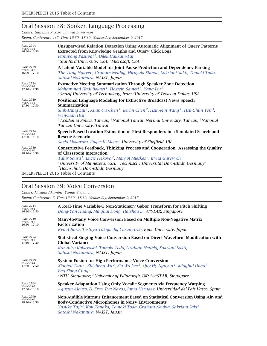### Oral Session 38: Spoken Language Processing

*Chairs: Giuseppe Riccardi, Ingrid Zukerman*

*Room: Conference 4+5, Time 16:30 – 18:30, Wednesday, September 9, 2015*

| <b>PAGE 2714</b><br>Wed-O-38-1<br>$16:30 - 16:50$ | <b>Unsupervised Relation Detection Using Automatic Alignment of Query Patterns</b><br><b>Extracted from Knowledge Graphs and Query Click Logs</b><br>Panupong Pasupat <sup>1</sup> , Dilek Hakkani-Tür <sup>2</sup><br><sup>1</sup> Stanford University, USA; <sup>2</sup> Microsoft, USA                                                                                                                   |
|---------------------------------------------------|-------------------------------------------------------------------------------------------------------------------------------------------------------------------------------------------------------------------------------------------------------------------------------------------------------------------------------------------------------------------------------------------------------------|
| <b>PAGE 2719</b><br>Wed-O-38-2<br>$16:50 - 17:10$ | A Latent Variable Model for Joint Pause Prediction and Dependency Parsing<br>The Tung Nguyen, Graham Neubig, Hiroyuki Shindo, Sakriani Sakti, Tomoki Toda,<br>Satoshi Nakamura, NAIST, Japan                                                                                                                                                                                                                |
| <b>PAGE 2724</b><br>Wed-O-38-3<br>$17:10 - 17:30$ | <b>Extractive Meeting Summarization Through Speaker Zone Detection</b><br>Mohammad Hadi Bokaei <sup>1</sup> , Hossein Sameti <sup>1</sup> , Yang Liu <sup>2</sup><br><sup>1</sup> Sharif University of Technology, Iran; <sup>2</sup> University of Texas at Dallas, USA                                                                                                                                    |
| <b>PAGE 2729</b><br>Wed-O-38-4<br>$17:30 - 17:50$ | Positional Language Modeling for Extractive Broadcast News Speech<br>Summarization<br>Shih-Hung Liu <sup>1</sup> , Kuan-Yu Chen <sup>1</sup> , Berlin Chen <sup>2</sup> , Hsin-Min Wang <sup>1</sup> , Hsu-Chun Yen <sup>3</sup> ,<br>Wen-Lian Hsu $^1$<br><sup>1</sup> Academia Sinica, Taiwan; <sup>2</sup> National Taiwan Normal University, Taiwan; <sup>3</sup> National<br>Taiwan University, Taiwan |
| <b>PAGE 2734</b><br>Wed-O-38-5<br>$17:50 - 18:10$ | Speech-Based Location Estimation of First Responders in a Simulated Search and<br><b>Rescue Scenario</b><br>Saeid Mokaram, Roger K. Moore, University of Sheffield, UK                                                                                                                                                                                                                                      |
| <b>PAGE 2739</b><br>Wed-O-38-6<br>$18:10 - 18:30$ | <b>Constructive Feedback, Thinking Process and Cooperation: Assessing the Quality</b><br>of Classroom Interaction<br>Tahir Sousa <sup>1</sup> , Lucie Flekova <sup>2</sup> , Margot Mieskes <sup>3</sup> , Iryna Gurevych <sup>2</sup><br><sup>1</sup> University of Minnesota, USA; <sup>2</sup> Technische Universität Darmstadt, Germany;<br><sup>3</sup> Hochschule Darmstadt, Germany                  |
|                                                   | <b>INTERSPEECH 2015 Table of Contents</b>                                                                                                                                                                                                                                                                                                                                                                   |

### Oral Session 39: Voice Conversion

*Chairs: Masami Akamine, Yannis Stylianou*

*Room: Conference 6, Time 16:30 – 18:30, Wednesday, September 9, 2015*

| <b>PAGE 2744</b><br>Wed-O-39-1<br>$16:30 - 16:50$ | A Real-Time Variable-Q Non-Stationary Gabor Transform for Pitch Shifting<br>Dong-Yan Huang, Minghui Dong, Haizhou Li, A*STAR, Singapore                                                                                                                                                                                                         |
|---------------------------------------------------|-------------------------------------------------------------------------------------------------------------------------------------------------------------------------------------------------------------------------------------------------------------------------------------------------------------------------------------------------|
| <b>PAGE 2749</b><br>Wed-O-39-2<br>$16:50 - 17:10$ | Many-to-Many Voice Conversion Based on Multiple Non-Negative Matrix<br><b>Factorization</b><br>Ryo Aihara, Testuya Takiguchi, Yasuo Ariki, Kobe University, Japan                                                                                                                                                                               |
| <b>PAGE 2754</b><br>Wed-O-39-3<br>$17:10 - 17:30$ | <b>Statistical Singing Voice Conversion Based on Direct Waveform Modification with</b><br><b>Global Variance</b><br>Kazuhiro Kobayashi, Tomoki Toda, Graham Neubiq, Sakriani Sakti,<br>Satoshi Nakamura, NAIST, Japan                                                                                                                           |
| <b>PAGE 2759</b><br>Wed-O-39-4<br>$17:30 - 17:50$ | <b>System Fusion for High-Performance Voice Conversion</b><br>Xiaohai Tian <sup>1</sup> , Zhizheng Wu <sup>2</sup> , Siu Wa Lee <sup>3</sup> , Quy Hy Nguyen <sup>1</sup> , Minghui Dong <sup>3</sup> ,<br>Eng Siong Chng <sup>1</sup><br><sup>1</sup> NTU, Singapore; <sup>2</sup> University of Edinburgh, UK; <sup>3</sup> A*STAR, Singapore |
| <b>PAGE 2764</b><br>Wed-O-39-5<br>$17:50 - 18:10$ | Speaker Adaptation Using Only Vocalic Segments via Frequency Warping<br>Agustin Alonso, D. Erro, Eva Navas, Inma Hernaez, Universidad del País Vasco, Spain                                                                                                                                                                                     |
| <b>PAGE 2769</b><br>Wed-O-39-6<br>$18:10 - 18:30$ | Non-Audible Murmur Enhancement Based on Statistical Conversion Using Air- and<br><b>Body-Conductive Microphones in Noisy Environments</b><br>Yusuke Tajiri, Kou Tanaka, Tomoki Toda, Graham Neubig, Sakriani Sakti,<br>Satoshi Nakamura, NAIST, Japan                                                                                           |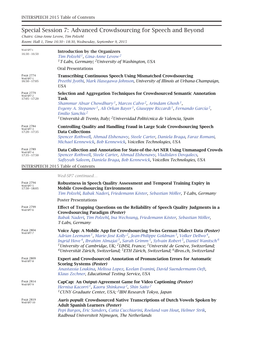# Special Session 7: Advanced Crowdsourcing for Speech and Beyond

*Chairs: Gina-Anne Levow, Tim Polzehl Room: Hall 1, Time 16:30 – 18:30, Wednesday, September 9, 2015*

| Wed-SP7-i<br>$16:30 - 16:50$                     | <b>Introduction by the Organizers</b><br>Tim Polzehl <sup>1</sup> , Gina-Anne Levow <sup>2</sup><br><sup>1</sup> T-Labs, Germany; <sup>2</sup> University of Washington, USA                                                                                                                                                                                                                                                                                                                                                                                                                                          |
|--------------------------------------------------|-----------------------------------------------------------------------------------------------------------------------------------------------------------------------------------------------------------------------------------------------------------------------------------------------------------------------------------------------------------------------------------------------------------------------------------------------------------------------------------------------------------------------------------------------------------------------------------------------------------------------|
|                                                  | <b>Oral Presentations</b>                                                                                                                                                                                                                                                                                                                                                                                                                                                                                                                                                                                             |
| <b>PAGE 2774</b><br>Wed-SP7-1<br>$16:50 - 17:05$ | <b>Transcribing Continuous Speech Using Mismatched Crowdsourcing</b><br>Preethi Jyothi, Mark Hasegawa-Johnson, University of Illinois at Urbana-Champaign,<br><b>USA</b>                                                                                                                                                                                                                                                                                                                                                                                                                                              |
| <b>PAGE 2779</b><br>Wed-SP7-2<br>$17:05 - 17:20$ | Selection and Aggregation Techniques for Crowdsourced Semantic Annotation<br><b>Task</b><br>Shammur Absar Chowdhury <sup>1</sup> , Marcos Calvo <sup>2</sup> , Arindam Ghosh <sup>1</sup> ,<br>Evgeny A. Stepanov <sup>1</sup> , Ali Orkan Bayer <sup>1</sup> , Giuseppe Riccardi <sup>1</sup> , Fernando García <sup>2</sup> ,<br>Emilio Sanchis <sup>2</sup><br><sup>1</sup> Università di Trento, Italy; <sup>2</sup> Universidad Politécnica de Valencia, Spain                                                                                                                                                   |
| <b>PAGE 2784</b><br>Wed-SP7-3<br>$17:20 - 17:35$ | <b>Controlling Quality and Handling Fraud in Large Scale Crowdsourcing Speech</b><br><b>Data Collections</b><br>Spencer Rothwell, Ahmad Elshenawy, Steele Carter, Daniela Braga, Faraz Romani,<br>Michael Kennewick, Bob Kennewick, VoiceBox Technologies, USA                                                                                                                                                                                                                                                                                                                                                        |
| PAGE 2789<br>Wed-SP7-4<br>$17:35 - 17:50$        | Data Collection and Annotation for State-of-the-Art NER Using Unmanaged Crowds<br>Spencer Rothwell, Steele Carter, Ahmad Elshenawy, Vladislavs Dovgalecs,<br>Safiyyah Saleem, Daniela Braga, Bob Kennewick, VoiceBox Technologies, USA                                                                                                                                                                                                                                                                                                                                                                                |
|                                                  | <b>INTERSPEECH 2015 Table of Contents</b>                                                                                                                                                                                                                                                                                                                                                                                                                                                                                                                                                                             |
|                                                  | Wed-SP7 continued                                                                                                                                                                                                                                                                                                                                                                                                                                                                                                                                                                                                     |
| <b>PAGE 2794</b><br>Wed-SP7-5<br>$17:50 - 18:05$ | Robustness in Speech Quality Assessment and Temporal Training Expiry in<br><b>Mobile Crowdsourcing Environments</b><br>Tim Polzehl, Babak Naderi, Friedemann Köster, Sebastian Möller, T-Labs, Germany                                                                                                                                                                                                                                                                                                                                                                                                                |
|                                                  | <b>Poster Presentations</b>                                                                                                                                                                                                                                                                                                                                                                                                                                                                                                                                                                                           |
| PAGE 2799<br>Wed-SP7-6                           | Effect of Trapping Questions on the Reliability of Speech Quality Judgments in a<br><b>Crowdsourcing Paradigm (Poster)</b><br>Babak Naderi, Tim Polzehl, Ina Wechsung, Friedemann Köster, Sebastian Möller,<br>T-Labs, Germany                                                                                                                                                                                                                                                                                                                                                                                        |
| <b>PAGE 2804</b><br>Wed-SP7-7                    | Voice Äpp: A Mobile App for Crowdsourcing Swiss German Dialect Data (Poster)<br>Adrian Leemann <sup>1</sup> , Marie-José Kolly <sup>2</sup> , Jean-Philippe Goldman <sup>3</sup> , Volker Dellwo <sup>4</sup> ,<br>Ingrid Hove <sup>4</sup> , Ibrahim Almajai <sup>3</sup> , Sarah Grimm <sup>5</sup> , Sylvain Robert <sup>5</sup> , Daniel Wanitsch <sup>6</sup><br><sup>1</sup> University of Cambridge, UK; <sup>2</sup> LIMSI, France; <sup>3</sup> Université de Genève, Switzerland;<br><sup>4</sup> Universität Zürich, Switzerland; <sup>5</sup> ETH Zürich, Switzerland; <sup>6</sup> iBros.ch, Switzerland |
| PAGE 2809<br>Wed-SP7-8                           | Expert and Crowdsourced Annotation of Pronunciation Errors for Automatic<br><b>Scoring Systems (Poster)</b><br>Anastassia Loukina, Melissa Lopez, Keelan Evanini, David Suendermann-Oeft,<br>Klaus Zechner, Educational Testing Service, USA                                                                                                                                                                                                                                                                                                                                                                          |
| <b>PAGE 2814</b><br>Wed-SP7-9                    | CapCap: An Output-Agreement Game for Video Captioning (Poster)<br>Hernisa Kacorri <sup>1</sup> , Kaoru Shinkawa <sup>2</sup> , Shin Saito <sup>2</sup><br><sup>1</sup> CUNY Graduate Center, USA; <sup>2</sup> IBM Research Tokyo, Japan                                                                                                                                                                                                                                                                                                                                                                              |
| PAGE 2819<br>Wed-SP7-10                          | Auris populi: Crowdsourced Native Transcriptions of Dutch Vowels Spoken by<br><b>Adult Spanish Learners (Poster)</b><br>Pepi Burgos, Eric Sanders, Catia Cucchiarini, Roeland van Hout, Helmer Strik,<br>Radboud Universiteit Nijmegen, The Netherlands                                                                                                                                                                                                                                                                                                                                                               |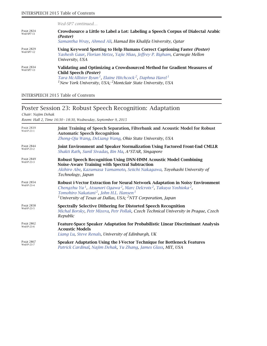*Wed-SP7 continued…*

| <b>PAGE 2824</b><br>Wed-SP7-11 | Crowdsource a Little to Label a Lot: Labeling a Speech Corpus of Dialectal Arabic<br>(Poster)<br>Samantha Wray, Ahmed Ali, Hamad Bin Khalifa University, Qatar                                                                                                                            |
|--------------------------------|-------------------------------------------------------------------------------------------------------------------------------------------------------------------------------------------------------------------------------------------------------------------------------------------|
| <b>PAGE 2829</b><br>Wed-SP7-12 | Using Keyword Spotting to Help Humans Correct Captioning Faster (Poster)<br>Yashesh Gaur, Florian Metze, Yajie Miao, Jeffrey P. Bigham, Carnegie Mellon<br>University, USA                                                                                                                |
| <b>PAGE 2834</b><br>Wed-SP7-13 | Validating and Optimizing a Crowdsourced Method for Gradient Measures of<br>Child Speech (Poster)<br>Tara McAllister Byun <sup>1</sup> , Elaine Hitchcock <sup>2</sup> , Daphna Harel <sup>1</sup><br><sup>1</sup> New York University, USA; <sup>2</sup> Montclair State University, USA |

INTERSPEECH 2015 Table of Contents

# Poster Session 23: Robust Speech Recognition: Adaptation

*Chair: Najim Dehak*

*Room: Hall 2, Time 16:30 – 18:30, Wednesday, September 9, 2015*

| <b>PAGE 2839</b><br>Wed-P-23-1 | Joint Training of Speech Separation, Filterbank and Acoustic Model for Robust<br><b>Automatic Speech Recognition</b><br>Zhong-Qiu Wang, DeLiang Wang, Ohio State University, USA                                                                                                                                                                                |
|--------------------------------|-----------------------------------------------------------------------------------------------------------------------------------------------------------------------------------------------------------------------------------------------------------------------------------------------------------------------------------------------------------------|
| <b>PAGE 2844</b><br>Wed-P-23-2 | Joint Environment and Speaker Normalization Using Factored Front-End CMLLR<br>Shakti Rath, Sunil Sivadas, Bin Ma, A*STAR, Singapore                                                                                                                                                                                                                             |
| <b>PAGE 2849</b><br>Wed-P-23-3 | <b>Robust Speech Recognition Using DNN-HMM Acoustic Model Combining</b><br><b>Noise-Aware Training with Spectral Subtraction</b><br>Akihiro Abe, Kazumasa Yamamoto, Seiichi Nakagawa, Toyohashi University of<br>Technology, Japan                                                                                                                              |
| <b>PAGE 2854</b><br>Wed-P-23-4 | Robust i-Vector Extraction for Neural Network Adaptation in Noisy Environment<br>Chengzhu Yu <sup>1</sup> , Atsunori Ogawa <sup>2</sup> , Marc Delcroix <sup>2</sup> , Takuya Yoshioka <sup>2</sup> ,<br>Tomohiro Nakatani <sup>2</sup> , John H.L. Hansen <sup>1</sup><br><sup>1</sup> University of Texas at Dallas, USA; <sup>2</sup> NTT Corporation, Japan |
| <b>PAGE 2858</b><br>Wed-P-23-5 | Spectrally Selective Dithering for Distorted Speech Recognition<br>Michal Borsky, Petr Mizera, Petr Pollak, Czech Technical University in Prague, Czech<br>Republic                                                                                                                                                                                             |
| <b>PAGE 2862</b><br>Wed-P-23-6 | <b>Feature-Space Speaker Adaptation for Probabilistic Linear Discriminant Analysis</b><br><b>Acoustic Models</b><br>Liang Lu, Steve Renals, University of Edinburgh, UK                                                                                                                                                                                         |
| <b>PAGE 2867</b><br>Wed-P-23-7 | Speaker Adaptation Using the I-Vector Technique for Bottleneck Features<br>Patrick Cardinal, Najim Dehak, Yu Zhang, James Glass, MIT, USA                                                                                                                                                                                                                       |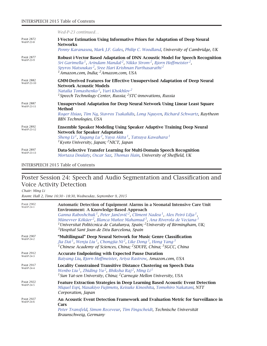|                                 | Wed-P-23 continued                                                                                                                                                                                                                                                                                                                                              |
|---------------------------------|-----------------------------------------------------------------------------------------------------------------------------------------------------------------------------------------------------------------------------------------------------------------------------------------------------------------------------------------------------------------|
| <b>PAGE 2872</b><br>Wed-P-23-8  | <b>I-Vector Estimation Using Informative Priors for Adaptation of Deep Neural</b><br><b>Networks</b><br>Penny Karanasou, Mark J.F. Gales, Philip C. Woodland, University of Cambridge, UK                                                                                                                                                                       |
| <b>PAGE 2877</b><br>Wed-P-23-9  | <b>Robust i-Vector Based Adaptation of DNN Acoustic Model for Speech Recognition</b><br>Sri Garimella <sup>1</sup> , Arindam Mandal <sup>2</sup> , Nikko Strom <sup>2</sup> , Bjorn Hoffmeister <sup>2</sup> ,<br>Spyros Matsoukas <sup>2</sup> , Sree Hari Krishnan Parthasarathi <sup>2</sup><br><sup>1</sup> Amazon.com, India; <sup>2</sup> Amazon.com, USA |
| <b>PAGE 2882</b><br>Wed-P-23-10 | <b>GMM-Derived Features for Effective Unsupervised Adaptation of Deep Neural</b><br><b>Network Acoustic Models</b><br>Natalia Tomashenko <sup>1</sup> , Yuri Khokhlov <sup>2</sup><br><sup>1</sup> Speech Technology Center, Russia; <sup>2</sup> STC-innovations, Russia                                                                                       |
| <b>PAGE 2887</b><br>Wed-P-23-11 | <b>Unsupervised Adaptation for Deep Neural Network Using Linear Least Square</b><br>Method<br>Roger Hsiao, Tim Ng, Stavros Tsakalidis, Long Nguyen, Richard Schwartz, Raytheon<br><b>BBN Technologies, USA</b>                                                                                                                                                  |
| <b>PAGE 2892</b><br>Wed-P-23-12 | <b>Ensemble Speaker Modeling Using Speaker Adaptive Training Deep Neural</b><br><b>Network for Speaker Adaptation</b><br>Sheng Li <sup>1</sup> , Xugang Lu <sup>2</sup> , Yuya Akita <sup>1</sup> , Tatsuya Kawahara <sup>1</sup><br><sup>1</sup> Kyoto University, Japan; <sup>2</sup> NICT, Japan                                                             |
| <b>PAGE 2897</b><br>Wed-P-23-13 | Data-Selective Transfer Learning for Multi-Domain Speech Recognition<br>Mortaza Doulaty, Oscar Saz, Thomas Hain, University of Sheffield, UK                                                                                                                                                                                                                    |

## Poster Session 24: Speech and Audio Segmentation and Classification and Voice Activity Detection

*Chair: Ming Li*

*Room: Hall 2, Time 16:30 – 18:30, Wednesday, September 9, 2015*

| <b>PAGE 2902</b><br>Wed-P-24-1 | Automatic Detection of Equipment Alarms in a Neonatal Intensive Care Unit<br><b>Environment: A Knowledge-Based Approach</b><br>Ganna Raboshchuk <sup>1</sup> , Peter Jančovič <sup>2</sup> , Climent Nadeu <sup>1</sup> , Alex Peiró Lilja <sup>1</sup> ,<br>Münevver Köküer <sup>2</sup> , Blanca Muñoz Mahamud <sup>3</sup> , Ana Riverola de Veciana <sup>3</sup><br><sup>1</sup> Universitat Politècnica de Catalunya, Spain; <sup>2</sup> University of Birmingham, UK;<br><sup>3</sup> Hospital Sant Joan de Déu Barcelona, Spain |
|--------------------------------|-----------------------------------------------------------------------------------------------------------------------------------------------------------------------------------------------------------------------------------------------------------------------------------------------------------------------------------------------------------------------------------------------------------------------------------------------------------------------------------------------------------------------------------------|
| <b>PAGE 2907</b><br>Wed-P-24-2 | "Multilingual" Deep Neural Network for Music Genre Classification<br>Jia Dai <sup>1</sup> , Wenju Liu <sup>1</sup> , Chongjia Ni <sup>2</sup> , Like Dong <sup>3</sup> , Hong Yang <sup>3</sup><br><sup>1</sup> Chinese Academy of Sciences, China; <sup>2</sup> SDUFE, China; <sup>3</sup> SGCC, China                                                                                                                                                                                                                                 |
| <b>PAGE 2912</b><br>Wed-P-24-3 | <b>Accurate Endpointing with Expected Pause Duration</b><br>Baiyang Liu, Bjorn Hoffmeister, Ariya Rastrow, Amazon.com, USA                                                                                                                                                                                                                                                                                                                                                                                                              |
| <b>PAGE 2917</b><br>Wed-P-24-4 | <b>Locality Constrained Transitive Distance Clustering on Speech Data</b><br>Wenbo Liu <sup>1</sup> , Zhiding Yu <sup>2</sup> , Bhiksha Raj <sup>2</sup> , Ming Li <sup>1</sup><br><sup>1</sup> Sun Yat-sen University, China; <sup>2</sup> Carnegie Mellon University, USA                                                                                                                                                                                                                                                             |
| <b>PAGE 2922</b><br>Wed-P-24-5 | <b>Feature Extraction Strategies in Deep Learning Based Acoustic Event Detection</b><br>Miquel Espi, Masakiyo Fujimoto, Keisuke Kinoshita, Tomohiro Nakatani, NTT<br>Corporation, Japan                                                                                                                                                                                                                                                                                                                                                 |
| <b>PAGE 2927</b><br>Wed-P-24-6 | An Acoustic Event Detection Framework and Evaluation Metric for Surveillance in<br>Cars<br>Peter Transfeld, Simon Receveur, Tim Fingscheidt, Technische Universität<br>Braunschweig, Germany                                                                                                                                                                                                                                                                                                                                            |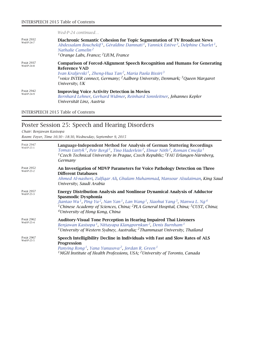|                                | Wed-P-24 continued                                                                                                                                                                                                                                                                                                                        |
|--------------------------------|-------------------------------------------------------------------------------------------------------------------------------------------------------------------------------------------------------------------------------------------------------------------------------------------------------------------------------------------|
| <b>PAGE 2932</b><br>Wed-P-24-7 | Diachronic Semantic Cohesion for Topic Segmentation of TV Broadcast News<br>Abdessalam Bouchekif <sup>1</sup> , Géraldine Damnati <sup>1</sup> , Yannick Estève <sup>2</sup> , Delphine Charlet <sup>1</sup> ,<br>Nathalie Camelin <sup>2</sup><br><sup>1</sup> Orange Labs, France; <sup>2</sup> LIUM, France                            |
| <b>PAGE 2937</b><br>Wed-P-24-8 | <b>Comparison of Forced-Alignment Speech Recognition and Humans for Generating</b><br>Reference VAD<br>Ivan Kraljevski <sup>1</sup> , Zheng-Hua Tan <sup>2</sup> , Maria Paola Bissiri <sup>3</sup><br><sup>1</sup> voice INTER connect, Germany; <sup>2</sup> Aalborg University, Denmark; <sup>3</sup> Queen Margaret<br>University, UK |
| <b>PAGE 2942</b><br>Wed-P-24-9 | <b>Improving Voice Activity Detection in Movies</b><br>Bernhard Lehner, Gerhard Widmer, Reinhard Sonnleitner, Johannes Kepler<br>Universität Linz, Austria                                                                                                                                                                                |

# Poster Session 25: Speech and Hearing Disorders

*Chair: Benjawan Kasisopa*

*Room: Foyer, Time 16:30 – 18:30, Wednesday, September 9, 2015*

| <b>PAGE 2947</b><br>Wed-P-25-1 | Language-Independent Method for Analysis of German Stuttering Recordings<br>Tomas Lustyk <sup>1</sup> , Petr Bergl <sup>1</sup> , Tino Haderlein <sup>2</sup> , Elmar Nöth <sup>2</sup> , Roman Cmejla <sup>1</sup><br><sup>1</sup> Czech Technical University in Prague, Czech Republic; <sup>2</sup> FAU Erlangen-Nürnberg,<br>Germany                                                                                               |
|--------------------------------|----------------------------------------------------------------------------------------------------------------------------------------------------------------------------------------------------------------------------------------------------------------------------------------------------------------------------------------------------------------------------------------------------------------------------------------|
| <b>PAGE 2952</b><br>Wed-P-25-2 | An Investigation of MDVP Parameters for Voice Pathology Detection on Three<br><b>Different Databases</b><br>Ahmed Al-nasheri, Zulfiqar Ali, Ghulam Muhammad, Mansour Alsulaiman, King Saud<br>University, Saudi Arabia                                                                                                                                                                                                                 |
| <b>PAGE 2957</b><br>Wed-P-25-3 | <b>Energy Distribution Analysis and Nonlinear Dynamical Analysis of Adductor</b><br>Spasmodic Dysphonia<br>Jiantao Wu <sup>1</sup> , Ping Yu <sup>2</sup> , Nan Yan <sup>1</sup> , Lan Wang <sup>1</sup> , Xiaohui Yang <sup>3</sup> , Manwa L. Ng <sup>4</sup><br><sup>1</sup> Chinese Academy of Sciences, China; <sup>2</sup> PLA General Hospital, China; <sup>3</sup> CUST, China;<br><sup>4</sup> University of Hong Kong, China |
| <b>PAGE 2962</b><br>Wed-P-25-4 | <b>Auditory-Visual Tone Perception in Hearing Impaired Thai Listeners</b><br>Benjawan Kasisopa <sup>1</sup> , Nittayapa Klangpornkun <sup>2</sup> , Denis Burnham <sup>1</sup><br><sup>1</sup> University of Western Sydney, Australia; <sup>2</sup> Thammasat University, Thailand                                                                                                                                                    |
| <b>PAGE 2967</b><br>Wed-P-25-5 | Speech Intelligibility Decline in Individuals with Fast and Slow Rates of ALS<br><b>Progression</b><br>Panying Rong <sup>1</sup> , Yana Yunusova <sup>2</sup> , Jordan R. Green <sup>1</sup><br><sup>1</sup> MGH Institute of Health Professions, USA; <sup>2</sup> University of Toronto, Canada                                                                                                                                      |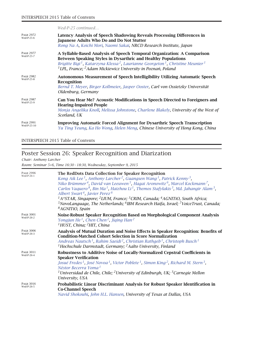|                                 | Wed-P-25 continued                                                                                                                                                                                                                                                                                                                                                       |
|---------------------------------|--------------------------------------------------------------------------------------------------------------------------------------------------------------------------------------------------------------------------------------------------------------------------------------------------------------------------------------------------------------------------|
| <b>PAGE 2972</b><br>Wed-P-25-6  | Latency Analysis of Speech Shadowing Reveals Processing Differences in<br><b>Japanese Adults Who Do and Do Not Stutter</b><br>Rong Na A, Koichi Mori, Naomi Sakai, NRCD Research Institute, Japan                                                                                                                                                                        |
| <b>PAGE 2977</b><br>Wed-P-25-7  | A Syllable-Based Analysis of Speech Temporal Organization: A Comparison<br><b>Between Speaking Styles in Dysarthric and Healthy Populations</b><br>Brigitte Bigi <sup>1</sup> , Katarzyna Klessa <sup>2</sup> , Laurianne Georgeton <sup>1</sup> , Christine Meunier <sup>1</sup><br><sup>1</sup> LPL, France; <sup>2</sup> Adam Mickiewicz University in Poznań, Poland |
| <b>PAGE 2982</b><br>Wed-P-25-8  | <b>Autonomous Measurement of Speech Intelligibility Utilizing Automatic Speech</b><br>Recognition<br>Bernd T. Meyer, Birger Kollmeier, Jasper Ooster, Carl von Ossietzky Universität<br>Oldenburg, Germany                                                                                                                                                               |
| <b>PAGE 2987</b><br>Wed-P-25-9  | Can You Hear Me? Acoustic Modifications in Speech Directed to Foreigners and<br><b>Hearing-Impaired People</b><br>Monja Angelika Knoll, Melissa Johnstone, Charlene Blakely, University of the West of<br>Scotland, UK                                                                                                                                                   |
| <b>PAGE 2991</b><br>Wed-P-25-10 | <b>Improving Automatic Forced Alignment for Dysarthric Speech Transcription</b><br>Yu Ting Yeung, Ka Ho Wong, Helen Meng, Chinese University of Hong Kong, China                                                                                                                                                                                                         |

## Poster Session 26: Speaker Recognition and Diarization

*Chair: Anthony Larcher*

*Room: Seminar 5+6, Time 16:30 – 18:30, Wednesday, September 9, 2015*

| <b>PAGE 2996</b><br>Wed-P-26-1 | The RedDots Data Collection for Speaker Recognition<br>Kong Aik Lee <sup>1</sup> , Anthony Larcher <sup>2</sup> , Guangsen Wang <sup>1</sup> , Patrick Kenny <sup>3</sup> ,<br>Niko Brümmer <sup>4</sup> , David van Leeuwen <sup>5</sup> , Hagai Aronowitz <sup>6</sup> , Marcel Kockmann <sup>7</sup> ,<br>Carlos Vaquero <sup>8</sup> , Bin Ma <sup>1</sup> , Haizhou Li <sup>1</sup> , Themos Stafylakis <sup>3</sup> , Md. Jahangir Alam <sup>3</sup> ,<br>Albert Swart <sup>4</sup> , Javier Perez <sup>6</sup><br><sup>1</sup> A*STAR, Singapore; <sup>2</sup> LIUM, France; <sup>3</sup> CRIM, Canada; <sup>4</sup> AGNITiO, South Africa;<br>$5$ NovoLanguage, The Netherlands; $6$ IBM Research Haifa, Israel; $7$ VoiceTrust, Canada;<br><sup>8</sup> AGNITiO, Spain |
|--------------------------------|---------------------------------------------------------------------------------------------------------------------------------------------------------------------------------------------------------------------------------------------------------------------------------------------------------------------------------------------------------------------------------------------------------------------------------------------------------------------------------------------------------------------------------------------------------------------------------------------------------------------------------------------------------------------------------------------------------------------------------------------------------------------------------|
| <b>PAGE 3001</b><br>Wed-P-26-2 | Noise-Robust Speaker Recognition Based on Morphological Component Analysis<br>Yongjun He <sup>1</sup> , Chen Chen <sup>2</sup> , Jiqing Han <sup>2</sup><br><sup>1</sup> HUST, China; <sup>2</sup> HIT, China                                                                                                                                                                                                                                                                                                                                                                                                                                                                                                                                                                   |
| <b>PAGE 3006</b><br>Wed-P-26-3 | Analysis of Mutual Duration and Noise Effects in Speaker Recognition: Benefits of<br><b>Condition-Matched Cohort Selection in Score Normalization</b><br>Andreas Nautsch <sup>1</sup> , Rahim Saeidi <sup>2</sup> , Christian Rathgeb <sup>1</sup> , Christoph Busch <sup>1</sup><br><sup>1</sup> Hochschule Darmstadt, Germany; <sup>2</sup> Aalto University, Finland                                                                                                                                                                                                                                                                                                                                                                                                         |
| <b>PAGE 3011</b><br>Wed-P-26-4 | Robustness to Additive Noise of Locally-Normalized Cepstral Coefficients in<br><b>Speaker Verification</b><br>Josué Fredes <sup>1</sup> , José Novoa <sup>1</sup> , Victor Poblete <sup>1</sup> , Simon King <sup>2</sup> , Richard M. Stern <sup>3</sup> ,<br>Néstor Becerra Yoma <sup>1</sup><br><sup>1</sup> Universidad de Chile, Chile; <sup>2</sup> University of Edinburgh, UK; <sup>3</sup> Carnegie Mellon<br>University, USA                                                                                                                                                                                                                                                                                                                                          |
| <b>PAGE 3016</b><br>Wed-P-26-5 | Probabilistic Linear Discriminant Analysis for Robust Speaker Identification in<br><b>Co-Channel Speech</b><br>Navid Shokouhi, John H.L. Hansen, University of Texas at Dallas, USA                                                                                                                                                                                                                                                                                                                                                                                                                                                                                                                                                                                             |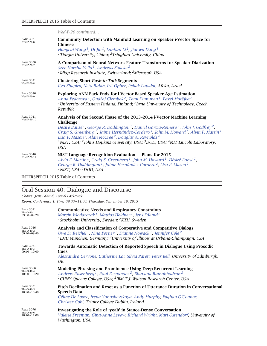|                                 | Wed-P-26 continued                                                                                                                                                                                                                                                                                                                                                                                                                                                                                                                                                                                                      |
|---------------------------------|-------------------------------------------------------------------------------------------------------------------------------------------------------------------------------------------------------------------------------------------------------------------------------------------------------------------------------------------------------------------------------------------------------------------------------------------------------------------------------------------------------------------------------------------------------------------------------------------------------------------------|
| <b>PAGE 3021</b><br>Wed-P-26-6  | <b>Community Detection with Manifold Learning on Speaker i-Vector Space for</b><br><b>Chinese</b><br>Hongcui Wang <sup>1</sup> , Di Jin <sup>1</sup> , Lantian Li <sup>2</sup> , Jianwu Dang <sup>1</sup><br><sup>1</sup> Tianjin University, China; <sup>2</sup> Tsinghua University, China                                                                                                                                                                                                                                                                                                                            |
| <b>PAGE 3026</b><br>Wed-P-26-7  | A Comparison of Neural Network Feature Transforms for Speaker Diarization<br>Sree Harsha Yella <sup>1</sup> , Andreas Stolcke <sup>2</sup><br><sup>1</sup> Idiap Research Institute, Switzerland; <sup>2</sup> Microsoft, USA                                                                                                                                                                                                                                                                                                                                                                                           |
| <b>PAGE 3031</b><br>Wed-P-26-8  | <b>Clustering Short Push-to-Talk Segments</b><br>Ilya Shapiro, Neta Rabin, Irit Opher, Itshak Lapidot, Afeka, Israel                                                                                                                                                                                                                                                                                                                                                                                                                                                                                                    |
| <b>PAGE 3036</b><br>Wed-P-26-9  | <b>Exploring ANN Back-Ends for i-Vector Based Speaker Age Estimation</b><br>Anna Fedorova <sup>1</sup> , Ondřej Glembek <sup>2</sup> , Tomi Kinnunen <sup>1</sup> , Pavel Matějka <sup>2</sup><br><sup>1</sup> University of Eastern Finland, Finland; <sup>2</sup> Brno University of Technology, Czech<br>Republic                                                                                                                                                                                                                                                                                                    |
| <b>PAGE 3041</b><br>Wed-P-26-10 | Analysis of the Second Phase of the 2013-2014 i-Vector Machine Learning<br><b>Challenge</b><br>Désiré Bansé <sup>1</sup> , George R. Doddington <sup>1</sup> , Daniel Garcia-Romero <sup>2</sup> , John J. Godfrey <sup>2</sup> ,<br>Craig S. Greenberg <sup>1</sup> , Jaime Hernández-Cordero <sup>3</sup> , John M. Howard <sup>1</sup> , Alvin F. Martin <sup>1</sup> ,<br>Lisa P. Mason <sup>3</sup> , Alan McCree <sup>2</sup> , Douglas A. Reynolds <sup>4</sup><br><sup>1</sup> NIST, USA; <sup>2</sup> Johns Hopkins University, USA; <sup>3</sup> DOD, USA; <sup>4</sup> MIT Lincoln Laboratory,<br><b>USA</b> |
| <b>PAGE 3046</b><br>Wed-P-26-11 | NIST Language Recognition Evaluation - Plans for 2015<br>Alvin F. Martin <sup>1</sup> , Craig S. Greenberg <sup>1</sup> , John M. Howard <sup>1</sup> , Désiré Bansé <sup>1</sup> ,<br>George R. Doddington <sup>1</sup> , Jaime Hernández-Cordero <sup>2</sup> , Lisa P. Mason <sup>2</sup><br><sup>1</sup> NIST, USA; $^2$ DOD, USA                                                                                                                                                                                                                                                                                   |

# Oral Session 40: Dialogue and Discourse

| Chairs: Jens Edlund, Kornel Laskowski                                |
|----------------------------------------------------------------------|
| Room: Conference 1, Time 09:00 - 11:00, Thursday, September 10, 2015 |

| <b>PAGE 3051</b>                                  | <b>Communicative Needs and Respiratory Constraints</b>                                                                                                                                                                           |
|---------------------------------------------------|----------------------------------------------------------------------------------------------------------------------------------------------------------------------------------------------------------------------------------|
| $Thu-O-40-1$                                      | Marcin Włodarczak <sup>1</sup> , Mattias Heldner <sup>1</sup> , Jens Edlund <sup>2</sup>                                                                                                                                         |
| $09:00 - 09:20$                                   | <sup>1</sup> Stockholm University, Sweden; <sup>2</sup> KTH, Sweden                                                                                                                                                              |
| <b>PAGE 3056</b>                                  | Analysis and Classification of Cooperative and Competitive Dialogs                                                                                                                                                               |
| Thu-O-40-2                                        | Uwe D. Reichel <sup>1</sup> , Nina Pörner <sup>1</sup> , Dianne Nowack <sup>1</sup> , Jennifer Cole <sup>2</sup>                                                                                                                 |
| $09:20 - 09:40$                                   | $1$ LMU München, Germany; $2$ University of Illinois at Urbana-Champaign, USA                                                                                                                                                    |
| <b>PAGE 3061</b><br>Thu-O-40-3<br>$09:40 - 10:00$ | <b>Towards Automatic Detection of Reported Speech in Dialogue Using Prosodic</b><br>Cues<br>Alessandra Cervone, Catherine Lai, Silvia Pareti, Peter Bell, University of Edinburgh,<br>UK                                         |
| <b>PAGE 3066</b>                                  | <b>Modeling Phrasing and Prominence Using Deep Recurrent Learning</b>                                                                                                                                                            |
| Thu-O-40-4                                        | Andrew Rosenberg <sup>1</sup> , Raul Fernandez <sup>2</sup> , Bhuvana Ramabhadran <sup>2</sup>                                                                                                                                   |
| $10:00 - 10:20$                                   | <sup>1</sup> CUNY Queens College, USA; <sup>2</sup> IBM T.J. Watson Research Center, USA                                                                                                                                         |
| <b>PAGE 3071</b><br>Thu-O-40-5<br>$10:20 - 10:40$ | Pitch Declination and Reset as a Function of Utterance Duration in Conversational<br><b>Speech Data</b><br>Céline De Looze, Irena Yanushevskaya, Andy Murphy, Eoghan O'Connor,<br>Christer Gobl, Trinity College Dublin, Ireland |
| <b>PAGE 3076</b>                                  | Investigating the Role of 'yeah' in Stance-Dense Conversation                                                                                                                                                                    |
| Thu-O-40-6                                        | Valerie Freeman, Gina-Anne Levow, Richard Wright, Mari Ostendorf, University of                                                                                                                                                  |
| $10:40 - 11:00$                                   | Washington, USA                                                                                                                                                                                                                  |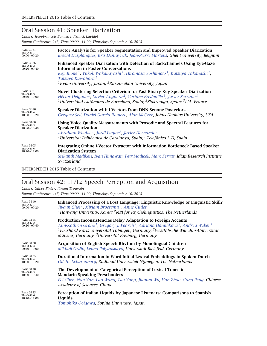### Oral Session 41: Speaker Diarization

*Chairs: Jean-François Bonastre, Itshack Lapidot Room: Conference 2+3, Time 09:00 – 11:00, Thursday, September 10, 2015*

| <b>PAGE 3081</b><br>$Thu-O-41-1$<br>$09:00 - 09:20$ | <b>Factor Analysis for Speaker Segmentation and Improved Speaker Diarization</b><br>Brecht Desplangues, Kris Demuynck, Jean-Pierre Martens, Ghent University, Belgium                                                                                                                                                                                                             |
|-----------------------------------------------------|-----------------------------------------------------------------------------------------------------------------------------------------------------------------------------------------------------------------------------------------------------------------------------------------------------------------------------------------------------------------------------------|
| <b>PAGE 3086</b><br>Thu-O-41-2<br>$09:20 - 09:40$   | <b>Enhanced Speaker Diarization with Detection of Backchannels Using Eye-Gaze</b><br><b>Information in Poster Conversations</b><br>Koji Inoue <sup>1</sup> , Yukoh Wakabayashi <sup>2</sup> , Hiromasa Yoshimoto <sup>1</sup> , Katsuya Takanashi <sup>1</sup> ,<br>Tatsuya Kawahara <sup>1</sup><br>${}^{1}$ Kyoto University, Japan; <sup>2</sup> Ritsumeikan University, Japan |
| <b>PAGE 3091</b><br>Thu-O-41-3<br>$09:40 - 10:00$   | Novel Clustering Selection Criterion for Fast Binary Key Speaker Diarization<br>Héctor Delgado <sup>1</sup> , Xavier Anguera <sup>2</sup> , Corinne Fredouille <sup>3</sup> , Javier Serrano <sup>1</sup><br><sup>1</sup> Universidad Autónoma de Barcelona, Spain; <sup>2</sup> Sinkronigo, Spain; <sup>3</sup> LIA, France                                                      |
| <b>PAGE 3096</b><br>Thu-O-41-4<br>$10:00 - 10:20$   | <b>Speaker Diarization with I-Vectors from DNN Senone Posteriors</b><br>Gregory Sell, Daniel Garcia-Romero, Alan McCree, Johns Hopkins University, USA                                                                                                                                                                                                                            |
| <b>PAGE 3100</b><br>Thu-O-41-5<br>$10:20 - 10:40$   | Using Voice-Quality Measurements with Prosodic and Spectral Features for<br><b>Speaker Diarization</b><br>Abraham Woubie <sup>1</sup> , Jordi Luque <sup>2</sup> , Javier Hernando <sup>1</sup><br><sup>1</sup> Universitat Politècnica de Catalunya, Spain; <sup>2</sup> Telefónica I+D, Spain                                                                                   |
| <b>PAGE 3105</b><br>Thu-O-41-6<br>$10:40 - 11:00$   | Integrating Online I-Vector Extractor with Information Bottleneck Based Speaker<br><b>Diarization System</b><br>Srikanth Madikeri, Ivan Himawan, Petr Motlicek, Marc Ferras, Idiap Research Institute,<br>Switzerland                                                                                                                                                             |

INTERSPEECH 2015 Table of Contents

### Oral Session 42: L1/L2 Speech Perception and Acquisition

*Chairs: Gábor Pintér, Jürgen Trouvain*

*Room: Conference 4+5, Time 09:00 – 11:00, Thursday, September 10, 2015*

| <b>PAGE 3110</b><br>Thu-O-42- $1$<br>$09:00 - 09:20$ | Enhanced Processing of a Lost Language: Linguistic Knowledge or Linguistic Skill?<br>Jiyoun Choi <sup>1</sup> , Mirjam Broersma <sup>2</sup> , Anne Cutler <sup>2</sup><br><sup>1</sup> Hanyang University, Korea; <sup>2</sup> MPI for Psycholinguistics, The Netherlands                                                                                                          |
|------------------------------------------------------|-------------------------------------------------------------------------------------------------------------------------------------------------------------------------------------------------------------------------------------------------------------------------------------------------------------------------------------------------------------------------------------|
| <b>PAGE 3115</b><br>Thu-O-42-2<br>$09:20 - 09:40$    | <b>Production Inconsistencies Delay Adaptation to Foreign Accents</b><br>Ann-Kathrin Grohe <sup>1</sup> , Gregory J. Poarch <sup>2</sup> , Adriana Hanulíková <sup>3</sup> , Andrea Weber <sup>1</sup><br><sup>1</sup> Eberhard Karls Universität Tübingen, Germany; <sup>2</sup> Westfälische Wilhelms-Universität<br>Münster, Germany; <sup>3</sup> Universität Freiburg, Germany |
| <b>PAGE 3120</b><br>Thu-O-42-3<br>$09:40 - 10:00$    | <b>Acquisition of English Speech Rhythm by Monolingual Children</b><br>Mikhail Ordin, Leona Polyanskaya, Universität Bielefeld, Germany                                                                                                                                                                                                                                             |
| <b>PAGE 3125</b><br>Thu-O-42-4<br>$10:00 - 10:20$    | Durational Information in Word-Initial Lexical Embeddings in Spoken Dutch<br>Odette Scharenborg, Radboud Universiteit Nijmegen, The Netherlands                                                                                                                                                                                                                                     |
| <b>PAGE 3130</b><br>Thu-O-42-5<br>$10:20 - 10:40$    | The Development of Categorical Perception of Lexical Tones in<br><b>Mandarin-Speaking Preschoolers</b><br>Fei Chen, Nan Yan, Lan Wang, Tao Yang, Jiantao Wu, Han Zhao, Gang Peng, Chinese<br>Academy of Sciences, China                                                                                                                                                             |
| <b>PAGE 3135</b><br>Thu-O-42-6<br>$10:40 - 11:00$    | Perception of Italian Liquids by Japanese Listeners: Comparisons to Spanish<br>Liquids<br>Tomohiko Ooigawa, Sophia University, Japan                                                                                                                                                                                                                                                |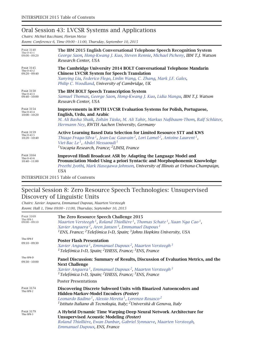### Oral Session 43: LVCSR Systems and Applications

*Chairs: Michiel Bacchiani, Florian Metze*

*Room: Conference 6, Time 09:00 – 11:00, Thursday, September 10, 2015*

| <b>PAGE 3140</b><br>Thu-O-43-1<br>$09:00 - 09:20$ | The IBM 2015 English Conversational Telephone Speech Recognition System<br>George Saon, Hong-Kwang J. Kuo, Steven Rennie, Michael Picheny, IBM T.J. Watson<br>Research Center, USA                                                                                                                                                         |
|---------------------------------------------------|--------------------------------------------------------------------------------------------------------------------------------------------------------------------------------------------------------------------------------------------------------------------------------------------------------------------------------------------|
| <b>PAGE 3145</b><br>Thu-O-43-2<br>$09:20 - 09:40$ | The Cambridge University 2014 BOLT Conversational Telephone Mandarin<br><b>Chinese LVCSR System for Speech Translation</b><br>Xunying Liu, Federico Flego, Linlin Wang, C. Zhang, Mark J.F. Gales,<br>Philip C. Woodland, University of Cambridge, UK                                                                                      |
| <b>PAGE 3150</b><br>Thu-O-43-3<br>$09:40 - 10:00$ | The IBM BOLT Speech Transcription System<br>Samuel Thomas, George Saon, Hong-Kwang J. Kuo, Lidia Mangu, IBM T.J. Watson<br>Research Center, USA                                                                                                                                                                                            |
| <b>PAGE 3154</b><br>Thu-O-43-4<br>$10:00 - 10:20$ | <b>Improvements in RWTH LVCSR Evaluation Systems for Polish, Portuguese,</b><br>English, Urdu, and Arabic<br>M. Ali Basha Shaik, Zoltán Tüske, M. Ali Tahir, Markus Nußbaum-Thom, Ralf Schlüter,<br>Hermann Ney, RWTH Aachen University, Germany                                                                                           |
| <b>PAGE 3159</b><br>Thu-O-43-5<br>$10:20 - 10:40$ | <b>Active Learning Based Data Selection for Limited Resource STT and KWS</b><br>Thiago Fraga-Silva <sup>1</sup> , Jean-Luc Gauvain <sup>2</sup> , Lori Lamel <sup>2</sup> , Antoine Laurent <sup>1</sup> ,<br>Viet-Bac Le <sup>1</sup> , Abdel Messaoudi <sup>1</sup><br><sup>1</sup> Vocapia Research, France; <sup>2</sup> LIMSI, France |
| <b>PAGE 3164</b><br>Thu-O-43-6<br>$10:40 - 11:00$ | Improved Hindi Broadcast ASR by Adapting the Language Model and<br>Pronunciation Model Using a priori Syntactic and Morphophonemic Knowledge<br>Preethi Jyothi, Mark Hasegawa-Johnson, University of Illinois at Urbana-Champaign,<br>USA                                                                                                  |
| INTERCRETCH $2015$ Table of Contrate              |                                                                                                                                                                                                                                                                                                                                            |

INTERSPEECH 2015 Table of Contents

### Special Session 8: Zero Resource Speech Technologies: Unsupervised Discovery of Linguistic Units

*Chairs: Xavier Anguera, Emmanuel Dupoux, Maarten Versteegh Room: Hall 1, Time 09:00 – 11:00, Thursday, September 10, 2015*

| The Zero Resource Speech Challenge 2015<br>Maarten Versteegh <sup>1</sup> , Roland Thiollière <sup>1</sup> , Thomas Schatz <sup>1</sup> , Xuan Nga Cao <sup>1</sup> ,<br>Xavier Anguera <sup>2</sup> , Aren Jansen <sup>3</sup> , Emmanuel Dupoux <sup>1</sup><br><sup>1</sup> ENS, France; <sup>2</sup> Telefónica I+D, Spain; <sup>3</sup> Johns Hopkins University, USA |
|----------------------------------------------------------------------------------------------------------------------------------------------------------------------------------------------------------------------------------------------------------------------------------------------------------------------------------------------------------------------------|
| <b>Poster Flash Presentation</b><br>Xavier Anguera <sup>1</sup> , Emmanuel Dupoux <sup>2</sup> , Maarten Versteegh <sup>3</sup><br><sup>1</sup> Telefónica I+D, Spain; <sup>2</sup> EHESS, France; <sup>3</sup> ENS, France                                                                                                                                                |
| Panel Discussion: Summary of Results, Discussion of Evaluation Metrics, and the<br><b>Next Challenge</b><br>Xavier Anguera <sup>1</sup> , Emmanuel Dupoux <sup>2</sup> , Maarten Versteegh <sup>3</sup><br><sup>1</sup> Telefónica I+D, Spain; <sup>2</sup> EHESS, France; <sup>3</sup> ENS, France                                                                        |
| <b>Poster Presentations</b>                                                                                                                                                                                                                                                                                                                                                |
| Discovering Discrete Subword Units with Binarized Autoencoders and<br>Hidden-Markov-Model Encoders (Poster)<br>Leonardo Badino <sup>1</sup> , Alessio Mereta <sup>1</sup> , Lorenzo Rosasco <sup>2</sup><br><sup>1</sup> Istituto Italiano di Tecnologia, Italy; <sup>2</sup> Università di Genova, Italy                                                                  |
| A Hybrid Dynamic Time Warping-Deep Neural Network Architecture for<br><b>Unsupervised Acoustic Modeling (Poster)</b><br>Roland Thiollière, Ewan Dunbar, Gabriel Synnaeve, Maarten Versteegh,<br>Emmanuel Dupoux, ENS, France                                                                                                                                               |
|                                                                                                                                                                                                                                                                                                                                                                            |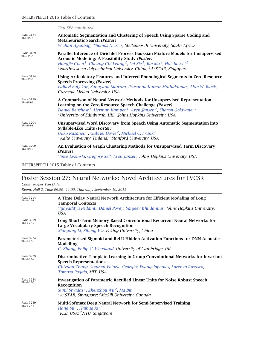|                               | Thu-SP8 continued                                                                                                                                                                                                                                                                                                                                                       |
|-------------------------------|-------------------------------------------------------------------------------------------------------------------------------------------------------------------------------------------------------------------------------------------------------------------------------------------------------------------------------------------------------------------------|
| <b>PAGE 3184</b><br>Thu-SP8-4 | Automatic Segmentation and Clustering of Speech Using Sparse Coding and<br><b>Metaheuristic Search (Poster)</b><br>Wiehan Agenbag, Thomas Niesler, Stellenbosch University, South Africa                                                                                                                                                                                |
| <b>PAGE 3189</b><br>Thu-SP8-5 | Parallel Inference of Dirichlet Process Gaussian Mixture Models for Unsupervised<br><b>Acoustic Modeling: A Feasibility Study (Poster)</b><br>Hongjie Chen <sup>1</sup> , Cheung-Chi Leung <sup>2</sup> , Lei Xie <sup>1</sup> , Bin Ma <sup>2</sup> , Haizhou Li <sup>2</sup><br><sup>1</sup> Northwestern Polytechnical University, China; ${}^{2}A*STAR$ , Singapore |
| <b>PAGE 3194</b><br>Thu-SP8-6 | <b>Using Articulatory Features and Inferred Phonological Segments in Zero Resource</b><br><b>Speech Processing (Poster)</b><br>Pallavi Baljekar, Sunayana Sitaram, Prasanna Kumar Muthukumar, Alan W. Black,<br>Carnegie Mellon University, USA                                                                                                                         |
| <b>PAGE 3199</b><br>Thu-SP8-7 | A Comparison of Neural Network Methods for Unsupervised Representation<br>Learning on the Zero Resource Speech Challenge (Poster)<br>Daniel Renshaw <sup>1</sup> , Herman Kamper <sup>1</sup> , Aren Jansen <sup>2</sup> , Sharon Goldwater <sup>1</sup><br><sup>1</sup> University of Edinburgh, UK; <sup>2</sup> Johns Hopkins University, USA                        |
| <b>PAGE 3204</b><br>Thu-SP8-8 | <b>Unsupervised Word Discovery from Speech Using Automatic Segmentation into</b><br>Syllable-Like Units (Poster)<br>Okko Räsänen <sup>1</sup> , Gabriel Doyle <sup>2</sup> , Michael C. Frank <sup>2</sup><br><sup>1</sup> Aalto University, Finland; <sup>2</sup> Stanford University, USA                                                                             |
| <b>PAGE 3209</b><br>Thu-SP8-9 | An Evaluation of Graph Clustering Methods for Unsupervised Term Discovery<br>(Poster)<br>Vince Lyzinski, Gregory Sell, Aren Jansen, Johns Hopkins University, USA                                                                                                                                                                                                       |

### Poster Session 27: Neural Networks: Novel Architectures for LVCSR

*Chair: Rogier Van Dalen*

*Room: Hall 2, Time 09:00 – 11:00, Thursday, September 10, 2015*

| <b>PAGE 3214</b><br>Thu-P-27-1 | A Time Delay Neural Network Architecture for Efficient Modeling of Long<br><b>Temporal Contexts</b><br>Vijayaditya Peddinti, Daniel Povey, Sanjeev Khudanpur, Johns Hopkins University,<br>USA                                                        |
|--------------------------------|-------------------------------------------------------------------------------------------------------------------------------------------------------------------------------------------------------------------------------------------------------|
| <b>PAGE 3219</b><br>Thu-P-27-2 | Long Short-Term Memory Based Convolutional Recurrent Neural Networks for<br><b>Large Vocabulary Speech Recognition</b><br>Xiangang Li, Xihong Wu, Peking University, China                                                                            |
| <b>PAGE 3224</b><br>Thu-P-27-3 | Parameterised Sigmoid and ReLU Hidden Activation Functions for DNN Acoustic<br>Modelling<br>C. Zhang, Philip C. Woodland, University of Cambridge, UK                                                                                                 |
| <b>PAGE 3229</b><br>Thu-P-27-4 | Discriminative Template Learning in Group-Convolutional Networks for Invariant<br><b>Speech Representations</b><br>Chiyuan Zhang, Stephen Voinea, Georgios Evangelopoulos, Lorenzo Rosasco,<br>Tomaso Poggio, MIT, USA                                |
| <b>PAGE 3234</b><br>Thu-P-27-5 | <b>Investigation of Parametric Rectified Linear Units for Noise Robust Speech</b><br>Recognition<br>Sunil Sivadas <sup>1</sup> , Zhenzhou Wu <sup>2</sup> , Ma Bin <sup>1</sup><br>${}^{1}A*STAR$ , Singapore; <sup>2</sup> McGill University, Canada |
| <b>PAGE 3239</b><br>Thu-P-27-6 | Multi-Softmax Deep Neural Network for Semi-Supervised Training<br>Hang Su <sup>1</sup> , Haihua Xu <sup>2</sup><br><sup>1</sup> ICSI, USA; <sup>2</sup> NTU, Singapore                                                                                |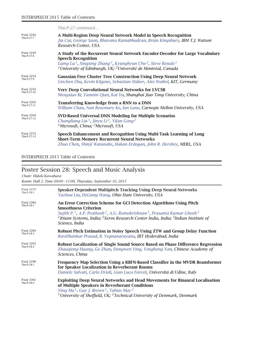|                                 | Thu-P-27 continued                                                                                                                                                                                                                                                                                                 |
|---------------------------------|--------------------------------------------------------------------------------------------------------------------------------------------------------------------------------------------------------------------------------------------------------------------------------------------------------------------|
| <b>PAGE 3244</b><br>Thu-P-27-7  | A Multi-Region Deep Neural Network Model in Speech Recognition<br>Jia Cui, George Saon, Bhuvana Ramabhadran, Brian Kingsbury, IBM T.J. Watson<br>Research Center, USA                                                                                                                                              |
| <b>PAGE 3249</b><br>Thu-P-27-8  | A Study of the Recurrent Neural Network Encoder-Decoder for Large Vocabulary<br><b>Speech Recognition</b><br>Liang Lu <sup>1</sup> , Xingxing Zhang <sup>1</sup> , Kyunghyun Cho <sup>2</sup> , Steve Renals <sup>1</sup><br><sup>1</sup> University of Edinburgh, UK; <sup>2</sup> Université de Montréal, Canada |
| <b>PAGE 3254</b><br>Thu-P-27-9  | <b>Gaussian Free Cluster Tree Construction Using Deep Neural Network</b><br>Linchen Zhu, Kevin Kilgour, Sebastian Stüker, Alex Waibel, KIT, Germany                                                                                                                                                                |
| <b>PAGE 3259</b><br>Thu-P-27-10 | <b>Very Deep Convolutional Neural Networks for LVCSR</b><br>Mengxiao Bi, Yanmin Qian, Kai Yu, Shanghai Jiao Tong University, China                                                                                                                                                                                 |
| <b>PAGE 3264</b><br>Thu-P-27-11 | Transferring Knowledge from a RNN to a DNN<br>William Chan, Nan Rosemary Ke, Ian Lane, Carnegie Mellon University, USA                                                                                                                                                                                             |
| <b>PAGE 3269</b><br>Thu-P-27-12 | SVD-Based Universal DNN Modeling for Multiple Scenarios<br>Changliang Liu <sup>1</sup> , Jinyu Li <sup>2</sup> , Yifan Gong <sup>2</sup><br><sup>1</sup> Microsoft, China; <sup>2</sup> Microsoft, USA                                                                                                             |
| <b>PAGE 3274</b><br>Thu-P-27-13 | Speech Enhancement and Recognition Using Multi-Task Learning of Long<br><b>Short-Term Memory Recurrent Neural Networks</b><br>Zhuo Chen, Shinji Watanabe, Hakan Erdogan, John R. Hershey, <b>MERL, USA</b>                                                                                                         |

# Poster Session 28: Speech and Music Analysis

*Chair: Hideki Kawahara*

*Room: Hall 2, Time 09:00 – 11:00, Thursday, September 10, 2015*

| <b>PAGE 3279</b><br>Thu-P-28-1 | Speaker-Dependent Multipitch Tracking Using Deep Neural Networks<br>Yuzhou Liu, DeLiang Wang, Ohio State University, USA                                                                                                                                                                                                                                                  |
|--------------------------------|---------------------------------------------------------------------------------------------------------------------------------------------------------------------------------------------------------------------------------------------------------------------------------------------------------------------------------------------------------------------------|
| <b>PAGE 3284</b><br>Thu-P-28-2 | An Error Correction Scheme for GCI Detection Algorithms Using Pitch<br><b>Smoothness Criterion</b><br>Sujith P. <sup>1</sup> , A.P. Prathosh <sup>2</sup> , A.G. Ramakrishnan <sup>3</sup> , Prasanta Kumar Ghosh <sup>3</sup><br><sup>1</sup> Ittiam Systems, India; <sup>2</sup> Xerox Research Center India, India; <sup>3</sup> Indian Institute of<br>Science, India |
| <b>PAGE 3289</b><br>Thu-P-28-3 | Robust Pitch Estimation in Noisy Speech Using ZTW and Group Delay Function<br>RaviShankar Prasad, B. Yegnanarayana, IIIT Hyderabad, India                                                                                                                                                                                                                                 |
| <b>PAGE 3293</b><br>Thu-P-28-4 | Robust Localization of Single Sound Source Based on Phase Difference Regression<br>Zhaoqiong Huang, Ge Zhan, Dongwen Ying, Yonghong Yan, Chinese Academy of<br>Sciences, China                                                                                                                                                                                            |
| <b>PAGE 3298</b><br>Thu-P-28-5 | Frequency Map Selection Using a RBFN-Based Classifier in the MVDR Beamformer<br>for Speaker Localization in Reverberant Rooms<br>Daniele Salvati, Carlo Drioli, Gian Luca Foresti, Università di Udine, Italy                                                                                                                                                             |
| <b>PAGE 3302</b><br>Thu-P-28-6 | <b>Exploiting Deep Neural Networks and Head Movements for Binaural Localisation</b><br>of Multiple Speakers in Reverberant Conditions<br>Ning Ma <sup>1</sup> , Guy J. Brown <sup>1</sup> , Tobias May <sup>2</sup><br><sup>1</sup> University of Sheffield, UK; <sup>2</sup> Technical University of Denmark, Denmark                                                    |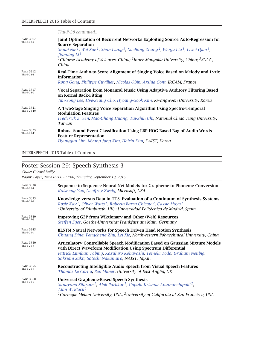|                                 | Thu-P-28 continued                                                                                                                                                                                                                                                                                                                                                                                                                  |
|---------------------------------|-------------------------------------------------------------------------------------------------------------------------------------------------------------------------------------------------------------------------------------------------------------------------------------------------------------------------------------------------------------------------------------------------------------------------------------|
| <b>PAGE 3307</b><br>Thu-P-28-7  | Joint Optimization of Recurrent Networks Exploiting Source Auto-Regression for<br><b>Source Separation</b><br>Shuai Nie <sup>1</sup> , Wei Xue <sup>1</sup> , Shan Liang <sup>1</sup> , Xueliang Zhang <sup>2</sup> , Wenju Liu <sup>1</sup> , Liwei Qiao <sup>3</sup> ,<br>Jianping Li <sup>3</sup><br><sup>1</sup> Chinese Academy of Sciences, China; <sup>2</sup> Inner Mongolia University, China; <sup>3</sup> SGCC,<br>China |
| <b>PAGE 3312</b><br>Thu-P-28-8  | Real-Time Audio-to-Score Alignment of Singing Voice Based on Melody and Lyric<br><b>Information</b><br>Rong Gong, Philippe Cuvillier, Nicolas Obin, Arshia Cont, IRCAM, France                                                                                                                                                                                                                                                      |
| <b>PAGE 3317</b><br>Thu-P-28-9  | Vocal Separation from Monaural Music Using Adaptive Auditory Filtering Based<br>on Kernel Back-Fitting<br>Jun-Yong Lee, Hye-Seung Cho, Hyoung-Gook Kim, Kwangwoon University, Korea                                                                                                                                                                                                                                                 |
| <b>PAGE 3321</b><br>Thu-P-28-10 | A Two-Stage Singing Voice Separation Algorithm Using Spectro-Temporal<br><b>Modulation Features</b><br>Frederick Z. Yen, Mao-Chang Huang, Tai-Shih Chi, National Chiao Tung University,<br>Taiwan                                                                                                                                                                                                                                   |
| <b>PAGE 3325</b><br>Thu-P-28-11 | Robust Sound Event Classification Using LBP-HOG Based Bag-of-Audio-Words<br><b>Feature Representation</b><br>Hyungjun Lim, Myung Jong Kim, Hoirin Kim, KAIST, Korea                                                                                                                                                                                                                                                                 |

# Poster Session 29: Speech Synthesis 3

*Chair: Gérard Bailly*

*Room: Foyer, Time 09:00 – 11:00, Thursday, September 10, 2015*

| <b>PAGE 3330</b>               | Sequence-to-Sequence Neural Net Models for Grapheme-to-Phoneme Conversion                                                                                                                                                                                                                                |
|--------------------------------|----------------------------------------------------------------------------------------------------------------------------------------------------------------------------------------------------------------------------------------------------------------------------------------------------------|
| Thu-P-29-1                     | Kaisheng Yao, Geoffrey Zweig, Microsoft, USA                                                                                                                                                                                                                                                             |
| <b>PAGE 3335</b><br>Thu-P-29-2 | Knowledge versus Data in TTS: Evaluation of a Continuum of Synthesis Systems<br>Rosie Kay <sup>1</sup> , Oliver Watts <sup>1</sup> , Roberto Barra Chicote <sup>2</sup> , Cassie Mayo <sup>1</sup><br><sup>1</sup> University of Edinburgh, UK; <sup>2</sup> Universidad Politécnica de Madrid, Spain    |
| <b>PAGE 3340</b>               | <b>Improving G2P from Wiktionary and Other (Web) Resources</b>                                                                                                                                                                                                                                           |
| Thu-P-29-3                     | Steffen Eger, Goethe-Universität Frankfurt am Main, Germany                                                                                                                                                                                                                                              |
| <b>PAGE 3345</b>               | <b>BLSTM Neural Networks for Speech Driven Head Motion Synthesis</b>                                                                                                                                                                                                                                     |
| Thu-P-29-4                     | Chuang Ding, Pengcheng Zhu, Lei Xie, Northwestern Polytechnical University, China                                                                                                                                                                                                                        |
| <b>PAGE 3350</b><br>Thu-P-29-5 | <b>Articulatory Controllable Speech Modification Based on Gaussian Mixture Models</b><br>with Direct Waveform Modification Using Spectrum Differential<br>Patrick Lumban Tobing, Kazuhiro Kobayashi, Tomoki Toda, Graham Neubig,<br>Sakriani Sakti, Satoshi Nakamura, NAIST, Japan                       |
| <b>PAGE 3355</b>               | <b>Reconstructing Intelligible Audio Speech from Visual Speech Features</b>                                                                                                                                                                                                                              |
| Thu-P-29-6                     | Thomas Le Cornu, Ben Milner, University of East Anglia, UK                                                                                                                                                                                                                                               |
| <b>PAGE 3360</b><br>Thu-P-29-7 | <b>Universal Grapheme-Based Speech Synthesis</b><br>Sunayana Sitaram <sup>1</sup> , Alok Parlikar <sup>1</sup> , Gopala Krishna Anumanchipalli <sup>2</sup> ,<br>Alan W. Black <sup>1</sup><br><sup>1</sup> Carnegie Mellon University, USA; <sup>2</sup> University of California at San Francisco, USA |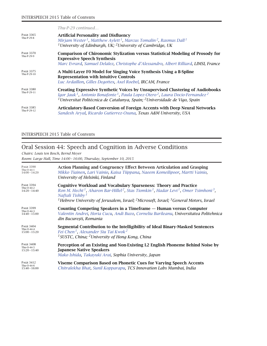|                                 | $Thu-P-29$ continued                                                                                                                                                                                                                                                                                                        |
|---------------------------------|-----------------------------------------------------------------------------------------------------------------------------------------------------------------------------------------------------------------------------------------------------------------------------------------------------------------------------|
| <b>PAGE 3365</b><br>Thu-P-29-8  | <b>Artificial Personality and Disfluency</b><br>Mirjam Wester <sup>1</sup> , Matthew Aylett <sup>1</sup> , Marcus Tomalin <sup>2</sup> , Rasmus Dall <sup>1</sup><br><sup>1</sup> University of Edinburgh, UK; <sup>2</sup> University of Cambridge, UK                                                                     |
| <b>PAGE 3370</b><br>Thu-P-29-9  | <b>Comparison of Chironomic Stylization versus Statistical Modeling of Prosody for</b><br><b>Expressive Speech Synthesis</b><br>Marc Evrard, Samuel Delalez, Christophe d'Alessandro, Albert Rilliard, LIMSI, France                                                                                                        |
| <b>PAGE 3375</b><br>Thu-P-29-10 | A Multi-Layer F0 Model for Singing Voice Synthesis Using a B-Spline<br><b>Representation with Intuitive Controls</b><br>Luc Ardaillon, Gilles Degottex, Axel Roebel, IRCAM, France                                                                                                                                          |
| <b>PAGE 3380</b><br>Thu-P-29-11 | <b>Creating Expressive Synthetic Voices by Unsupervised Clustering of Audiobooks</b><br>Igor Jauk <sup>1</sup> , Antonio Bonafonte <sup>1</sup> , Paula Lopez-Otero <sup>2</sup> , Laura Docio-Fernandez <sup>2</sup><br><sup>1</sup> Universitat Politècnica de Catalunya, Spain; <sup>2</sup> Universidade de Vigo, Spain |
| <b>PAGE 3385</b><br>Thu-P-29-12 | Articulatory-Based Conversion of Foreign Accents with Deep Neural Networks<br>Sandesh Aryal, Ricardo Gutierrez-Osuna, Texas A&M University, USA                                                                                                                                                                             |

# Oral Session 44: Speech and Cognition in Adverse Conditions

*Chairs: Louis ten Bosch, Bernd Meyer*

*Room: Large Hall, Time 14:00 – 16:00, Thursday, September 10, 2015*

| <b>PAGE 3390</b>                                  | Action Planning and Congruency Effect Between Articulation and Grasping                                                                                                                                                                                                                                                                                                                |
|---------------------------------------------------|----------------------------------------------------------------------------------------------------------------------------------------------------------------------------------------------------------------------------------------------------------------------------------------------------------------------------------------------------------------------------------------|
| Thu-O-44- $1$                                     | Mikko Tiainen, Lari Vainio, Kaisa Tiippana, Naeem Komeilipoor, Martti Vainio,                                                                                                                                                                                                                                                                                                          |
| $14:00 - 14:20$                                   | University of Helsinki, Finland                                                                                                                                                                                                                                                                                                                                                        |
| <b>PAGE 3394</b><br>Thu-O-44-2<br>$14:20 - 14:40$ | <b>Cognitive Workload and Vocabulary Sparseness: Theory and Practice</b><br>Ron M. Hecht <sup>1</sup> , Aharon Bar-Hillel <sup>2</sup> , Stas Tiomkin <sup>1</sup> , Hadar Levi <sup>1</sup> , Omer Tsimhoni <sup>3</sup> ,<br>Naftali Tishby <sup>1</sup><br><sup>1</sup> Hebrew University of Jerusalem, Israel; <sup>2</sup> Microsoft, Israel; <sup>3</sup> General Motors, Israel |
| <b>PAGE 3399</b>                                  | Counting Competing Speakers in a Timeframe — Human versus Computer                                                                                                                                                                                                                                                                                                                     |
| Thu-O-44-3                                        | Valentin Andrei, Horia Cucu, Andi Buzo, Corneliu Burileanu, Universitatea Politehnica                                                                                                                                                                                                                                                                                                  |
| $14:40 - 15:00$                                   | din București, Romania                                                                                                                                                                                                                                                                                                                                                                 |
| <b>PAGE 3404</b>                                  | Segmental Contribution to the Intelligibility of Ideal Binary-Masked Sentences                                                                                                                                                                                                                                                                                                         |
| Thu-O-44-4                                        | Fei Chen <sup>1</sup> , Alexander Siu Tai Kwok <sup>2</sup>                                                                                                                                                                                                                                                                                                                            |
| $15:00 - 15:20$                                   | <sup>1</sup> SUSTC, China; <sup>2</sup> University of Hong Kong, China                                                                                                                                                                                                                                                                                                                 |
| <b>PAGE 3408</b>                                  | Perception of an Existing and Non-Existing L2 English Phoneme Behind Noise by                                                                                                                                                                                                                                                                                                          |
| Thu-O-44-5                                        | <b>Japanese Native Speakers</b>                                                                                                                                                                                                                                                                                                                                                        |
| $15:20 - 15:40$                                   | Mako Ishida, Takayuki Arai, Sophia University, Japan                                                                                                                                                                                                                                                                                                                                   |
| <b>PAGE 3412</b><br>Thu-O-44-6<br>$15:40 - 16:00$ | Viseme Comparison Based on Phonetic Cues for Varying Speech Accents<br>Chitralekha Bhat, Sunil Kopparapu, TCS Innovation Labs Mumbai, India                                                                                                                                                                                                                                            |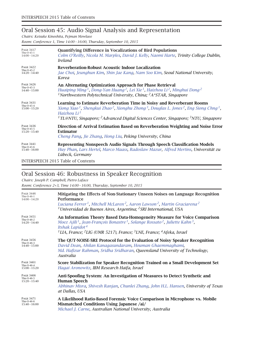## Oral Session 45: Audio Signal Analysis and Representation

*Chairs: Keisuke Kinoshita, Pejman Mowlaee Room: Conference 1, Time 14:00 – 16:00, Thursday, September 10, 2015*

| <b>PAGE 3417</b>                                  | <b>Quantifying Difference in Vocalizations of Bird Populations</b>                                                                                                                                                                                                                                                                                                              |
|---------------------------------------------------|---------------------------------------------------------------------------------------------------------------------------------------------------------------------------------------------------------------------------------------------------------------------------------------------------------------------------------------------------------------------------------|
| Thu-O-45-1                                        | Colm O'Reilly, Nicola M. Marples, David J. Kelly, Naomi Harte, Trinity College Dublin,                                                                                                                                                                                                                                                                                          |
| $14:00 - 14:20$                                   | <i>Ireland</i>                                                                                                                                                                                                                                                                                                                                                                  |
| <b>PAGE 3422</b>                                  | <b>Reverberation-Robust Acoustic Indoor Localization</b>                                                                                                                                                                                                                                                                                                                        |
| Thu-O-45-2                                        | Jae Choi, Jeunghun Kim, Shin Jae Kang, Nam Soo Kim, Seoul National University,                                                                                                                                                                                                                                                                                                  |
| $14:20 - 14:40$                                   | Korea                                                                                                                                                                                                                                                                                                                                                                           |
| <b>PAGE 3426</b>                                  | An Alternating Optimization Approach for Phase Retrieval                                                                                                                                                                                                                                                                                                                        |
| Thu-O-45-3                                        | Huaiping Ming <sup>1</sup> , Dong-Yan Huang <sup>2</sup> , Lei Xie <sup>1</sup> , Haizhou Li <sup>2</sup> , Minghui Dong <sup>2</sup>                                                                                                                                                                                                                                           |
| $14:40 - 15:00$                                   | <sup>1</sup> Northwestern Polytechnical University, China; ${}^{2}A*STAR$ , Singapore                                                                                                                                                                                                                                                                                           |
| <b>PAGE 3431</b><br>Thu-O-45-4<br>$15:00 - 15:20$ | Learning to Estimate Reverberation Time in Noisy and Reverberant Rooms<br>Xiong Xiao <sup>1</sup> , Shengkui Zhao <sup>2</sup> , Xionghu Zhong <sup>3</sup> , Douglas L. Jones <sup>2</sup> , Eng Siong Chng <sup>1</sup> ,<br>Haizhou Li <sup>1</sup><br><sup>1</sup> TL@NTU, Singapore; <sup>2</sup> Advanced Digital Sciences Center, Singapore; <sup>3</sup> NTU, Singapore |
| <b>PAGE 3436</b>                                  | Direction of Arrival Estimation Based on Reverberation Weighting and Noise Error                                                                                                                                                                                                                                                                                                |
| Thu-O-45-5                                        | <b>Estimator</b>                                                                                                                                                                                                                                                                                                                                                                |
| $15:20 - 15:40$                                   | Cheng Pang, Jie Zhang, Hong Liu, Peking University, China                                                                                                                                                                                                                                                                                                                       |
| <b>PAGE 3441</b>                                  | <b>Representing Nonspeech Audio Signals Through Speech Classification Models</b>                                                                                                                                                                                                                                                                                                |
| Thu-O-45-6                                        | Huy Phan, Lars Hertel, Marco Maass, Radoslaw Mazur, Alfred Mertins, Universität zu                                                                                                                                                                                                                                                                                              |
| $15:40 - 16:00$                                   | Lübeck, Germany                                                                                                                                                                                                                                                                                                                                                                 |

INTERSPEECH 2015 Table of Contents

## Oral Session 46: Robustness in Speaker Recognition

*Chairs: Joseph P. Campbell, Pietro Laface*

*Room: Conference 2+3, Time 14:00 – 16:00, Thursday, September 10, 2015*

| <b>PAGE 3446</b><br>Thu-O-46-1<br>$14:00 - 14:20$ | Mitigating the Effects of Non-Stationary Unseen Noises on Language Recognition<br>Performance<br>Luciana Ferrer <sup>1</sup> , Mitchell McLaren <sup>2</sup> , Aaron Lawson <sup>2</sup> , Martin Graciarena <sup>2</sup><br><sup>1</sup> Universidad de Buenos Aires, Argentina; <sup>2</sup> SRI International, USA                                          |
|---------------------------------------------------|----------------------------------------------------------------------------------------------------------------------------------------------------------------------------------------------------------------------------------------------------------------------------------------------------------------------------------------------------------------|
| <b>PAGE 3451</b><br>Thu-O-46-2<br>$14:20 - 14:40$ | An Information Theory Based Data-Homogeneity Measure for Voice Comparison<br>Moez Ajili <sup>1</sup> , Jean-François Bonastre <sup>1</sup> , Solange Rossato <sup>2</sup> , Juliette Kahn <sup>3</sup> ,<br>Itshak Lapidot <sup>4</sup><br><sup>1</sup> LIA, France; <sup>2</sup> LIG (UMR 5217), France; <sup>3</sup> LNE, France; <sup>4</sup> Afeka, Israel |
| <b>PAGE 3456</b><br>Thu-O-46-3<br>$14:40 - 15:00$ | The QUT-NOISE-SRE Protocol for the Evaluation of Noisy Speaker Recognition<br>David Dean, Ahilan Kanagasundaram, Houman Ghaemmaghami,<br>Md. Hafizur Rahman, Sridha Sridharan, Queensland University of Technology,<br>Australia                                                                                                                               |
| <b>PAGE 3461</b><br>Thu-O-46-4<br>$15:00 - 15:20$ | Score Stabilization for Speaker Recognition Trained on a Small Development Set<br>Hagai Aronowitz, IBM Research Haifa, Israel                                                                                                                                                                                                                                  |
| <b>PAGE 3466</b><br>Thu-O-46-5<br>$15:20 - 15:40$ | Anti-Spoofing System: An Investigation of Measures to Detect Synthetic and<br><b>Human Speech</b><br>Abhinav Misra, Shivesh Ranjan, Chunlei Zhang, John H.L. Hansen, University of Texas<br>at Dallas, USA                                                                                                                                                     |
| <b>PAGE 3471</b><br>Thu-O-46-6<br>$15:40 - 16:00$ | A Likelihood Ratio-Based Forensic Voice Comparison in Microphone vs. Mobile<br>Mismatched Conditions Using Japanese /ai/<br>Michael J. Carne, Australian National University, Australia                                                                                                                                                                        |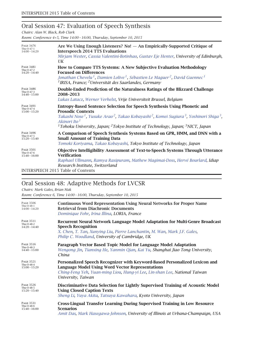# Oral Session 47: Evaluation of Speech Synthesis

*Chairs: Alan W. Black, Rob Clark*

*Room: Conference 4+5, Time 14:00 – 16:00, Thursday, September 10, 2015*

| <b>PAGE 3476</b><br>Thu-O-47-1<br>$14:00 - 14:20$ | Are We Using Enough Listeners? $\text{No!}$ $-$ An Empirically-Supported Critique of<br><b>Interspeech 2014 TTS Evaluations</b><br>Mirjam Wester, Cassia Valentini-Botinhao, Gustav Eje Henter, University of Edinburgh,<br>$\overline{UK}$                                                                                                                                                                        |
|---------------------------------------------------|--------------------------------------------------------------------------------------------------------------------------------------------------------------------------------------------------------------------------------------------------------------------------------------------------------------------------------------------------------------------------------------------------------------------|
| <b>PAGE 3481</b><br>Thu-O-47-2<br>$14:20 - 14:40$ | How to Compare TTS Systems: A New Subjective Evaluation Methodology<br><b>Focused on Differences</b><br>Jonathan Chevelu <sup>1</sup> , Damien Lolive <sup>1</sup> , Sébastien Le Maguer <sup>2</sup> , David Guennec <sup>1</sup><br><sup>1</sup> IRISA, France; <sup>2</sup> Universität des Saarlandes, Germany                                                                                                 |
| <b>PAGE 3486</b><br>Thu-O-47-3<br>$14:40 - 15:00$ | Double-Ended Prediction of the Naturalness Ratings of the Blizzard Challenge<br>2008-2013<br>Lukas Latacz, Werner Verhelst, Vrije Universiteit Brussel, Belgium                                                                                                                                                                                                                                                    |
| <b>PAGE 3491</b><br>Thu-O-47-4<br>$15:00 - 15:20$ | <b>Entropy-Based Sentence Selection for Speech Synthesis Using Phonetic and</b><br><b>Prosodic Contexts</b><br>Takashi Nose <sup>1</sup> , Yusuke Arao <sup>2</sup> , Takao Kobayashi <sup>2</sup> , Komei Sugiura <sup>3</sup> , Yoshinori Shiga <sup>3</sup> ,<br>Akinori Ito <sup>1</sup><br><sup>1</sup> Tohoku University, Japan; <sup>2</sup> Tokyo Institute of Technology, Japan; <sup>3</sup> NICT, Japan |
| <b>PAGE 3496</b><br>Thu-O-47-5<br>$15:20 - 15:40$ | A Comparison of Speech Synthesis Systems Based on GPR, HMM, and DNN with a<br><b>Small Amount of Training Data</b><br>Tomoki Koriyama, Takao Kobayashi, Tokyo Institute of Technology, Japan                                                                                                                                                                                                                       |
| <b>PAGE 3501</b><br>Thu-O-47-6<br>$15:40 - 16:00$ | <b>Objective Intelligibility Assessment of Text-to-Speech Systems Through Utterance</b><br><b>Verification</b><br>Raphael Ullmann, Ramya Rasipuram, Mathew Magimai-Doss, Hervé Bourlard, Idiap<br>Research Institute, Switzerland                                                                                                                                                                                  |
|                                                   | <b>INTERSPEECH 2015 Table of Contents</b>                                                                                                                                                                                                                                                                                                                                                                          |

# Oral Session 48: Adaptive Methods for LVCSR

#### *Chairs: Mark Gales, Brian Mak*

*Room: Conference 6, Time 14:00 – 16:00, Thursday, September 10, 2015*

| <b>PAGE 3506</b>                                  | <b>Continuous Word Representation Using Neural Networks for Proper Name</b>                                                                                                                                                               |
|---------------------------------------------------|-------------------------------------------------------------------------------------------------------------------------------------------------------------------------------------------------------------------------------------------|
| Thu-O-48-1                                        | <b>Retrieval from Diachronic Documents</b>                                                                                                                                                                                                |
| $14:00 - 14:20$                                   | Dominique Fohr, Irina Illina, LORIA, France                                                                                                                                                                                               |
| <b>PAGE 3511</b><br>Thu-O-48-2<br>$14:20 - 14:40$ | Recurrent Neural Network Language Model Adaptation for Multi-Genre Broadcast<br><b>Speech Recognition</b><br>X. Chen, T. Tan, Xunying Liu, Pierre Lanchantin, M. Wan, Mark J.F. Gales,<br>Philip C. Woodland, University of Cambridge, UK |
| <b>PAGE 3516</b>                                  | Paragraph Vector Based Topic Model for Language Model Adaptation                                                                                                                                                                          |
| Thu-O-48-3                                        | Wengong Jin, Tianxing He, Yanmin Qian, Kai Yu, Shanghai Jiao Tong University,                                                                                                                                                             |
| $14:40 - 15:00$                                   | China                                                                                                                                                                                                                                     |
| <b>PAGE 3521</b><br>Thu-O-48-4<br>$15:00 - 15:20$ | Personalized Speech Recognizer with Keyword-Based Personalized Lexicon and<br><b>Language Model Using Word Vector Representations</b><br>Ching-Feng Yeh, Yuan-ming Liou, Hung-yi Lee, Lin-shan Lee, National Taiwan<br>University, Taiwan |
| <b>PAGE 3526</b>                                  | Discriminative Data Selection for Lightly Supervised Training of Acoustic Model                                                                                                                                                           |
| Thu-O-48-5                                        | <b>Using Closed Caption Texts</b>                                                                                                                                                                                                         |
| $15:20 - 15:40$                                   | Sheng Li, Yuya Akita, Tatsuya Kawahara, Kyoto University, Japan                                                                                                                                                                           |
| <b>PAGE 3531</b>                                  | <b>Cross-Lingual Transfer Learning During Supervised Training in Low Resource</b>                                                                                                                                                         |
| Thu-O-48-6                                        | <b>Scenarios</b>                                                                                                                                                                                                                          |
| $15:40 - 16:00$                                   | Amit Das, Mark Hasegawa-Johnson, University of Illinois at Urbana-Champaign, USA                                                                                                                                                          |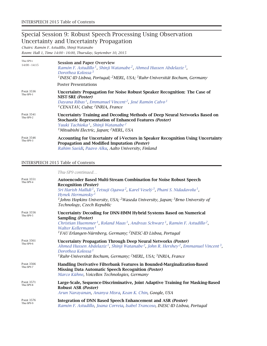### Special Session 9: Robust Speech Processing Using Observation Uncertainty and Uncertainty Propagation

*Chairs: Ramón F. Astudillo, Shinji Watanabe*

*Room: Hall 1, Time 14:00 – 16:00, Thursday, September 10, 2015*

| Thu-SP9-i<br>$14:00 - 14:15$  | <b>Session and Paper Overview</b><br>Ramón F. Astudillo <sup>1</sup> , Shinji Watanabe <sup>2</sup> , Ahmed Hussen Abdelaziz <sup>3</sup> ,<br>Dorothea Kolossa <sup>3</sup><br><sup>1</sup> INESC-ID Lisboa, Portugal; <sup>2</sup> MERL, USA; <sup>3</sup> Ruhr-Universität Bochum, Germany |
|-------------------------------|-----------------------------------------------------------------------------------------------------------------------------------------------------------------------------------------------------------------------------------------------------------------------------------------------|
|                               | <b>Poster Presentations</b>                                                                                                                                                                                                                                                                   |
| <b>PAGE 3536</b><br>Thu-SP9-1 | Uncertainty Propagation for Noise Robust Speaker Recognition: The Case of<br>NIST-SRE (Poster)<br>Dayana Ribas <sup>1</sup> , Emmanuel Vincent <sup>2</sup> , José Ramón Calvo <sup>1</sup><br><sup>1</sup> CENATAV, Cuba; <sup>2</sup> INRIA, France                                         |
| <b>PAGE 3541</b><br>Thu-SP9-2 | Uncertainty Training and Decoding Methods of Deep Neural Networks Based on<br><b>Stochastic Representation of Enhanced Features (Poster)</b><br>Yuuki Tachioka <sup>1</sup> , Shinji Watanabe <sup>2</sup><br><sup>1</sup> Mitsubishi Electric, Japan; <sup>2</sup> MERL, USA                 |
| <b>PAGE 3546</b><br>Thu-SP9-3 | Accounting for Uncertainty of i-Vectors in Speaker Recognition Using Uncertainty<br>Propagation and Modified Imputation (Poster)<br>Rahim Saeidi, Paavo Alku, Aalto University, Finland                                                                                                       |

#### INTERSPEECH 2015 Table of Contents

|                               | Thu-SP9 continued                                                                                                                                                                                                                                                                                                                                                                                                      |
|-------------------------------|------------------------------------------------------------------------------------------------------------------------------------------------------------------------------------------------------------------------------------------------------------------------------------------------------------------------------------------------------------------------------------------------------------------------|
| <b>PAGE 3551</b><br>Thu-SP9-4 | Autoencoder Based Multi-Stream Combination for Noise Robust Speech<br><b>Recognition (Poster)</b><br>Sri Harish Mallidi <sup>1</sup> , Tetsuji Ogawa <sup>2</sup> , Karel Veselý <sup>3</sup> , Phani S. Nidadavolu <sup>1</sup> ,<br>Hynek Hermansky <sup>1</sup><br><sup>1</sup> Johns Hopkins University, USA; <sup>2</sup> Waseda University, Japan; <sup>3</sup> Brno University of<br>Technology, Czech Republic |
| <b>PAGE 3556</b><br>Thu-SP9-5 | <b>Uncertainty Decoding for DNN-HMM Hybrid Systems Based on Numerical</b><br>Sampling (Poster)<br>Christian Huemmer <sup>1</sup> , Roland Maas <sup>1</sup> , Andreas Schwarz <sup>1</sup> , Ramón F. Astudillo <sup>2</sup> ,<br>Walter Kellermann <sup>1</sup><br><sup>1</sup> FAU Erlangen-Nürnberg, Germany; <sup>2</sup> INESC-ID Lisboa, Portugal                                                                |
| <b>PAGE 3561</b><br>Thu-SP9-6 | <b>Uncertainty Propagation Through Deep Neural Networks (Poster)</b><br>Ahmed Hussen Abdelaziz <sup>1</sup> , Shinji Watanabe <sup>2</sup> , John R. Hershey <sup>2</sup> , Emmanuel Vincent <sup>3</sup> ,<br>Dorothea Kolossa <sup>1</sup><br><sup>1</sup> Ruhr-Universität Bochum, Germany; <sup>2</sup> MERL, USA; <sup>3</sup> INRIA, France                                                                      |
| <b>PAGE 3566</b><br>Thu-SP9-7 | Handling Derivative Filterbank Features in Bounded-Marginalization-Based<br><b>Missing Data Automatic Speech Recognition (Poster)</b><br>Marco Kühne, VoiceBox Technologies, Germany                                                                                                                                                                                                                                   |
| <b>PAGE 3571</b><br>Thu-SP9-8 | Large-Scale, Sequence-Discriminative, Joint Adaptive Training for Masking-Based<br>Robust ASR (Poster)<br>Arun Narayanan, Ananya Misra, Kean K. Chin, Google, USA                                                                                                                                                                                                                                                      |
| <b>PAGE 3576</b><br>Thu-SP9-9 | Integration of DNN Based Speech Enhancement and ASR (Poster)<br>Ramón F. Astudillo, Joana Correia, Isabel Trancoso, INESC-ID Lisboa, Portugal                                                                                                                                                                                                                                                                          |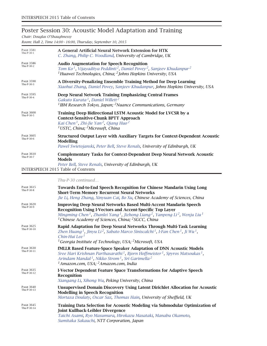## Poster Session 30: Acoustic Model Adaptation and Training

*Chair: Douglas O'Shaughnessy*

*Room: Hall 2, Time 14:00 – 16:00, Thursday, September 10, 2015*

| Page 3581<br>Thu-P-30-1         | A General Artificial Neural Network Extension for HTK<br>C. Zhang, Philip C. Woodland, University of Cambridge, UK                                                                                                                                                                                                                                                  |
|---------------------------------|---------------------------------------------------------------------------------------------------------------------------------------------------------------------------------------------------------------------------------------------------------------------------------------------------------------------------------------------------------------------|
| Page 3586<br>Thu-P-30-2         | <b>Audio Augmentation for Speech Recognition</b><br>Tom Ko <sup>1</sup> , Vijayaditya Peddinti <sup>2</sup> , Daniel Povey <sup>2</sup> , Sanjeev Khudanpur <sup>2</sup><br><sup>1</sup> Huawei Technologies, China; $^2$ Johns Hopkins University, USA                                                                                                             |
| Page 3590<br>Thu-P-30-3         | A Diversity-Penalizing Ensemble Training Method for Deep Learning<br>Xiaohui Zhang, Daniel Povey, Sanjeev Khudanpur, Johns Hopkins University, USA                                                                                                                                                                                                                  |
| Page 3595<br>Thu-P-30-4         | Deep Neural Network Training Emphasizing Central Frames<br>Gakuto Kurata <sup>1</sup> , Daniel Willett <sup>2</sup><br><sup>1</sup> IBM Research Tokyo, Japan; <sup>2</sup> Nuance Communications, Germany                                                                                                                                                          |
| <b>PAGE 3600</b><br>Thu-P-30-5  | Training Deep Bidirectional LSTM Acoustic Model for LVCSR by a<br><b>Context-Sensitive-Chunk BPTT Approach</b><br>Kai Chen <sup>1</sup> , Zhi-Jie Yan <sup>2</sup> , Qiang Huo <sup>2</sup><br><sup>1</sup> USTC, China; <sup>2</sup> Microsoft, China                                                                                                              |
| <b>PAGE 3605</b><br>Thu-P-30-6  | <b>Structured Output Layer with Auxiliary Targets for Context-Dependent Acoustic</b><br><b>Modelling</b><br>Pawel Swietojanski, Peter Bell, Steve Renals, University of Edinburgh, UK                                                                                                                                                                               |
| <b>PAGE 3610</b><br>Thu-P-30-7  | <b>Complementary Tasks for Context-Dependent Deep Neural Network Acoustic</b><br><b>Models</b><br>Peter Bell, Steve Renals, University of Edinburgh, UK                                                                                                                                                                                                             |
|                                 | <b>INTERSPEECH 2015 Table of Contents</b>                                                                                                                                                                                                                                                                                                                           |
|                                 | Thu-P-30 continued                                                                                                                                                                                                                                                                                                                                                  |
| PAGE 3615<br>Thu-P-30-8         | <b>Towards End-to-End Speech Recognition for Chinese Mandarin Using Long</b><br><b>Short-Term Memory Recurrent Neural Networks</b><br>Jie Li, Heng Zhang, Xinyuan Cai, Bo Xu, Chinese Academy of Sciences, China                                                                                                                                                    |
| <b>PAGE 3620</b><br>Thu-P-30-9  | <b>Improving Deep Neural Networks Based Multi-Accent Mandarin Speech</b><br><b>Recognition Using I-Vectors and Accent-Specific Top Layer</b><br>Mingming Chen <sup>1</sup> , Zhanlei Yang <sup>1</sup> , Jizhong Liang <sup>2</sup> , Yanpeng Li <sup>2</sup> , Wenju Liu <sup>1</sup><br><sup>1</sup> Chinese Academy of Sciences, China; <sup>2</sup> SGCC, China |
| <b>PAGE 3625</b><br>Thu-P-30-10 | Rapid Adaptation for Deep Neural Networks Through Multi-Task Learning<br>Zhen Huang <sup>1</sup> , Jinyu Li <sup>2</sup> , Sabato Marco Siniscalchi <sup>1</sup> , I-Fan Chen <sup>1</sup> , Ji Wu <sup>1</sup> ,<br>Chin-Hui Lee <sup>1</sup><br><sup>1</sup> Georgia Institute of Technology, USA; <sup>2</sup> Microsoft, USA                                    |
| PAGE 3630<br>Thu-P-30-11        | fMLLR Based Feature-Space Speaker Adaptation of DNN Acoustic Models<br>Sree Hari Krishnan Parthasarathi <sup>1</sup> , Bjorn Hoffmeister <sup>1</sup> , Spyros Matsoukas <sup>1</sup> ,<br>Arindam Mandal <sup>1</sup> , Nikko Strom <sup>1</sup> , Sri Garimella <sup>2</sup><br><sup>1</sup> Amazon.com, USA; <sup>2</sup> Amazon.com, India                      |
| PAGE 3635<br>Thu-P-30-12        | <b>I-Vector Dependent Feature Space Transformations for Adaptive Speech</b><br>Recognition<br>Xiangang Li, Xihong Wu, Peking University, China                                                                                                                                                                                                                      |
| <b>PAGE 3640</b><br>Thu-P-30-13 | <b>Unsupervised Domain Discovery Using Latent Dirichlet Allocation for Acoustic</b><br><b>Modelling in Speech Recognition</b><br>Mortaza Doulaty, Oscar Saz, Thomas Hain, University of Sheffield, UK                                                                                                                                                               |
| PAGE 3645<br>Thu-P-30-14        | Training Data Selection for Acoustic Modeling via Submodular Optimization of<br><b>Joint Kullback-Leibler Divergence</b><br>Taichi Asami, Ryo Masumura, Hirokazu Masataki, Manabu Okamoto,<br>Sumitaka Sakauchi, NTT Corporation, Japan                                                                                                                             |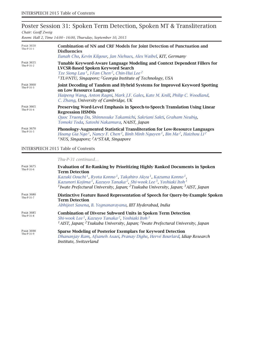## Poster Session 31: Spoken Term Detection, Spoken MT & Transliteration *Chair: Geoff Zweig*

*Room: Hall 2, Time 14:00 – 16:00, Thursday, September 10, 2015*

| <b>PAGE 3650</b><br>Thu-P-31-1 | <b>Combination of NN and CRF Models for Joint Detection of Punctuation and</b><br><b>Disfluencies</b><br>Eunah Cho, Kevin Kilgour, Jan Niehues, Alex Waibel, KIT, Germany                                                                                                                      |
|--------------------------------|------------------------------------------------------------------------------------------------------------------------------------------------------------------------------------------------------------------------------------------------------------------------------------------------|
| <b>PAGE 3655</b><br>Thu-P-31-2 | Tunable Keyword-Aware Language Modeling and Context Dependent Fillers for<br><b>LVCSR-Based Spoken Keyword Search</b><br>Tze Siong Lau <sup>1</sup> , I-Fan Chen <sup>2</sup> , Chin-Hui Lee <sup>2</sup><br><sup>1</sup> TL@NTU, Singapore; <sup>2</sup> Georgia Institute of Technology, USA |
| <b>PAGE 3660</b><br>Thu-P-31-3 | Joint Decoding of Tandem and Hybrid Systems for Improved Keyword Spotting<br>on Low Resource Languages<br>Haipeng Wang, Anton Ragni, Mark J.F. Gales, Kate M. Knill, Philip C. Woodland,<br>C. Zhang, University of Cambridge, UK                                                              |
| <b>PAGE 3665</b><br>Thu-P-31-4 | Preserving Word-Level Emphasis in Speech-to-Speech Translation Using Linear<br><b>Regression HSMMs</b><br>Quoc Truong Do, Shinnosuke Takamichi, Sakriani Sakti, Graham Neubig,<br>Tomoki Toda, Satoshi Nakamura, NAIST, Japan                                                                  |
| <b>PAGE 3670</b><br>Thu-P-31-5 | <b>Phonology-Augmented Statistical Transliteration for Low-Resource Languages</b><br>Hoang Gia Ngo <sup>1</sup> , Nancy F. Chen <sup>2</sup> , Binh Minh Nguyen <sup>1</sup> , Bin Ma <sup>2</sup> , Haizhou Li <sup>2</sup><br><sup>1</sup> NUS, Singapore; ${}^2A*STAR$ , Singapore          |

## INTERSPEECH 2015 Table of Contents

*Thu-P-31 continued…*

| <b>PAGE 3675</b><br>Thu-P-31-6 | <b>Evaluation of Re-Ranking by Prioritizing Highly Ranked Documents in Spoken</b><br><b>Term Detection</b><br>Kazuki Oouchi <sup>1</sup> , Ryota Konno <sup>1</sup> , Takahiro Akyu <sup>1</sup> , Kazuma Konno <sup>1</sup> ,<br>Kazunori Kojima <sup>1</sup> , Kazuyo Tanaka <sup>2</sup> , Shi-wook Lee <sup>3</sup> , Yoshiaki Itoh <sup>1</sup><br><sup>1</sup> Iwate Prefectural University, Japan; <sup>2</sup> Tsukuba University, Japan; $3AIST$ , Japan |
|--------------------------------|-------------------------------------------------------------------------------------------------------------------------------------------------------------------------------------------------------------------------------------------------------------------------------------------------------------------------------------------------------------------------------------------------------------------------------------------------------------------|
| <b>PAGE 3680</b><br>Thu-P-31-7 | Distinctive Feature Based Representation of Speech for Query-by-Example Spoken<br><b>Term Detection</b><br>Abhijeet Saxena, B. Yegnanarayana, IIIT Hyderabad, India                                                                                                                                                                                                                                                                                               |
| <b>PAGE 3685</b><br>Thu-P-31-8 | <b>Combination of Diverse Subword Units in Spoken Term Detection</b><br>Shi-wook Lee <sup>1</sup> , Kazuyo Tanaka <sup>2</sup> , Yoshiaki Itoh <sup>3</sup><br>$1$ AIST, Japan; $2$ Tsukuba University, Japan; $3$ Iwate Prefectural University, Japan                                                                                                                                                                                                            |
| <b>PAGE 3690</b><br>Thu-P-31-9 | <b>Sparse Modeling of Posterior Exemplars for Keyword Detection</b><br>Dhananjay Ram, Afsaneh Asaei, Pranay Dighe, Hervé Bourlard, Idiap Research<br>Institute, Switzerland                                                                                                                                                                                                                                                                                       |